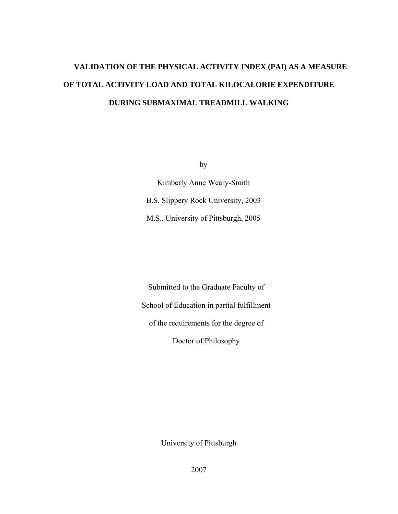# **VALIDATION OF THE PHYSICAL ACTIVITY INDEX (PAI) AS A MEASURE OF TOTAL ACTIVITY LOAD AND TOTAL KILOCALORIE EXPENDITURE DURING SUBMAXIMAL TREADMILL WALKING**

by

Kimberly Anne Weary-Smith B.S. Slippery Rock University, 2003 M.S., University of Pittsburgh, 2005

Submitted to the Graduate Faculty of School of Education in partial fulfillment of the requirements for the degree of Doctor of Philosophy

University of Pittsburgh

2007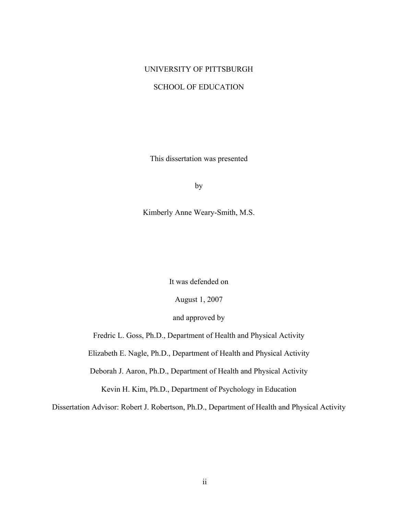# UNIVERSITY OF PITTSBURGH

# SCHOOL OF EDUCATION

This dissertation was presented

by

Kimberly Anne Weary-Smith, M.S.

It was defended on

August 1, 2007

and approved by

Fredric L. Goss, Ph.D., Department of Health and Physical Activity

Elizabeth E. Nagle, Ph.D., Department of Health and Physical Activity

Deborah J. Aaron, Ph.D., Department of Health and Physical Activity

Kevin H. Kim, Ph.D., Department of Psychology in Education

Dissertation Advisor: Robert J. Robertson, Ph.D., Department of Health and Physical Activity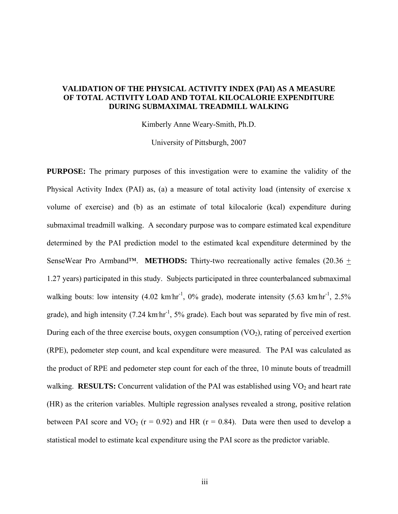# **VALIDATION OF THE PHYSICAL ACTIVITY INDEX (PAI) AS A MEASURE OF TOTAL ACTIVITY LOAD AND TOTAL KILOCALORIE EXPENDITURE DURING SUBMAXIMAL TREADMILL WALKING**

Kimberly Anne Weary-Smith, Ph.D.

University of Pittsburgh, 2007

**PURPOSE:** The primary purposes of this investigation were to examine the validity of the Physical Activity Index (PAI) as, (a) a measure of total activity load (intensity of exercise x volume of exercise) and (b) as an estimate of total kilocalorie (kcal) expenditure during submaximal treadmill walking. A secondary purpose was to compare estimated kcal expenditure determined by the PAI prediction model to the estimated kcal expenditure determined by the SenseWear Pro Armband™. **METHODS:** Thirty-two recreationally active females (20.36 + 1.27 years) participated in this study. Subjects participated in three counterbalanced submaximal walking bouts: low intensity  $(4.02 \text{ km/h}^{-1}, 0\% \text{ grade})$ , moderate intensity  $(5.63 \text{ km/h}^{-1}, 2.5\% \text{ m}^{-1})$ grade), and high intensity (7.24  $km\,hr^{-1}$ , 5% grade). Each bout was separated by five min of rest. During each of the three exercise bouts, oxygen consumption  $(VO<sub>2</sub>)$ , rating of perceived exertion (RPE), pedometer step count, and kcal expenditure were measured. The PAI was calculated as the product of RPE and pedometer step count for each of the three, 10 minute bouts of treadmill walking. **RESULTS:** Concurrent validation of the PAI was established using  $VO<sub>2</sub>$  and heart rate (HR) as the criterion variables. Multiple regression analyses revealed a strong, positive relation between PAI score and VO<sub>2</sub> ( $r = 0.92$ ) and HR ( $r = 0.84$ ). Data were then used to develop a statistical model to estimate kcal expenditure using the PAI score as the predictor variable.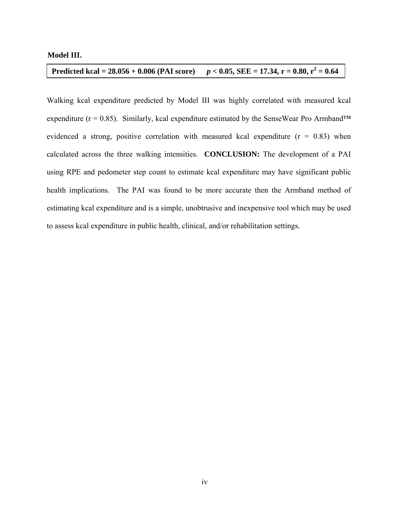# **Model III.**

#### **Predicted kcal =**  $28.056 + 0.006$  **(PAI score)**  $p < 0.05$ , SEE = 17.34, r = 0.80, r<sup>2</sup> = 0.64

Walking kcal expenditure predicted by Model III was highly correlated with measured kcal expenditure ( $r = 0.85$ ). Similarly, kcal expenditure estimated by the SenseWear Pro Armband<sup>TM</sup> evidenced a strong, positive correlation with measured kcal expenditure  $(r = 0.83)$  when calculated across the three walking intensities. **CONCLUSION:** The development of a PAI using RPE and pedometer step count to estimate kcal expenditure may have significant public health implications. The PAI was found to be more accurate then the Armband method of estimating kcal expenditure and is a simple, unobtrusive and inexpensive tool which may be used to assess kcal expenditure in public health, clinical, and/or rehabilitation settings.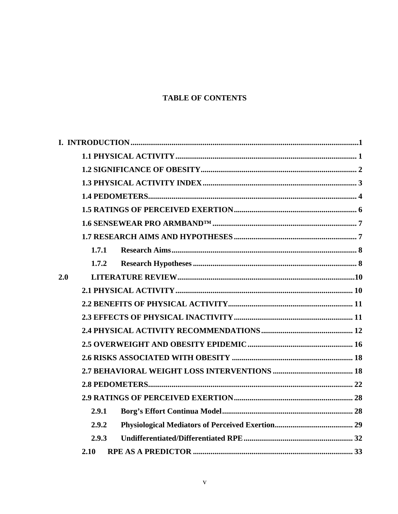# **TABLE OF CONTENTS**

|     | 1.7.1 |  |  |  |
|-----|-------|--|--|--|
|     | 1.7.2 |  |  |  |
| 2.0 |       |  |  |  |
|     |       |  |  |  |
|     |       |  |  |  |
|     |       |  |  |  |
|     |       |  |  |  |
|     |       |  |  |  |
|     |       |  |  |  |
|     |       |  |  |  |
|     |       |  |  |  |
|     |       |  |  |  |
|     | 2.9.1 |  |  |  |
|     | 2.9.2 |  |  |  |
|     | 2.9.3 |  |  |  |
|     | 2.10  |  |  |  |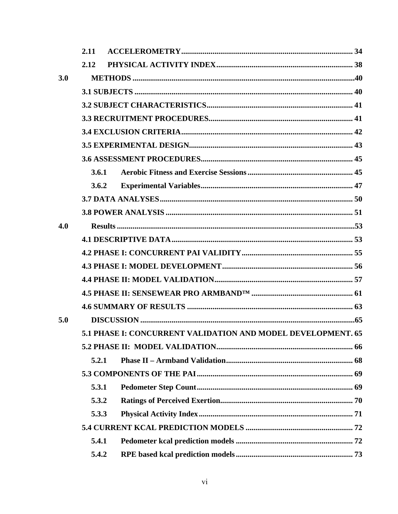|     | 2.11  |  |                                                              |  |  |
|-----|-------|--|--------------------------------------------------------------|--|--|
|     | 2.12  |  |                                                              |  |  |
| 3.0 |       |  |                                                              |  |  |
|     |       |  |                                                              |  |  |
|     |       |  |                                                              |  |  |
|     |       |  |                                                              |  |  |
|     |       |  |                                                              |  |  |
|     |       |  |                                                              |  |  |
|     |       |  |                                                              |  |  |
|     | 3.6.1 |  |                                                              |  |  |
|     | 3.6.2 |  |                                                              |  |  |
|     |       |  |                                                              |  |  |
|     |       |  |                                                              |  |  |
| 4.0 |       |  |                                                              |  |  |
|     |       |  |                                                              |  |  |
|     |       |  |                                                              |  |  |
|     |       |  |                                                              |  |  |
|     |       |  |                                                              |  |  |
|     |       |  |                                                              |  |  |
|     |       |  |                                                              |  |  |
| 5.0 |       |  |                                                              |  |  |
|     |       |  | 5.1 PHASE I: CONCURRENT VALIDATION AND MODEL DEVELOPMENT. 65 |  |  |
|     |       |  |                                                              |  |  |
|     | 5.2.1 |  |                                                              |  |  |
|     |       |  |                                                              |  |  |
|     | 5.3.1 |  |                                                              |  |  |
|     | 5.3.2 |  |                                                              |  |  |
|     | 5.3.3 |  |                                                              |  |  |
|     |       |  |                                                              |  |  |
|     | 5.4.1 |  |                                                              |  |  |
|     | 5.4.2 |  |                                                              |  |  |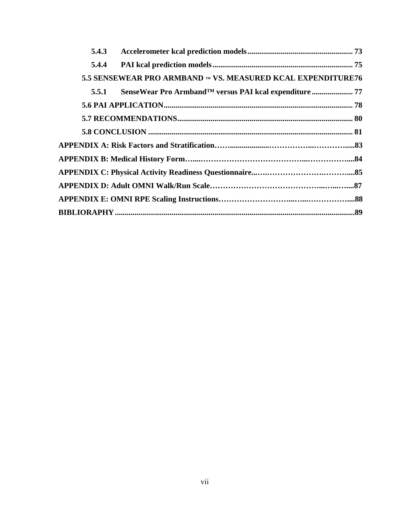| 5.4.3 |                                                              |  |
|-------|--------------------------------------------------------------|--|
| 5.4.4 |                                                              |  |
|       | 5.5 SENSEWEAR PRO ARMBAND IM VS. MEASURED KCAL EXPENDITURE76 |  |
| 5.5.1 |                                                              |  |
|       |                                                              |  |
|       |                                                              |  |
|       |                                                              |  |
|       |                                                              |  |
|       |                                                              |  |
|       |                                                              |  |
|       |                                                              |  |
|       |                                                              |  |
|       |                                                              |  |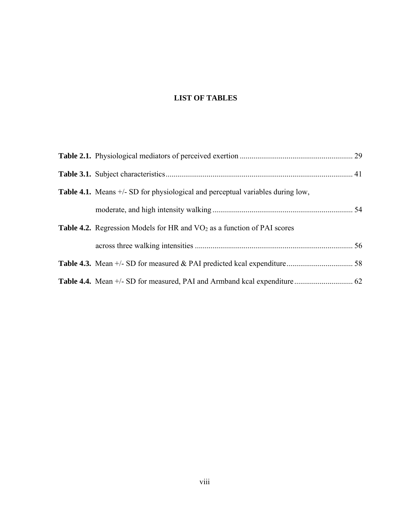# **LIST OF TABLES**

| <b>Table 4.1.</b> Means +/- SD for physiological and perceptual variables during low, |  |
|---------------------------------------------------------------------------------------|--|
|                                                                                       |  |
| <b>Table 4.2.</b> Regression Models for HR and $VO2$ as a function of PAI scores      |  |
|                                                                                       |  |
|                                                                                       |  |
|                                                                                       |  |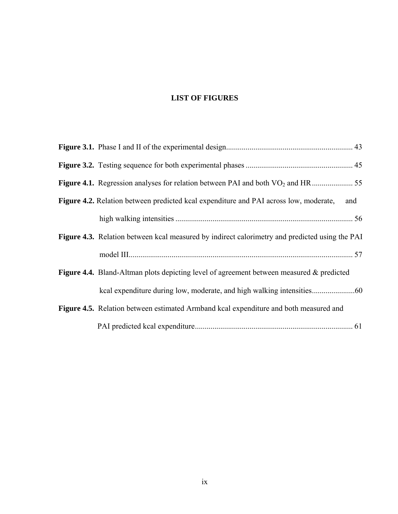# **LIST OF FIGURES**

| Figure 4.2. Relation between predicted kcal expenditure and PAI across low, moderate,<br>and    |
|-------------------------------------------------------------------------------------------------|
|                                                                                                 |
| Figure 4.3. Relation between kcal measured by indirect calorimetry and predicted using the PAI  |
|                                                                                                 |
| <b>Figure 4.4.</b> Bland-Altman plots depicting level of agreement between measured & predicted |
|                                                                                                 |
| Figure 4.5. Relation between estimated Armband kcal expenditure and both measured and           |
|                                                                                                 |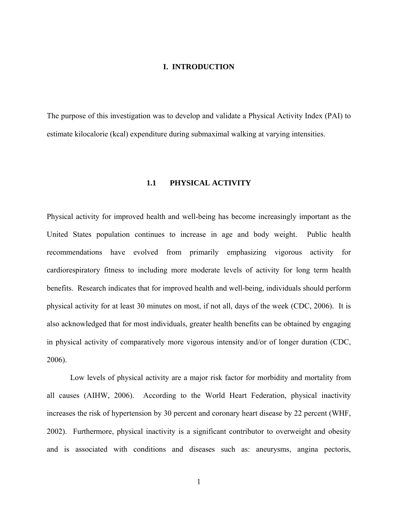### **I. INTRODUCTION**

<span id="page-9-0"></span>The purpose of this investigation was to develop and validate a Physical Activity Index (PAI) to estimate kilocalorie (kcal) expenditure during submaximal walking at varying intensities.

# **1.1 PHYSICAL ACTIVITY**

Physical activity for improved health and well-being has become increasingly important as the United States population continues to increase in age and body weight. Public health recommendations have evolved from primarily emphasizing vigorous activity for cardiorespiratory fitness to including more moderate levels of activity for long term health benefits. Research indicates that for improved health and well-being, individuals should perform physical activity for at least 30 minutes on most, if not all, days of the week (CDC, 2006). It is also acknowledged that for most individuals, greater health benefits can be obtained by engaging in physical activity of comparatively more vigorous intensity and/or of longer duration (CDC, 2006).

Low levels of physical activity are a major risk factor for morbidity and mortality from all causes (AIHW, 2006). According to the World Heart Federation, physical inactivity increases the risk of hypertension by 30 percent and coronary heart disease by 22 percent (WHF, 2002). Furthermore, physical inactivity is a significant contributor to overweight and obesity and is associated with conditions and diseases such as: aneurysms, angina pectoris,

1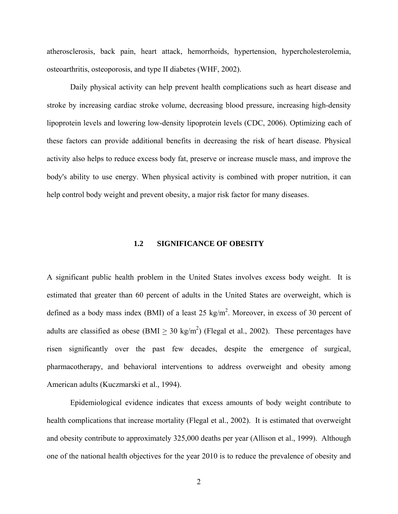<span id="page-10-0"></span>atherosclerosis, back pain, heart attack, hemorrhoids, hypertension, hypercholesterolemia, osteoarthritis, osteoporosis, and type II diabetes (WHF, 2002).

Daily physical activity can help prevent health complications such as heart disease and stroke by increasing cardiac stroke volume, decreasing blood pressure, increasing high-density lipoprotein levels and lowering low-density lipoprotein levels (CDC, 2006). Optimizing each of these factors can provide additional benefits in decreasing the risk of heart disease. Physical activity also helps to reduce excess body fat, preserve or increase muscle mass, and improve the body's ability to use energy. When physical activity is combined with proper nutrition, it can help control body weight and prevent obesity, a major risk factor for many diseases.

#### **1.2 SIGNIFICANCE OF OBESITY**

A significant public health problem in the United States involves excess body weight. It is estimated that greater than 60 percent of adults in the United States are overweight, which is defined as a body mass index (BMI) of a least 25 kg/m<sup>2</sup>. Moreover, in excess of 30 percent of adults are classified as obese (BMI  $\geq 30 \text{ kg/m}^2$ ) (Flegal et al., 2002). These percentages have risen significantly over the past few decades, despite the emergence of surgical, pharmacotherapy, and behavioral interventions to address overweight and obesity among American adults (Kuczmarski et al., 1994).

Epidemiological evidence indicates that excess amounts of body weight contribute to health complications that increase mortality (Flegal et al., 2002). It is estimated that overweight and obesity contribute to approximately 325,000 deaths per year (Allison et al., 1999). Although one of the national health objectives for the year 2010 is to reduce the prevalence of obesity and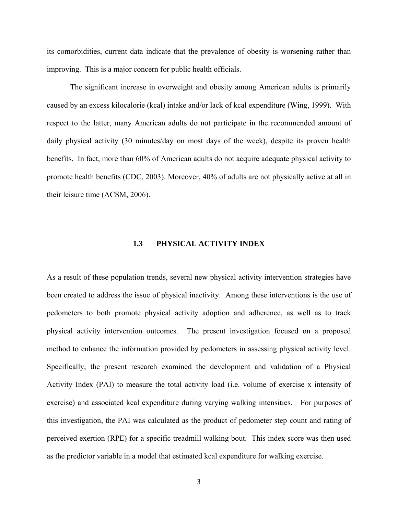<span id="page-11-0"></span>its comorbidities, current data indicate that the prevalence of obesity is worsening rather than improving. This is a major concern for public health officials.

The significant increase in overweight and obesity among American adults is primarily caused by an excess kilocalorie (kcal) intake and/or lack of kcal expenditure (Wing, 1999). With respect to the latter, many American adults do not participate in the recommended amount of daily physical activity (30 minutes/day on most days of the week), despite its proven health benefits. In fact, more than 60% of American adults do not acquire adequate physical activity to promote health benefits (CDC, 2003). Moreover, 40% of adults are not physically active at all in their leisure time (ACSM, 2006).

# **1.3 PHYSICAL ACTIVITY INDEX**

As a result of these population trends, several new physical activity intervention strategies have been created to address the issue of physical inactivity. Among these interventions is the use of pedometers to both promote physical activity adoption and adherence, as well as to track physical activity intervention outcomes. The present investigation focused on a proposed method to enhance the information provided by pedometers in assessing physical activity level. Specifically, the present research examined the development and validation of a Physical Activity Index (PAI) to measure the total activity load (i.e. volume of exercise x intensity of exercise) and associated kcal expenditure during varying walking intensities. For purposes of this investigation, the PAI was calculated as the product of pedometer step count and rating of perceived exertion (RPE) for a specific treadmill walking bout. This index score was then used as the predictor variable in a model that estimated kcal expenditure for walking exercise.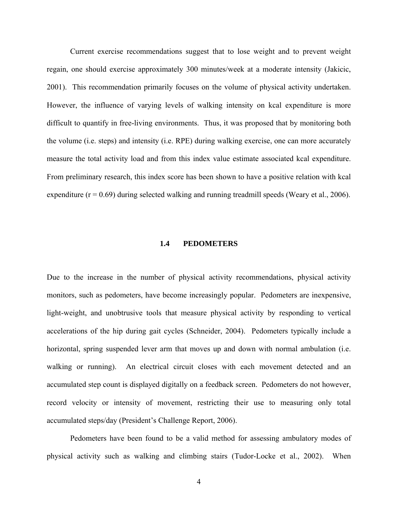<span id="page-12-0"></span>Current exercise recommendations suggest that to lose weight and to prevent weight regain, one should exercise approximately 300 minutes/week at a moderate intensity (Jakicic, 2001). This recommendation primarily focuses on the volume of physical activity undertaken. However, the influence of varying levels of walking intensity on kcal expenditure is more difficult to quantify in free-living environments. Thus, it was proposed that by monitoring both the volume (i.e. steps) and intensity (i.e. RPE) during walking exercise, one can more accurately measure the total activity load and from this index value estimate associated kcal expenditure. From preliminary research, this index score has been shown to have a positive relation with kcal expenditure ( $r = 0.69$ ) during selected walking and running treadmill speeds (Weary et al., 2006).

#### **1.4 PEDOMETERS**

Due to the increase in the number of physical activity recommendations, physical activity monitors, such as pedometers, have become increasingly popular. Pedometers are inexpensive, light-weight, and unobtrusive tools that measure physical activity by responding to vertical accelerations of the hip during gait cycles (Schneider, 2004). Pedometers typically include a horizontal, spring suspended lever arm that moves up and down with normal ambulation (i.e. walking or running). An electrical circuit closes with each movement detected and an accumulated step count is displayed digitally on a feedback screen. Pedometers do not however, record velocity or intensity of movement, restricting their use to measuring only total accumulated steps/day (President's Challenge Report, 2006).

Pedometers have been found to be a valid method for assessing ambulatory modes of physical activity such as walking and climbing stairs (Tudor-Locke et al., 2002). When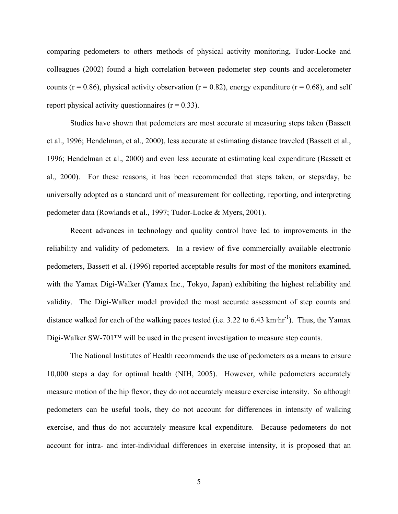comparing pedometers to others methods of physical activity monitoring, Tudor-Locke and colleagues (2002) found a high correlation between pedometer step counts and accelerometer counts ( $r = 0.86$ ), physical activity observation ( $r = 0.82$ ), energy expenditure ( $r = 0.68$ ), and self report physical activity questionnaires  $(r = 0.33)$ .

Studies have shown that pedometers are most accurate at measuring steps taken (Bassett et al., 1996; Hendelman, et al., 2000), less accurate at estimating distance traveled (Bassett et al., 1996; Hendelman et al., 2000) and even less accurate at estimating kcal expenditure (Bassett et al., 2000). For these reasons, it has been recommended that steps taken, or steps/day, be universally adopted as a standard unit of measurement for collecting, reporting, and interpreting pedometer data (Rowlands et al., 1997; Tudor-Locke & Myers, 2001).

Recent advances in technology and quality control have led to improvements in the reliability and validity of pedometers. In a review of five commercially available electronic pedometers, Bassett et al. (1996) reported acceptable results for most of the monitors examined, with the Yamax Digi-Walker (Yamax Inc., Tokyo, Japan) exhibiting the highest reliability and validity. The Digi-Walker model provided the most accurate assessment of step counts and distance walked for each of the walking paces tested (i.e.  $3.22$  to  $6.43$  km·hr<sup>-1</sup>). Thus, the Yamax Digi-Walker SW-701™ will be used in the present investigation to measure step counts.

The National Institutes of Health recommends the use of pedometers as a means to ensure 10,000 steps a day for optimal health (NIH, 2005). However, while pedometers accurately measure motion of the hip flexor, they do not accurately measure exercise intensity. So although pedometers can be useful tools, they do not account for differences in intensity of walking exercise, and thus do not accurately measure kcal expenditure. Because pedometers do not account for intra- and inter-individual differences in exercise intensity, it is proposed that an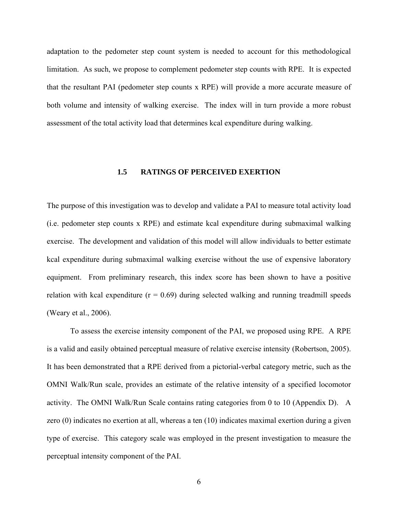<span id="page-14-0"></span>adaptation to the pedometer step count system is needed to account for this methodological limitation. As such, we propose to complement pedometer step counts with RPE. It is expected that the resultant PAI (pedometer step counts x RPE) will provide a more accurate measure of both volume and intensity of walking exercise. The index will in turn provide a more robust assessment of the total activity load that determines kcal expenditure during walking.

# **1.5 RATINGS OF PERCEIVED EXERTION**

The purpose of this investigation was to develop and validate a PAI to measure total activity load (i.e. pedometer step counts x RPE) and estimate kcal expenditure during submaximal walking exercise. The development and validation of this model will allow individuals to better estimate kcal expenditure during submaximal walking exercise without the use of expensive laboratory equipment. From preliminary research, this index score has been shown to have a positive relation with kcal expenditure  $(r = 0.69)$  during selected walking and running treadmill speeds (Weary et al., 2006).

To assess the exercise intensity component of the PAI, we proposed using RPE. A RPE is a valid and easily obtained perceptual measure of relative exercise intensity (Robertson, 2005). It has been demonstrated that a RPE derived from a pictorial-verbal category metric, such as the OMNI Walk/Run scale, provides an estimate of the relative intensity of a specified locomotor activity. The OMNI Walk/Run Scale contains rating categories from 0 to 10 (Appendix D). A zero (0) indicates no exertion at all, whereas a ten (10) indicates maximal exertion during a given type of exercise. This category scale was employed in the present investigation to measure the perceptual intensity component of the PAI.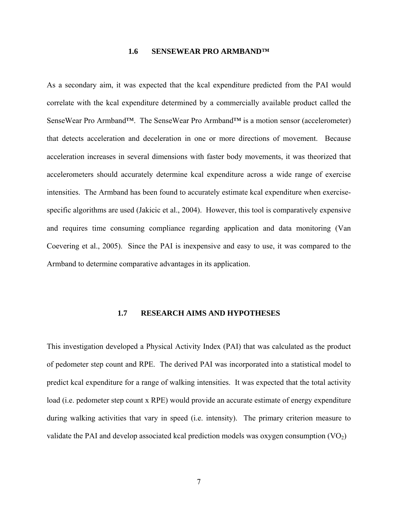#### **1.6 SENSEWEAR PRO ARMBAND™**

<span id="page-15-0"></span>As a secondary aim, it was expected that the kcal expenditure predicted from the PAI would correlate with the kcal expenditure determined by a commercially available product called the SenseWear Pro Armband™. The SenseWear Pro Armband™ is a motion sensor (accelerometer) that detects acceleration and deceleration in one or more directions of movement. Because acceleration increases in several dimensions with faster body movements, it was theorized that accelerometers should accurately determine kcal expenditure across a wide range of exercise intensities. The Armband has been found to accurately estimate kcal expenditure when exercisespecific algorithms are used (Jakicic et al., 2004). However, this tool is comparatively expensive and requires time consuming compliance regarding application and data monitoring (Van Coevering et al., 2005). Since the PAI is inexpensive and easy to use, it was compared to the Armband to determine comparative advantages in its application.

#### **1.7 RESEARCH AIMS AND HYPOTHESES**

This investigation developed a Physical Activity Index (PAI) that was calculated as the product of pedometer step count and RPE. The derived PAI was incorporated into a statistical model to predict kcal expenditure for a range of walking intensities. It was expected that the total activity load (i.e. pedometer step count x RPE) would provide an accurate estimate of energy expenditure during walking activities that vary in speed (i.e. intensity). The primary criterion measure to validate the PAI and develop associated kcal prediction models was oxygen consumption  $(VO<sub>2</sub>)$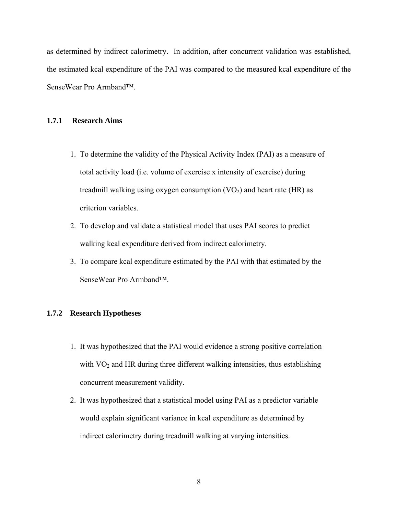<span id="page-16-0"></span>as determined by indirect calorimetry. In addition, after concurrent validation was established, the estimated kcal expenditure of the PAI was compared to the measured kcal expenditure of the SenseWear Pro Armband™.

## **1.7.1 Research Aims**

- 1. To determine the validity of the Physical Activity Index (PAI) as a measure of total activity load (i.e. volume of exercise x intensity of exercise) during treadmill walking using oxygen consumption  $(VO<sub>2</sub>)$  and heart rate (HR) as criterion variables.
- 2. To develop and validate a statistical model that uses PAI scores to predict walking kcal expenditure derived from indirect calorimetry.
- 3. To compare kcal expenditure estimated by the PAI with that estimated by the SenseWear Pro Armband™.

# **1.7.2 Research Hypotheses**

- 1. It was hypothesized that the PAI would evidence a strong positive correlation with  $VO<sub>2</sub>$  and HR during three different walking intensities, thus establishing concurrent measurement validity.
- 2. It was hypothesized that a statistical model using PAI as a predictor variable would explain significant variance in kcal expenditure as determined by indirect calorimetry during treadmill walking at varying intensities.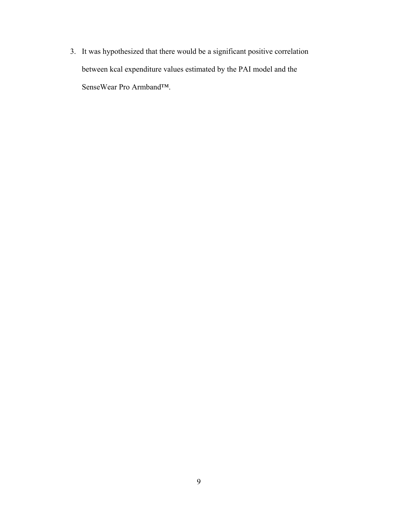3. It was hypothesized that there would be a significant positive correlation between kcal expenditure values estimated by the PAI model and the SenseWear Pro Armband™.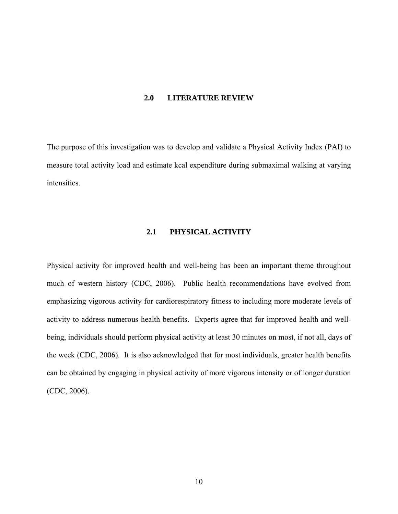# **2.0 LITERATURE REVIEW**

<span id="page-18-0"></span>The purpose of this investigation was to develop and validate a Physical Activity Index (PAI) to measure total activity load and estimate kcal expenditure during submaximal walking at varying intensities.

# **2.1 PHYSICAL ACTIVITY**

Physical activity for improved health and well-being has been an important theme throughout much of western history (CDC, 2006). Public health recommendations have evolved from emphasizing vigorous activity for cardiorespiratory fitness to including more moderate levels of activity to address numerous health benefits. Experts agree that for improved health and wellbeing, individuals should perform physical activity at least 30 minutes on most, if not all, days of the week (CDC, 2006). It is also acknowledged that for most individuals, greater health benefits can be obtained by engaging in physical activity of more vigorous intensity or of longer duration (CDC, 2006).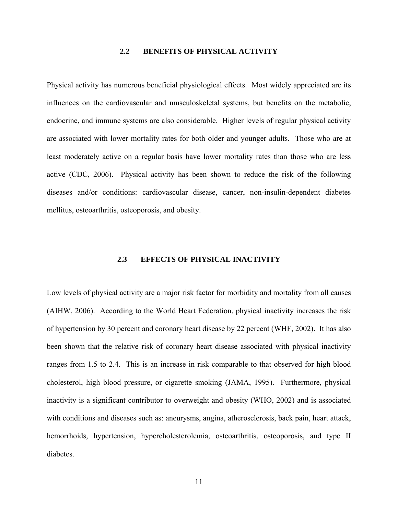# **2.2 BENEFITS OF PHYSICAL ACTIVITY**

<span id="page-19-0"></span>Physical activity has numerous beneficial physiological effects. Most widely appreciated are its influences on the cardiovascular and musculoskeletal systems, but benefits on the metabolic, endocrine, and immune systems are also considerable. Higher levels of regular physical activity are associated with lower mortality rates for both older and younger adults. Those who are at least moderately active on a regular basis have lower mortality rates than those who are less active (CDC, 2006). Physical activity has been shown to reduce the risk of the following diseases and/or conditions: cardiovascular disease, cancer, non-insulin-dependent diabetes mellitus, osteoarthritis, osteoporosis, and obesity.

## **2.3 EFFECTS OF PHYSICAL INACTIVITY**

Low levels of physical activity are a major risk factor for morbidity and mortality from all causes (AIHW, 2006). According to the World Heart Federation, physical inactivity increases the risk of hypertension by 30 percent and coronary heart disease by 22 percent (WHF, 2002). It has also been shown that the relative risk of coronary heart disease associated with physical inactivity ranges from 1.5 to 2.4. This is an increase in risk comparable to that observed for high blood cholesterol, high blood pressure, or cigarette smoking (JAMA, 1995). Furthermore, physical inactivity is a significant contributor to overweight and obesity (WHO, 2002) and is associated with conditions and diseases such as: aneurysms, angina, atherosclerosis, back pain, heart attack, hemorrhoids, hypertension, hypercholesterolemia, osteoarthritis, osteoporosis, and type II diabetes.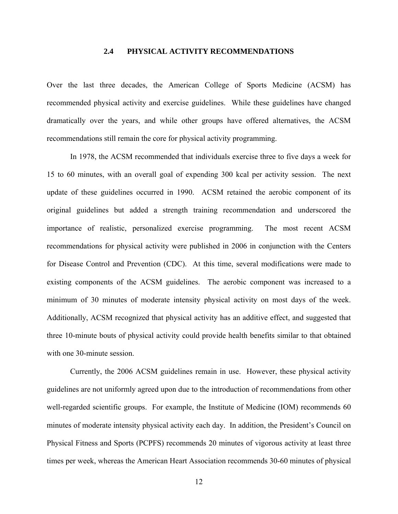# **2.4 PHYSICAL ACTIVITY RECOMMENDATIONS**

<span id="page-20-0"></span>Over the last three decades, the American College of Sports Medicine (ACSM) has recommended physical activity and exercise guidelines. While these guidelines have changed dramatically over the years, and while other groups have offered alternatives, the ACSM recommendations still remain the core for physical activity programming.

In 1978, the ACSM recommended that individuals exercise three to five days a week for 15 to 60 minutes, with an overall goal of expending 300 kcal per activity session. The next update of these guidelines occurred in 1990. ACSM retained the aerobic component of its original guidelines but added a strength training recommendation and underscored the importance of realistic, personalized exercise programming. The most recent ACSM recommendations for physical activity were published in 2006 in conjunction with the Centers for Disease Control and Prevention (CDC). At this time, several modifications were made to existing components of the ACSM guidelines. The aerobic component was increased to a minimum of 30 minutes of moderate intensity physical activity on most days of the week. Additionally, ACSM recognized that physical activity has an additive effect, and suggested that three 10-minute bouts of physical activity could provide health benefits similar to that obtained with one 30-minute session.

Currently, the 2006 ACSM guidelines remain in use. However, these physical activity guidelines are not uniformly agreed upon due to the introduction of recommendations from other well-regarded scientific groups. For example, the Institute of Medicine (IOM) recommends 60 minutes of moderate intensity physical activity each day. In addition, the President's Council on Physical Fitness and Sports (PCPFS) recommends 20 minutes of vigorous activity at least three times per week, whereas the American Heart Association recommends 30-60 minutes of physical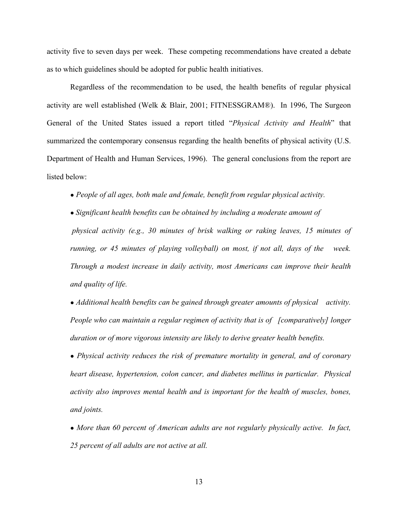activity five to seven days per week. These competing recommendations have created a debate as to which guidelines should be adopted for public health initiatives.

Regardless of the recommendation to be used, the health benefits of regular physical activity are well established (Welk & Blair, 2001; FITNESSGRAM®). In 1996, The Surgeon General of the United States issued a report titled "*Physical Activity and Health*" that summarized the contemporary consensus regarding the health benefits of physical activity (U.S. Department of Health and Human Services, 1996). The general conclusions from the report are listed below:

*● People of all ages, both male and female, benefit from regular physical activity.* 

*● Significant health benefits can be obtained by including a moderate amount of physical activity (e.g., 30 minutes of brisk walking or raking leaves, 15 minutes of running, or 45 minutes of playing volleyball) on most, if not all, days of the week. Through a modest increase in daily activity, most Americans can improve their health and quality of life.* 

*● Additional health benefits can be gained through greater amounts of physical activity. People who can maintain a regular regimen of activity that is of [comparatively] longer duration or of more vigorous intensity are likely to derive greater health benefits.* 

*● Physical activity reduces the risk of premature mortality in general, and of coronary heart disease, hypertension, colon cancer, and diabetes mellitus in particular. Physical activity also improves mental health and is important for the health of muscles, bones, and joints.* 

• More than 60 percent of American adults are not regularly physically active. In fact, *25 percent of all adults are not active at all.* 

13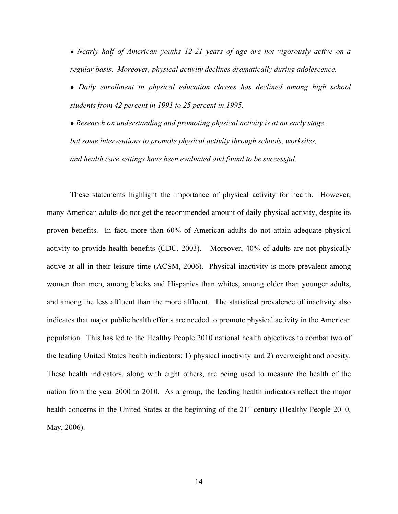*● Nearly half of American youths 12-21 years of age are not vigorously active on a regular basis. Moreover, physical activity declines dramatically during adolescence.* 

*● Daily enrollment in physical education classes has declined among high school students from 42 percent in 1991 to 25 percent in 1995.* 

*● Research on understanding and promoting physical activity is at an early stage, but some interventions to promote physical activity through schools, worksites, and health care settings have been evaluated and found to be successful.* 

These statements highlight the importance of physical activity for health. However, many American adults do not get the recommended amount of daily physical activity, despite its proven benefits. In fact, more than 60% of American adults do not attain adequate physical activity to provide health benefits (CDC, 2003). Moreover, 40% of adults are not physically active at all in their leisure time (ACSM, 2006). Physical inactivity is more prevalent among women than men, among blacks and Hispanics than whites, among older than younger adults, and among the less affluent than the more affluent. The statistical prevalence of inactivity also indicates that major public health efforts are needed to promote physical activity in the American population. This has led to the Healthy People 2010 national health objectives to combat two of the leading United States health indicators: 1) physical inactivity and 2) overweight and obesity. These health indicators, along with eight others, are being used to measure the health of the nation from the year 2000 to 2010. As a group, the leading health indicators reflect the major health concerns in the United States at the beginning of the 21<sup>st</sup> century (Healthy People 2010, May, 2006).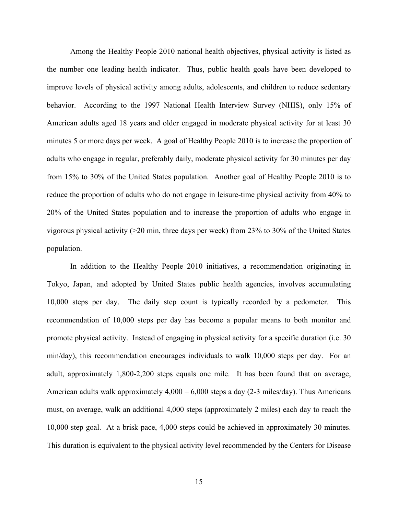Among the Healthy People 2010 national health objectives, physical activity is listed as the number one leading health indicator. Thus, public health goals have been developed to improve levels of physical activity among adults, adolescents, and children to reduce sedentary behavior. According to the 1997 National Health Interview Survey (NHIS), only 15% of American adults aged 18 years and older engaged in moderate physical activity for at least 30 minutes 5 or more days per week. A goal of Healthy People 2010 is to increase the proportion of adults who engage in regular, preferably daily, moderate physical activity for 30 minutes per day from 15% to 30% of the United States population. Another goal of Healthy People 2010 is to reduce the proportion of adults who do not engage in leisure-time physical activity from 40% to 20% of the United States population and to increase the proportion of adults who engage in vigorous physical activity (>20 min, three days per week) from 23% to 30% of the United States population.

In addition to the Healthy People 2010 initiatives, a recommendation originating in Tokyo, Japan, and adopted by United States public health agencies, involves accumulating 10,000 steps per day. The daily step count is typically recorded by a pedometer. This recommendation of 10,000 steps per day has become a popular means to both monitor and promote physical activity. Instead of engaging in physical activity for a specific duration (i.e. 30 min/day), this recommendation encourages individuals to walk 10,000 steps per day. For an adult, approximately 1,800-2,200 steps equals one mile. It has been found that on average, American adults walk approximately  $4,000 - 6,000$  steps a day  $(2-3 \text{ miles/day})$ . Thus Americans must, on average, walk an additional 4,000 steps (approximately 2 miles) each day to reach the 10,000 step goal. At a brisk pace, 4,000 steps could be achieved in approximately 30 minutes. This duration is equivalent to the physical activity level recommended by the Centers for Disease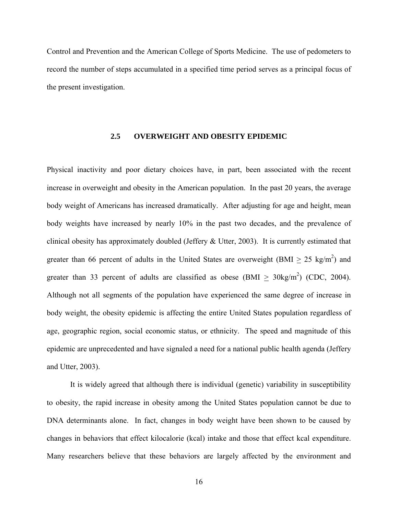<span id="page-24-0"></span>Control and Prevention and the American College of Sports Medicine. The use of pedometers to record the number of steps accumulated in a specified time period serves as a principal focus of the present investigation.

## **2.5 OVERWEIGHT AND OBESITY EPIDEMIC**

Physical inactivity and poor dietary choices have, in part, been associated with the recent increase in overweight and obesity in the American population. In the past 20 years, the average body weight of Americans has increased dramatically. After adjusting for age and height, mean body weights have increased by nearly 10% in the past two decades, and the prevalence of clinical obesity has approximately doubled (Jeffery & Utter, 2003). It is currently estimated that greater than 66 percent of adults in the United States are overweight (BMI  $\geq 25 \text{ kg/m}^2$ ) and greater than 33 percent of adults are classified as obese (BMI  $\geq$  30kg/m<sup>2</sup>) (CDC, 2004). Although not all segments of the population have experienced the same degree of increase in body weight, the obesity epidemic is affecting the entire United States population regardless of age, geographic region, social economic status, or ethnicity. The speed and magnitude of this epidemic are unprecedented and have signaled a need for a national public health agenda (Jeffery and Utter, 2003).

It is widely agreed that although there is individual (genetic) variability in susceptibility to obesity, the rapid increase in obesity among the United States population cannot be due to DNA determinants alone. In fact, changes in body weight have been shown to be caused by changes in behaviors that effect kilocalorie (kcal) intake and those that effect kcal expenditure. Many researchers believe that these behaviors are largely affected by the environment and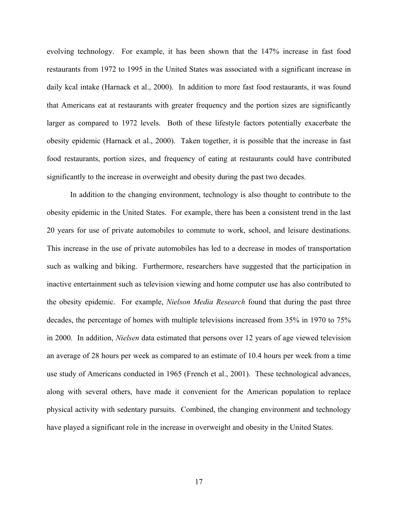evolving technology. For example, it has been shown that the 147% increase in fast food restaurants from 1972 to 1995 in the United States was associated with a significant increase in daily kcal intake (Harnack et al., 2000). In addition to more fast food restaurants, it was found that Americans eat at restaurants with greater frequency and the portion sizes are significantly larger as compared to 1972 levels. Both of these lifestyle factors potentially exacerbate the obesity epidemic (Harnack et al., 2000). Taken together, it is possible that the increase in fast food restaurants, portion sizes, and frequency of eating at restaurants could have contributed significantly to the increase in overweight and obesity during the past two decades.

In addition to the changing environment, technology is also thought to contribute to the obesity epidemic in the United States. For example, there has been a consistent trend in the last 20 years for use of private automobiles to commute to work, school, and leisure destinations. This increase in the use of private automobiles has led to a decrease in modes of transportation such as walking and biking. Furthermore, researchers have suggested that the participation in inactive entertainment such as television viewing and home computer use has also contributed to the obesity epidemic. For example, *Nielson Media Research* found that during the past three decades, the percentage of homes with multiple televisions increased from 35% in 1970 to 75% in 2000. In addition, *Nielsen* data estimated that persons over 12 years of age viewed television an average of 28 hours per week as compared to an estimate of 10.4 hours per week from a time use study of Americans conducted in 1965 (French et al., 2001). These technological advances, along with several others, have made it convenient for the American population to replace physical activity with sedentary pursuits. Combined, the changing environment and technology have played a significant role in the increase in overweight and obesity in the United States.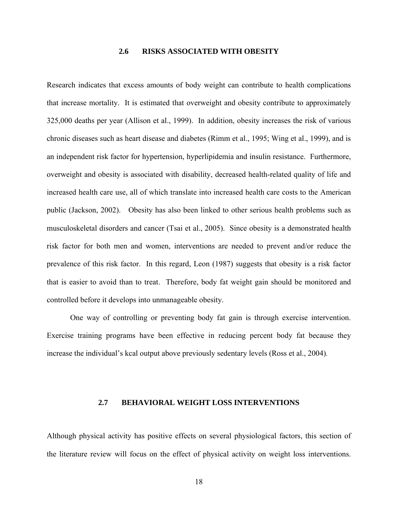# **2.6 RISKS ASSOCIATED WITH OBESITY**

<span id="page-26-0"></span>Research indicates that excess amounts of body weight can contribute to health complications that increase mortality. It is estimated that overweight and obesity contribute to approximately 325,000 deaths per year (Allison et al., 1999). In addition, obesity increases the risk of various chronic diseases such as heart disease and diabetes (Rimm et al., 1995; Wing et al., 1999), and is an independent risk factor for hypertension, hyperlipidemia and insulin resistance. Furthermore, overweight and obesity is associated with disability, decreased health-related quality of life and increased health care use, all of which translate into increased health care costs to the American public (Jackson, 2002). Obesity has also been linked to other serious health problems such as musculoskeletal disorders and cancer (Tsai et al., 2005). Since obesity is a demonstrated health risk factor for both men and women, interventions are needed to prevent and/or reduce the prevalence of this risk factor. In this regard, Leon (1987) suggests that obesity is a risk factor that is easier to avoid than to treat. Therefore, body fat weight gain should be monitored and controlled before it develops into unmanageable obesity.

One way of controlling or preventing body fat gain is through exercise intervention. Exercise training programs have been effective in reducing percent body fat because they increase the individual's kcal output above previously sedentary levels (Ross et al., 2004)*.* 

#### **2.7 BEHAVIORAL WEIGHT LOSS INTERVENTIONS**

Although physical activity has positive effects on several physiological factors, this section of the literature review will focus on the effect of physical activity on weight loss interventions.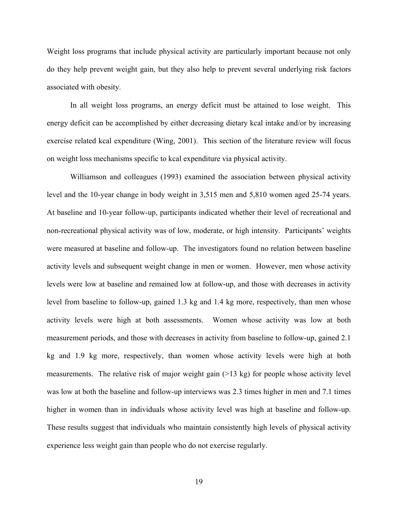Weight loss programs that include physical activity are particularly important because not only do they help prevent weight gain, but they also help to prevent several underlying risk factors associated with obesity.

In all weight loss programs, an energy deficit must be attained to lose weight. This energy deficit can be accomplished by either decreasing dietary kcal intake and/or by increasing exercise related kcal expenditure (Wing, 2001). This section of the literature review will focus on weight loss mechanisms specific to kcal expenditure via physical activity.

Williamson and colleagues (1993) examined the association between physical activity level and the 10-year change in body weight in 3,515 men and 5,810 women aged 25-74 years. At baseline and 10-year follow-up, participants indicated whether their level of recreational and non-recreational physical activity was of low, moderate, or high intensity. Participants' weights were measured at baseline and follow-up. The investigators found no relation between baseline activity levels and subsequent weight change in men or women. However, men whose activity levels were low at baseline and remained low at follow-up, and those with decreases in activity level from baseline to follow-up, gained 1.3 kg and 1.4 kg more, respectively, than men whose activity levels were high at both assessments. Women whose activity was low at both measurement periods, and those with decreases in activity from baseline to follow-up, gained 2.1 kg and 1.9 kg more, respectively, than women whose activity levels were high at both measurements. The relative risk of major weight gain  $(>13 \text{ kg})$  for people whose activity level was low at both the baseline and follow-up interviews was 2.3 times higher in men and 7.1 times higher in women than in individuals whose activity level was high at baseline and follow-up. These results suggest that individuals who maintain consistently high levels of physical activity experience less weight gain than people who do not exercise regularly.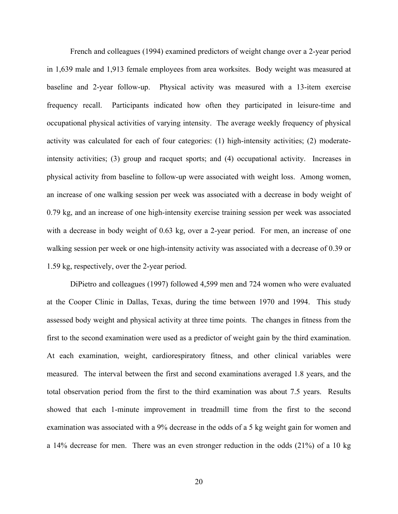French and colleagues (1994) examined predictors of weight change over a 2-year period in 1,639 male and 1,913 female employees from area worksites. Body weight was measured at baseline and 2-year follow-up. Physical activity was measured with a 13-item exercise frequency recall. Participants indicated how often they participated in leisure-time and occupational physical activities of varying intensity. The average weekly frequency of physical activity was calculated for each of four categories: (1) high-intensity activities; (2) moderateintensity activities; (3) group and racquet sports; and (4) occupational activity. Increases in physical activity from baseline to follow-up were associated with weight loss. Among women, an increase of one walking session per week was associated with a decrease in body weight of 0.79 kg, and an increase of one high-intensity exercise training session per week was associated with a decrease in body weight of 0.63 kg, over a 2-year period. For men, an increase of one walking session per week or one high-intensity activity was associated with a decrease of 0.39 or 1.59 kg, respectively, over the 2-year period.

DiPietro and colleagues (1997) followed 4,599 men and 724 women who were evaluated at the Cooper Clinic in Dallas, Texas, during the time between 1970 and 1994. This study assessed body weight and physical activity at three time points. The changes in fitness from the first to the second examination were used as a predictor of weight gain by the third examination. At each examination, weight, cardiorespiratory fitness, and other clinical variables were measured. The interval between the first and second examinations averaged 1.8 years, and the total observation period from the first to the third examination was about 7.5 years. Results showed that each 1-minute improvement in treadmill time from the first to the second examination was associated with a 9% decrease in the odds of a 5 kg weight gain for women and a 14% decrease for men. There was an even stronger reduction in the odds (21%) of a 10 kg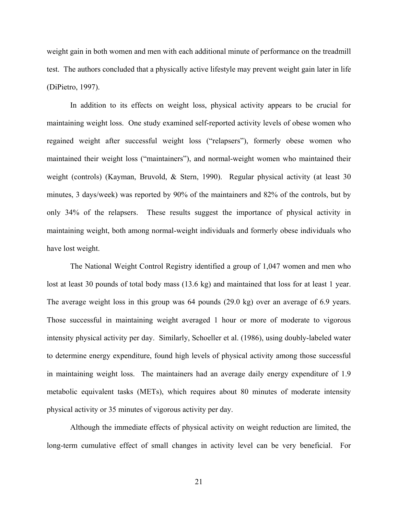weight gain in both women and men with each additional minute of performance on the treadmill test. The authors concluded that a physically active lifestyle may prevent weight gain later in life (DiPietro, 1997).

In addition to its effects on weight loss, physical activity appears to be crucial for maintaining weight loss. One study examined self-reported activity levels of obese women who regained weight after successful weight loss ("relapsers"), formerly obese women who maintained their weight loss ("maintainers"), and normal-weight women who maintained their weight (controls) (Kayman, Bruvold, & Stern, 1990). Regular physical activity (at least 30 minutes, 3 days/week) was reported by 90% of the maintainers and 82% of the controls, but by only 34% of the relapsers. These results suggest the importance of physical activity in maintaining weight, both among normal-weight individuals and formerly obese individuals who have lost weight.

The National Weight Control Registry identified a group of 1,047 women and men who lost at least 30 pounds of total body mass (13.6 kg) and maintained that loss for at least 1 year. The average weight loss in this group was 64 pounds (29.0 kg) over an average of 6.9 years. Those successful in maintaining weight averaged 1 hour or more of moderate to vigorous intensity physical activity per day. Similarly, Schoeller et al. (1986), using doubly-labeled water to determine energy expenditure, found high levels of physical activity among those successful in maintaining weight loss. The maintainers had an average daily energy expenditure of 1.9 metabolic equivalent tasks (METs), which requires about 80 minutes of moderate intensity physical activity or 35 minutes of vigorous activity per day.

Although the immediate effects of physical activity on weight reduction are limited, the long-term cumulative effect of small changes in activity level can be very beneficial. For

21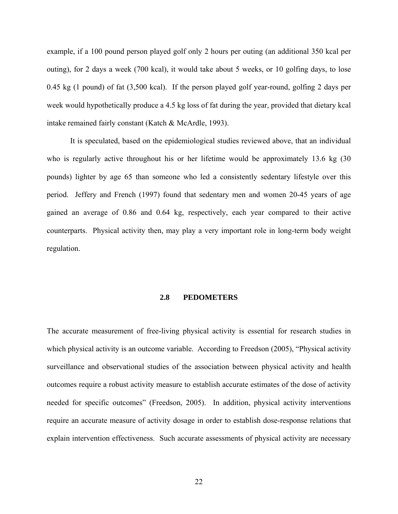<span id="page-30-0"></span>example, if a 100 pound person played golf only 2 hours per outing (an additional 350 kcal per outing), for 2 days a week (700 kcal), it would take about 5 weeks, or 10 golfing days, to lose 0.45 kg (1 pound) of fat (3,500 kcal). If the person played golf year-round, golfing 2 days per week would hypothetically produce a 4.5 kg loss of fat during the year, provided that dietary kcal intake remained fairly constant (Katch & McArdle, 1993).

It is speculated, based on the epidemiological studies reviewed above, that an individual who is regularly active throughout his or her lifetime would be approximately 13.6 kg (30 pounds) lighter by age 65 than someone who led a consistently sedentary lifestyle over this period. Jeffery and French (1997) found that sedentary men and women 20-45 years of age gained an average of 0.86 and 0.64 kg, respectively, each year compared to their active counterparts. Physical activity then, may play a very important role in long-term body weight regulation.

#### **2.8 PEDOMETERS**

The accurate measurement of free-living physical activity is essential for research studies in which physical activity is an outcome variable. According to Freedson (2005), "Physical activity surveillance and observational studies of the association between physical activity and health outcomes require a robust activity measure to establish accurate estimates of the dose of activity needed for specific outcomes" (Freedson, 2005). In addition, physical activity interventions require an accurate measure of activity dosage in order to establish dose-response relations that explain intervention effectiveness. Such accurate assessments of physical activity are necessary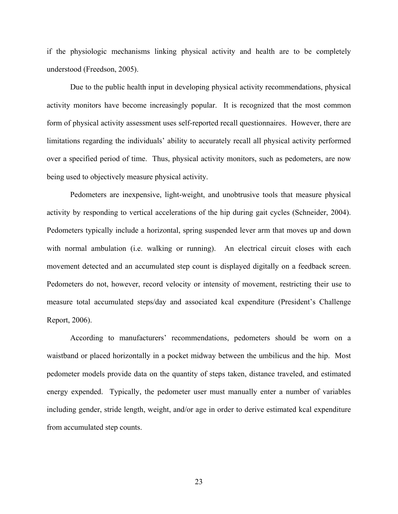if the physiologic mechanisms linking physical activity and health are to be completely understood (Freedson, 2005).

Due to the public health input in developing physical activity recommendations, physical activity monitors have become increasingly popular. It is recognized that the most common form of physical activity assessment uses self-reported recall questionnaires. However, there are limitations regarding the individuals' ability to accurately recall all physical activity performed over a specified period of time. Thus, physical activity monitors, such as pedometers, are now being used to objectively measure physical activity.

Pedometers are inexpensive, light-weight, and unobtrusive tools that measure physical activity by responding to vertical accelerations of the hip during gait cycles (Schneider, 2004). Pedometers typically include a horizontal, spring suspended lever arm that moves up and down with normal ambulation (i.e. walking or running). An electrical circuit closes with each movement detected and an accumulated step count is displayed digitally on a feedback screen. Pedometers do not, however, record velocity or intensity of movement, restricting their use to measure total accumulated steps/day and associated kcal expenditure (President's Challenge Report, 2006).

According to manufacturers' recommendations, pedometers should be worn on a waistband or placed horizontally in a pocket midway between the umbilicus and the hip. Most pedometer models provide data on the quantity of steps taken, distance traveled, and estimated energy expended. Typically, the pedometer user must manually enter a number of variables including gender, stride length, weight, and/or age in order to derive estimated kcal expenditure from accumulated step counts.

23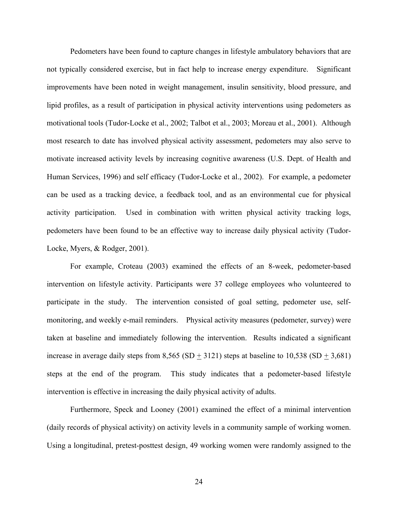Pedometers have been found to capture changes in lifestyle ambulatory behaviors that are not typically considered exercise, but in fact help to increase energy expenditure. Significant improvements have been noted in weight management, insulin sensitivity, blood pressure, and lipid profiles, as a result of participation in physical activity interventions using pedometers as motivational tools (Tudor-Locke et al., 2002; Talbot et al., 2003; Moreau et al., 2001). Although most research to date has involved physical activity assessment, pedometers may also serve to motivate increased activity levels by increasing cognitive awareness (U.S. Dept. of Health and Human Services, 1996) and self efficacy (Tudor-Locke et al., 2002). For example, a pedometer can be used as a tracking device, a feedback tool, and as an environmental cue for physical activity participation. Used in combination with written physical activity tracking logs, pedometers have been found to be an effective way to increase daily physical activity (Tudor-Locke, Myers, & Rodger, 2001).

For example, Croteau (2003) examined the effects of an 8-week, pedometer-based intervention on lifestyle activity. Participants were 37 college employees who volunteered to participate in the study. The intervention consisted of goal setting, pedometer use, selfmonitoring, and weekly e-mail reminders. Physical activity measures (pedometer, survey) were taken at baseline and immediately following the intervention. Results indicated a significant increase in average daily steps from  $8,565$  (SD + 3121) steps at baseline to  $10,538$  (SD + 3,681) steps at the end of the program. This study indicates that a pedometer-based lifestyle intervention is effective in increasing the daily physical activity of adults.

Furthermore, Speck and Looney (2001) examined the effect of a minimal intervention (daily records of physical activity) on activity levels in a community sample of working women. Using a longitudinal, pretest-posttest design, 49 working women were randomly assigned to the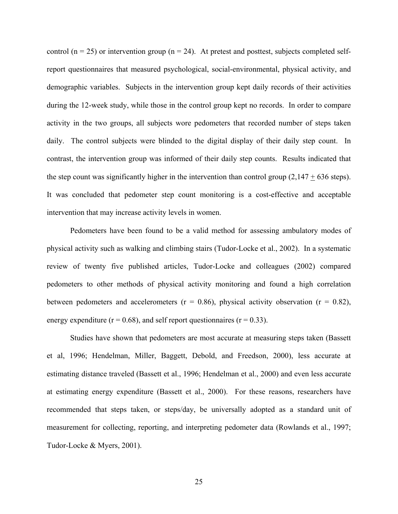control ( $n = 25$ ) or intervention group ( $n = 24$ ). At pretest and posttest, subjects completed selfreport questionnaires that measured psychological, social-environmental, physical activity, and demographic variables. Subjects in the intervention group kept daily records of their activities during the 12-week study, while those in the control group kept no records. In order to compare activity in the two groups, all subjects wore pedometers that recorded number of steps taken daily. The control subjects were blinded to the digital display of their daily step count. In contrast, the intervention group was informed of their daily step counts. Results indicated that the step count was significantly higher in the intervention than control group  $(2,147 + 636$  steps). It was concluded that pedometer step count monitoring is a cost-effective and acceptable intervention that may increase activity levels in women.

Pedometers have been found to be a valid method for assessing ambulatory modes of physical activity such as walking and climbing stairs (Tudor-Locke et al., 2002). In a systematic review of twenty five published articles, Tudor-Locke and colleagues (2002) compared pedometers to other methods of physical activity monitoring and found a high correlation between pedometers and accelerometers ( $r = 0.86$ ), physical activity observation ( $r = 0.82$ ), energy expenditure ( $r = 0.68$ ), and self report questionnaires ( $r = 0.33$ ).

Studies have shown that pedometers are most accurate at measuring steps taken (Bassett et al, 1996; Hendelman, Miller, Baggett, Debold, and Freedson, 2000), less accurate at estimating distance traveled (Bassett et al., 1996; Hendelman et al., 2000) and even less accurate at estimating energy expenditure (Bassett et al., 2000). For these reasons, researchers have recommended that steps taken, or steps/day, be universally adopted as a standard unit of measurement for collecting, reporting, and interpreting pedometer data (Rowlands et al., 1997; Tudor-Locke & Myers, 2001).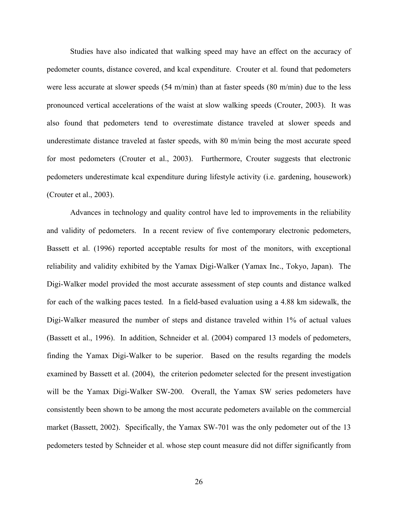Studies have also indicated that walking speed may have an effect on the accuracy of pedometer counts, distance covered, and kcal expenditure. Crouter et al. found that pedometers were less accurate at slower speeds (54 m/min) than at faster speeds (80 m/min) due to the less pronounced vertical accelerations of the waist at slow walking speeds (Crouter, 2003). It was also found that pedometers tend to overestimate distance traveled at slower speeds and underestimate distance traveled at faster speeds, with 80 m/min being the most accurate speed for most pedometers (Crouter et al., 2003). Furthermore, Crouter suggests that electronic pedometers underestimate kcal expenditure during lifestyle activity (i.e. gardening, housework) (Crouter et al., 2003).

Advances in technology and quality control have led to improvements in the reliability and validity of pedometers. In a recent review of five contemporary electronic pedometers, Bassett et al. (1996) reported acceptable results for most of the monitors, with exceptional reliability and validity exhibited by the Yamax Digi-Walker (Yamax Inc., Tokyo, Japan). The Digi-Walker model provided the most accurate assessment of step counts and distance walked for each of the walking paces tested. In a field-based evaluation using a 4.88 km sidewalk, the Digi-Walker measured the number of steps and distance traveled within 1% of actual values (Bassett et al., 1996). In addition, Schneider et al. (2004) compared 13 models of pedometers, finding the Yamax Digi-Walker to be superior. Based on the results regarding the models examined by Bassett et al. (2004), the criterion pedometer selected for the present investigation will be the Yamax Digi-Walker SW-200. Overall, the Yamax SW series pedometers have consistently been shown to be among the most accurate pedometers available on the commercial market (Bassett, 2002). Specifically, the Yamax SW-701 was the only pedometer out of the 13 pedometers tested by Schneider et al. whose step count measure did not differ significantly from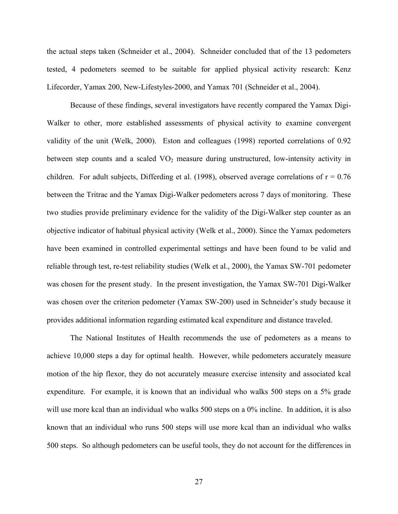the actual steps taken (Schneider et al., 2004). Schneider concluded that of the 13 pedometers tested, 4 pedometers seemed to be suitable for applied physical activity research: Kenz Lifecorder, Yamax 200, New-Lifestyles-2000, and Yamax 701 (Schneider et al., 2004).

Because of these findings, several investigators have recently compared the Yamax Digi-Walker to other, more established assessments of physical activity to examine convergent validity of the unit (Welk, 2000). Eston and colleagues (1998) reported correlations of 0.92 between step counts and a scaled  $VO<sub>2</sub>$  measure during unstructured, low-intensity activity in children. For adult subjects, Differding et al. (1998), observed average correlations of  $r = 0.76$ between the Tritrac and the Yamax Digi-Walker pedometers across 7 days of monitoring. These two studies provide preliminary evidence for the validity of the Digi-Walker step counter as an objective indicator of habitual physical activity (Welk et al., 2000). Since the Yamax pedometers have been examined in controlled experimental settings and have been found to be valid and reliable through test, re-test reliability studies (Welk et al., 2000), the Yamax SW-701 pedometer was chosen for the present study. In the present investigation, the Yamax SW-701 Digi-Walker was chosen over the criterion pedometer (Yamax SW-200) used in Schneider's study because it provides additional information regarding estimated kcal expenditure and distance traveled.

The National Institutes of Health recommends the use of pedometers as a means to achieve 10,000 steps a day for optimal health. However, while pedometers accurately measure motion of the hip flexor, they do not accurately measure exercise intensity and associated kcal expenditure. For example, it is known that an individual who walks 500 steps on a 5% grade will use more kcal than an individual who walks 500 steps on a 0% incline. In addition, it is also known that an individual who runs 500 steps will use more kcal than an individual who walks 500 steps. So although pedometers can be useful tools, they do not account for the differences in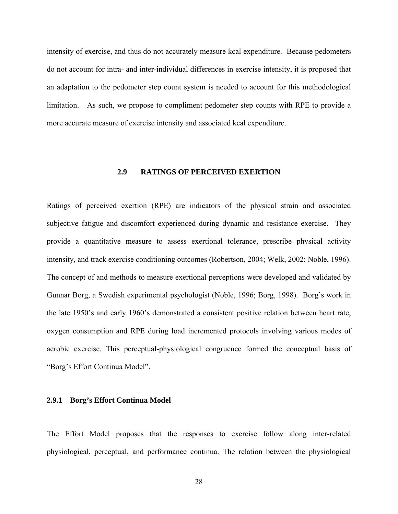intensity of exercise, and thus do not accurately measure kcal expenditure. Because pedometers do not account for intra- and inter-individual differences in exercise intensity, it is proposed that an adaptation to the pedometer step count system is needed to account for this methodological limitation. As such, we propose to compliment pedometer step counts with RPE to provide a more accurate measure of exercise intensity and associated kcal expenditure.

# **2.9 RATINGS OF PERCEIVED EXERTION**

Ratings of perceived exertion (RPE) are indicators of the physical strain and associated subjective fatigue and discomfort experienced during dynamic and resistance exercise. They provide a quantitative measure to assess exertional tolerance, prescribe physical activity intensity, and track exercise conditioning outcomes (Robertson, 2004; Welk, 2002; Noble, 1996). The concept of and methods to measure exertional perceptions were developed and validated by Gunnar Borg, a Swedish experimental psychologist (Noble, 1996; Borg, 1998). Borg's work in the late 1950's and early 1960's demonstrated a consistent positive relation between heart rate, oxygen consumption and RPE during load incremented protocols involving various modes of aerobic exercise. This perceptual-physiological congruence formed the conceptual basis of "Borg's Effort Continua Model".

#### **2.9.1 Borg's Effort Continua Model**

The Effort Model proposes that the responses to exercise follow along inter-related physiological, perceptual, and performance continua. The relation between the physiological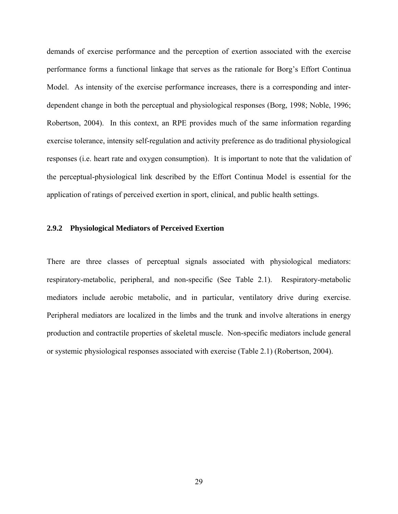demands of exercise performance and the perception of exertion associated with the exercise performance forms a functional linkage that serves as the rationale for Borg's Effort Continua Model. As intensity of the exercise performance increases, there is a corresponding and interdependent change in both the perceptual and physiological responses (Borg, 1998; Noble, 1996; Robertson, 2004). In this context, an RPE provides much of the same information regarding exercise tolerance, intensity self-regulation and activity preference as do traditional physiological responses (i.e. heart rate and oxygen consumption). It is important to note that the validation of the perceptual-physiological link described by the Effort Continua Model is essential for the application of ratings of perceived exertion in sport, clinical, and public health settings.

# **2.9.2 Physiological Mediators of Perceived Exertion**

There are three classes of perceptual signals associated with physiological mediators: respiratory-metabolic, peripheral, and non-specific (See Table 2.1). Respiratory-metabolic mediators include aerobic metabolic, and in particular, ventilatory drive during exercise. Peripheral mediators are localized in the limbs and the trunk and involve alterations in energy production and contractile properties of skeletal muscle. Non-specific mediators include general or systemic physiological responses associated with exercise (Table 2.1) (Robertson, 2004).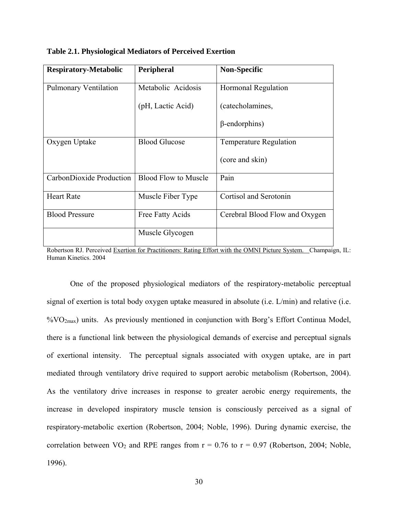| <b>Respiratory-Metabolic</b> | Peripheral                  | <b>Non-Specific</b>            |
|------------------------------|-----------------------------|--------------------------------|
| <b>Pulmonary Ventilation</b> | Metabolic Acidosis          | <b>Hormonal Regulation</b>     |
|                              | (pH, Lactic Acid)           | (catecholamines,               |
|                              |                             | $\beta$ -endorphins)           |
| Oxygen Uptake                | <b>Blood Glucose</b>        | <b>Temperature Regulation</b>  |
|                              |                             | (core and skin)                |
| CarbonDioxide Production     | <b>Blood Flow to Muscle</b> | Pain                           |
| <b>Heart Rate</b>            | Muscle Fiber Type           | Cortisol and Serotonin         |
| <b>Blood Pressure</b>        | Free Fatty Acids            | Cerebral Blood Flow and Oxygen |
|                              | Muscle Glycogen             |                                |

**Table 2.1. Physiological Mediators of Perceived Exertion** 

Robertson RJ. Perceived Exertion for Practitioners: Rating Effort with the OMNI Picture System. Champaign, IL: Human Kinetics. 2004

One of the proposed physiological mediators of the respiratory-metabolic perceptual signal of exertion is total body oxygen uptake measured in absolute (i.e. L/min) and relative (i.e.  $\%VO_{2max}$ ) units. As previously mentioned in conjunction with Borg's Effort Continua Model, there is a functional link between the physiological demands of exercise and perceptual signals of exertional intensity. The perceptual signals associated with oxygen uptake, are in part mediated through ventilatory drive required to support aerobic metabolism (Robertson, 2004). As the ventilatory drive increases in response to greater aerobic energy requirements, the increase in developed inspiratory muscle tension is consciously perceived as a signal of respiratory-metabolic exertion (Robertson, 2004; Noble, 1996). During dynamic exercise, the correlation between  $VO_2$  and RPE ranges from  $r = 0.76$  to  $r = 0.97$  (Robertson, 2004; Noble, 1996).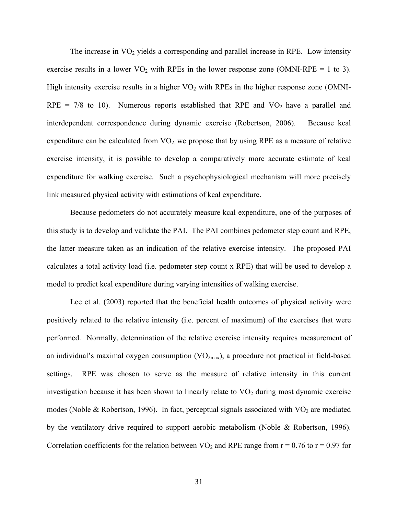The increase in  $VO<sub>2</sub>$  yields a corresponding and parallel increase in RPE. Low intensity exercise results in a lower  $VO<sub>2</sub>$  with RPEs in the lower response zone (OMNI-RPE = 1 to 3). High intensity exercise results in a higher  $VO<sub>2</sub>$  with RPEs in the higher response zone (OMNI- $RPE = 7/8$  to 10). Numerous reports established that RPE and  $VO<sub>2</sub>$  have a parallel and interdependent correspondence during dynamic exercise (Robertson, 2006). Because kcal expenditure can be calculated from  $VO<sub>2</sub>$ , we propose that by using RPE as a measure of relative exercise intensity, it is possible to develop a comparatively more accurate estimate of kcal expenditure for walking exercise. Such a psychophysiological mechanism will more precisely link measured physical activity with estimations of kcal expenditure.

Because pedometers do not accurately measure kcal expenditure, one of the purposes of this study is to develop and validate the PAI. The PAI combines pedometer step count and RPE, the latter measure taken as an indication of the relative exercise intensity. The proposed PAI calculates a total activity load (i.e. pedometer step count x RPE) that will be used to develop a model to predict kcal expenditure during varying intensities of walking exercise.

Lee et al. (2003) reported that the beneficial health outcomes of physical activity were positively related to the relative intensity (i.e. percent of maximum) of the exercises that were performed. Normally, determination of the relative exercise intensity requires measurement of an individual's maximal oxygen consumption  $(VO_{2max})$ , a procedure not practical in field-based settings. RPE was chosen to serve as the measure of relative intensity in this current investigation because it has been shown to linearly relate to  $VO<sub>2</sub>$  during most dynamic exercise modes (Noble & Robertson, 1996). In fact, perceptual signals associated with  $VO<sub>2</sub>$  are mediated by the ventilatory drive required to support aerobic metabolism (Noble & Robertson, 1996). Correlation coefficients for the relation between  $VO<sub>2</sub>$  and RPE range from  $r = 0.76$  to  $r = 0.97$  for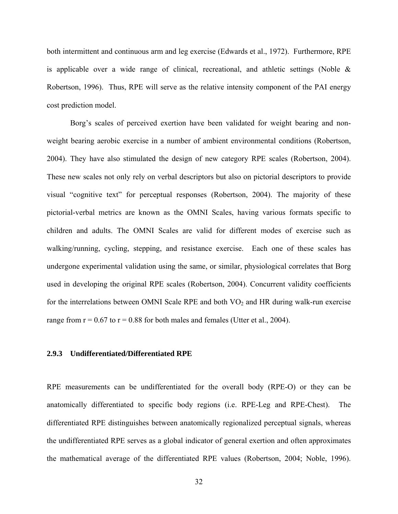both intermittent and continuous arm and leg exercise (Edwards et al., 1972). Furthermore, RPE is applicable over a wide range of clinical, recreational, and athletic settings (Noble  $\&$ Robertson, 1996). Thus, RPE will serve as the relative intensity component of the PAI energy cost prediction model.

Borg's scales of perceived exertion have been validated for weight bearing and nonweight bearing aerobic exercise in a number of ambient environmental conditions (Robertson, 2004). They have also stimulated the design of new category RPE scales (Robertson, 2004). These new scales not only rely on verbal descriptors but also on pictorial descriptors to provide visual "cognitive text" for perceptual responses (Robertson, 2004). The majority of these pictorial-verbal metrics are known as the OMNI Scales, having various formats specific to children and adults. The OMNI Scales are valid for different modes of exercise such as walking/running, cycling, stepping, and resistance exercise. Each one of these scales has undergone experimental validation using the same, or similar, physiological correlates that Borg used in developing the original RPE scales (Robertson, 2004). Concurrent validity coefficients for the interrelations between OMNI Scale RPE and both  $VO<sub>2</sub>$  and HR during walk-run exercise range from  $r = 0.67$  to  $r = 0.88$  for both males and females (Utter et al., 2004).

# **2.9.3 Undifferentiated/Differentiated RPE**

RPE measurements can be undifferentiated for the overall body (RPE-O) or they can be anatomically differentiated to specific body regions (i.e. RPE-Leg and RPE-Chest). The differentiated RPE distinguishes between anatomically regionalized perceptual signals, whereas the undifferentiated RPE serves as a global indicator of general exertion and often approximates the mathematical average of the differentiated RPE values (Robertson, 2004; Noble, 1996).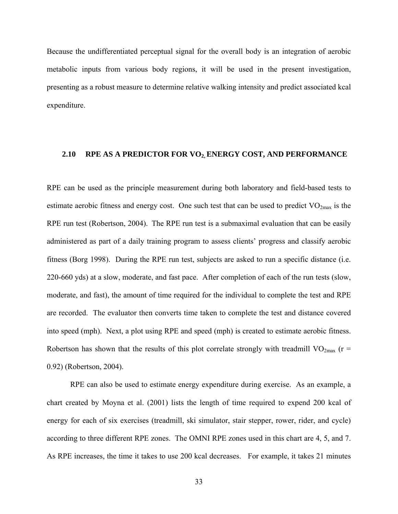Because the undifferentiated perceptual signal for the overall body is an integration of aerobic metabolic inputs from various body regions, it will be used in the present investigation, presenting as a robust measure to determine relative walking intensity and predict associated kcal expenditure.

# **2.10 RPE AS A PREDICTOR FOR VO2, ENERGY COST, AND PERFORMANCE**

RPE can be used as the principle measurement during both laboratory and field-based tests to estimate aerobic fitness and energy cost. One such test that can be used to predict  $VO<sub>2max</sub>$  is the RPE run test (Robertson, 2004). The RPE run test is a submaximal evaluation that can be easily administered as part of a daily training program to assess clients' progress and classify aerobic fitness (Borg 1998). During the RPE run test, subjects are asked to run a specific distance (i.e. 220-660 yds) at a slow, moderate, and fast pace. After completion of each of the run tests (slow, moderate, and fast), the amount of time required for the individual to complete the test and RPE are recorded. The evaluator then converts time taken to complete the test and distance covered into speed (mph). Next, a plot using RPE and speed (mph) is created to estimate aerobic fitness. Robertson has shown that the results of this plot correlate strongly with treadmill  $VO<sub>2max</sub>$  (r = 0.92) (Robertson, 2004).

RPE can also be used to estimate energy expenditure during exercise. As an example, a chart created by Moyna et al. (2001) lists the length of time required to expend 200 kcal of energy for each of six exercises (treadmill, ski simulator, stair stepper, rower, rider, and cycle) according to three different RPE zones. The OMNI RPE zones used in this chart are 4, 5, and 7. As RPE increases, the time it takes to use 200 kcal decreases. For example, it takes 21 minutes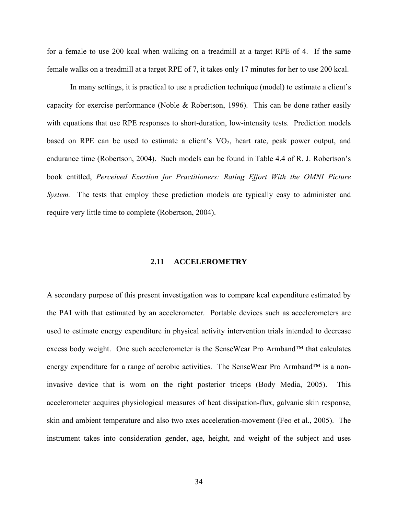for a female to use 200 kcal when walking on a treadmill at a target RPE of 4. If the same female walks on a treadmill at a target RPE of 7, it takes only 17 minutes for her to use 200 kcal.

In many settings, it is practical to use a prediction technique (model) to estimate a client's capacity for exercise performance (Noble & Robertson, 1996). This can be done rather easily with equations that use RPE responses to short-duration, low-intensity tests. Prediction models based on RPE can be used to estimate a client's VO<sub>2</sub>, heart rate, peak power output, and endurance time (Robertson, 2004). Such models can be found in Table 4.4 of R. J. Robertson's book entitled, *Perceived Exertion for Practitioners: Rating Effort With the OMNI Picture System.* The tests that employ these prediction models are typically easy to administer and require very little time to complete (Robertson, 2004).

## **2.11 ACCELEROMETRY**

A secondary purpose of this present investigation was to compare kcal expenditure estimated by the PAI with that estimated by an accelerometer. Portable devices such as accelerometers are used to estimate energy expenditure in physical activity intervention trials intended to decrease excess body weight. One such accelerometer is the SenseWear Pro Armband™ that calculates energy expenditure for a range of aerobic activities. The SenseWear Pro Armband<sup>™</sup> is a noninvasive device that is worn on the right posterior triceps (Body Media, 2005). This accelerometer acquires physiological measures of heat dissipation-flux, galvanic skin response, skin and ambient temperature and also two axes acceleration-movement (Feo et al., 2005). The instrument takes into consideration gender, age, height, and weight of the subject and uses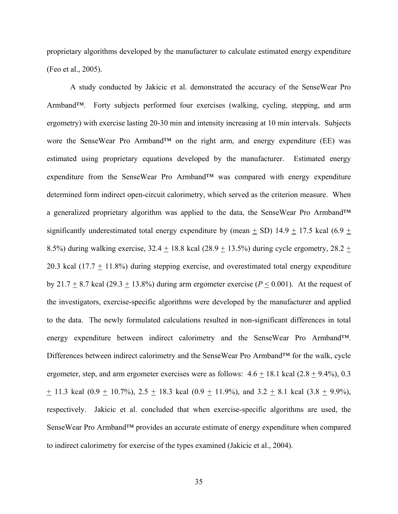proprietary algorithms developed by the manufacturer to calculate estimated energy expenditure (Feo et al., 2005).

A study conducted by Jakicic et al. demonstrated the accuracy of the SenseWear Pro Armband™. Forty subjects performed four exercises (walking, cycling, stepping, and arm ergometry) with exercise lasting 20-30 min and intensity increasing at 10 min intervals. Subjects wore the SenseWear Pro Armband™ on the right arm, and energy expenditure (EE) was estimated using proprietary equations developed by the manufacturer. Estimated energy expenditure from the SenseWear Pro Armband™ was compared with energy expenditure determined form indirect open-circuit calorimetry, which served as the criterion measure. When a generalized proprietary algorithm was applied to the data, the SenseWear Pro Armband™ significantly underestimated total energy expenditure by (mean  $+$  SD) 14.9  $+$  17.5 kcal (6.9  $+$ 8.5%) during walking exercise,  $32.4 \pm 18.8$  kcal ( $28.9 \pm 13.5$ %) during cycle ergometry,  $28.2 \pm 13.5$ %) 20.3 kcal  $(17.7 + 11.8%)$  during stepping exercise, and overestimated total energy expenditure by 21.7  $\pm$  8.7 kcal (29.3  $\pm$  13.8%) during arm ergometer exercise ( $P \le 0.001$ ). At the request of the investigators, exercise-specific algorithms were developed by the manufacturer and applied to the data. The newly formulated calculations resulted in non-significant differences in total energy expenditure between indirect calorimetry and the SenseWear Pro Armband™. Differences between indirect calorimetry and the SenseWear Pro Armband™ for the walk, cycle ergometer, step, and arm ergometer exercises were as follows:  $4.6 \pm 18.1$  kcal (2.8  $\pm$  9.4%), 0.3  $\pm$  11.3 kcal (0.9  $\pm$  10.7%), 2.5  $\pm$  18.3 kcal (0.9  $\pm$  11.9%), and 3.2  $\pm$  8.1 kcal (3.8  $\pm$  9.9%), respectively. Jakicic et al. concluded that when exercise-specific algorithms are used, the SenseWear Pro Armband™ provides an accurate estimate of energy expenditure when compared to indirect calorimetry for exercise of the types examined (Jakicic et al., 2004).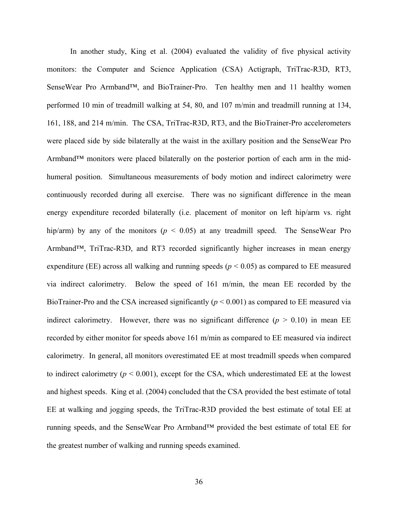In another study, King et al. (2004) evaluated the validity of five physical activity monitors: the Computer and Science Application (CSA) Actigraph, TriTrac-R3D, RT3, SenseWear Pro Armband™, and BioTrainer-Pro. Ten healthy men and 11 healthy women performed 10 min of treadmill walking at 54, 80, and 107 m/min and treadmill running at 134, 161, 188, and 214 m/min. The CSA, TriTrac-R3D, RT3, and the BioTrainer-Pro accelerometers were placed side by side bilaterally at the waist in the axillary position and the SenseWear Pro Armband™ monitors were placed bilaterally on the posterior portion of each arm in the midhumeral position. Simultaneous measurements of body motion and indirect calorimetry were continuously recorded during all exercise. There was no significant difference in the mean energy expenditure recorded bilaterally (i.e. placement of monitor on left hip/arm vs. right hip/arm) by any of the monitors ( $p < 0.05$ ) at any treadmill speed. The SenseWear Pro Armband™, TriTrac-R3D, and RT3 recorded significantly higher increases in mean energy expenditure (EE) across all walking and running speeds ( $p < 0.05$ ) as compared to EE measured via indirect calorimetry. Below the speed of 161 m/min, the mean EE recorded by the BioTrainer-Pro and the CSA increased significantly  $(p < 0.001)$  as compared to EE measured via indirect calorimetry. However, there was no significant difference  $(p > 0.10)$  in mean EE recorded by either monitor for speeds above 161 m/min as compared to EE measured via indirect calorimetry. In general, all monitors overestimated EE at most treadmill speeds when compared to indirect calorimetry  $(p < 0.001)$ , except for the CSA, which underestimated EE at the lowest and highest speeds. King et al. (2004) concluded that the CSA provided the best estimate of total EE at walking and jogging speeds, the TriTrac-R3D provided the best estimate of total EE at running speeds, and the SenseWear Pro Armband™ provided the best estimate of total EE for the greatest number of walking and running speeds examined.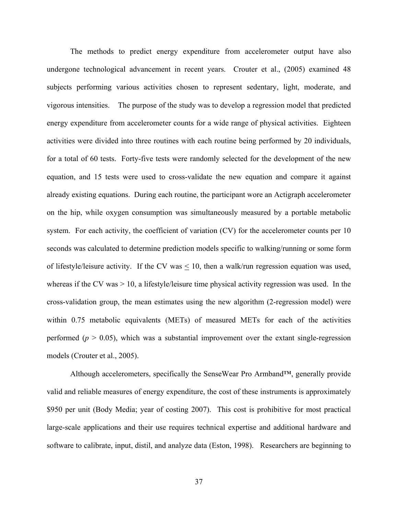The methods to predict energy expenditure from accelerometer output have also undergone technological advancement in recent years. Crouter et al., (2005) examined 48 subjects performing various activities chosen to represent sedentary, light, moderate, and vigorous intensities. The purpose of the study was to develop a regression model that predicted energy expenditure from accelerometer counts for a wide range of physical activities. Eighteen activities were divided into three routines with each routine being performed by 20 individuals, for a total of 60 tests. Forty-five tests were randomly selected for the development of the new equation, and 15 tests were used to cross-validate the new equation and compare it against already existing equations. During each routine, the participant wore an Actigraph accelerometer on the hip, while oxygen consumption was simultaneously measured by a portable metabolic system. For each activity, the coefficient of variation (CV) for the accelerometer counts per 10 seconds was calculated to determine prediction models specific to walking/running or some form of lifestyle/leisure activity. If the CV was < 10, then a walk/run regression equation was used, whereas if the CV was  $> 10$ , a lifestyle/leisure time physical activity regression was used. In the cross-validation group, the mean estimates using the new algorithm (2-regression model) were within 0.75 metabolic equivalents (METs) of measured METs for each of the activities performed ( $p > 0.05$ ), which was a substantial improvement over the extant single-regression models (Crouter et al., 2005).

Although accelerometers, specifically the SenseWear Pro Armband™, generally provide valid and reliable measures of energy expenditure, the cost of these instruments is approximately \$950 per unit (Body Media; year of costing 2007). This cost is prohibitive for most practical large-scale applications and their use requires technical expertise and additional hardware and software to calibrate, input, distil, and analyze data (Eston, 1998). Researchers are beginning to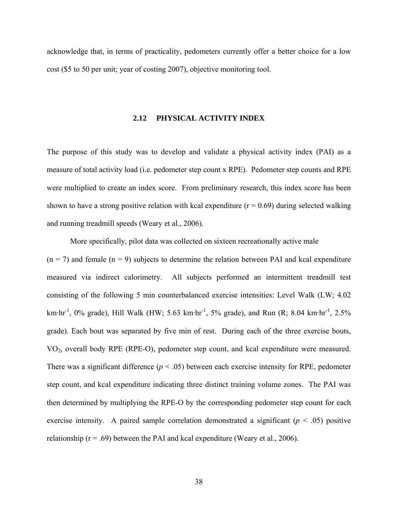acknowledge that, in terms of practicality, pedometers currently offer a better choice for a low cost (\$5 to 50 per unit; year of costing 2007), objective monitoring tool.

#### **2.12 PHYSICAL ACTIVITY INDEX**

The purpose of this study was to develop and validate a physical activity index (PAI) as a measure of total activity load (i.e. pedometer step count x RPE). Pedometer step counts and RPE were multiplied to create an index score. From preliminary research, this index score has been shown to have a strong positive relation with kcal expenditure ( $r = 0.69$ ) during selected walking and running treadmill speeds (Weary et al., 2006).

More specifically, pilot data was collected on sixteen recreationally active male  $(n = 7)$  and female  $(n = 9)$  subjects to determine the relation between PAI and kcal expenditure measured via indirect calorimetry. All subjects performed an intermittent treadmill test consisting of the following 5 min counterbalanced exercise intensities: Level Walk (LW; 4.02 km·hr<sup>-1</sup>, 0% grade), Hill Walk (HW; 5.63 km·hr<sup>-1</sup>, 5% grade), and Run (R; 8.04 km·hr<sup>-1</sup>, 2.5% grade). Each bout was separated by five min of rest. During each of the three exercise bouts, VO2, overall body RPE (RPE-O), pedometer step count, and kcal expenditure were measured. There was a significant difference  $(p < .05)$  between each exercise intensity for RPE, pedometer step count, and kcal expenditure indicating three distinct training volume zones. The PAI was then determined by multiplying the RPE-O by the corresponding pedometer step count for each exercise intensity. A paired sample correlation demonstrated a significant  $(p < .05)$  positive relationship ( $r = .69$ ) between the PAI and kcal expenditure (Weary et al., 2006).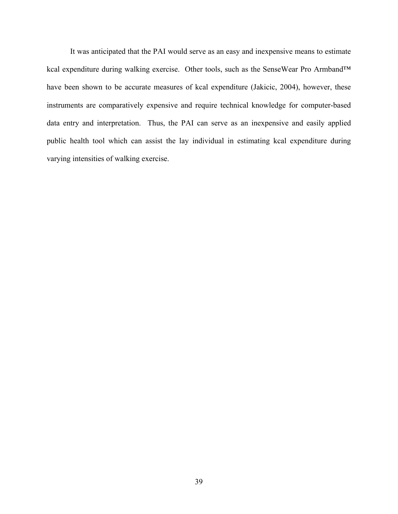It was anticipated that the PAI would serve as an easy and inexpensive means to estimate kcal expenditure during walking exercise. Other tools, such as the SenseWear Pro Armband™ have been shown to be accurate measures of kcal expenditure (Jakicic, 2004), however, these instruments are comparatively expensive and require technical knowledge for computer-based data entry and interpretation. Thus, the PAI can serve as an inexpensive and easily applied public health tool which can assist the lay individual in estimating kcal expenditure during varying intensities of walking exercise.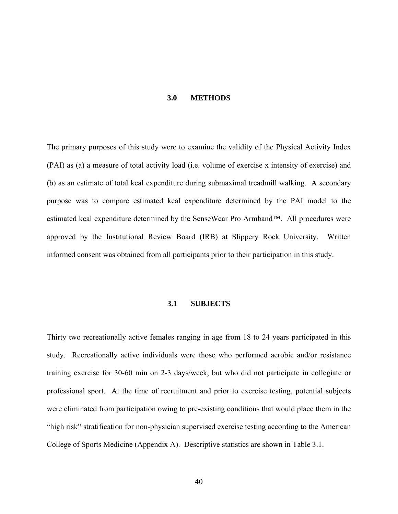#### **3.0 METHODS**

The primary purposes of this study were to examine the validity of the Physical Activity Index (PAI) as (a) a measure of total activity load (i.e. volume of exercise x intensity of exercise) and (b) as an estimate of total kcal expenditure during submaximal treadmill walking. A secondary purpose was to compare estimated kcal expenditure determined by the PAI model to the estimated kcal expenditure determined by the SenseWear Pro Armband™. All procedures were approved by the Institutional Review Board (IRB) at Slippery Rock University. Written informed consent was obtained from all participants prior to their participation in this study.

## **3.1 SUBJECTS**

Thirty two recreationally active females ranging in age from 18 to 24 years participated in this study. Recreationally active individuals were those who performed aerobic and/or resistance training exercise for 30-60 min on 2-3 days/week, but who did not participate in collegiate or professional sport. At the time of recruitment and prior to exercise testing, potential subjects were eliminated from participation owing to pre-existing conditions that would place them in the "high risk" stratification for non-physician supervised exercise testing according to the American College of Sports Medicine (Appendix A). Descriptive statistics are shown in Table 3.1.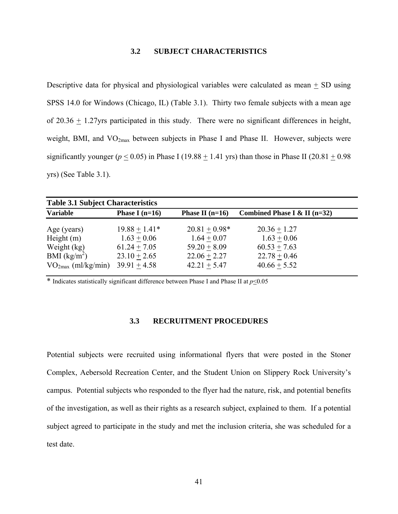# **3.2 SUBJECT CHARACTERISTICS**

Descriptive data for physical and physiological variables were calculated as mean  $\pm$  SD using SPSS 14.0 for Windows (Chicago, IL) (Table 3.1). Thirty two female subjects with a mean age of 20.36  $\pm$  1.27yrs participated in this study. There were no significant differences in height, weight, BMI, and  $VO<sub>2max</sub>$  between subjects in Phase I and Phase II. However, subjects were significantly younger ( $p \le 0.05$ ) in Phase I (19.88  $\pm$  1.41 yrs) than those in Phase II (20.81  $\pm$  0.98 yrs) (See Table 3.1).

| <b>Table 3.1 Subject Characteristics</b> |                  |                   |                                |  |
|------------------------------------------|------------------|-------------------|--------------------------------|--|
| <b>Variable</b>                          | Phase I $(n=16)$ | Phase II $(n=16)$ | Combined Phase I & II $(n=32)$ |  |
| Age (years)                              | $19.88 + 1.41*$  | $20.81 + 0.98*$   | $20.36 + 1.27$                 |  |
| Height $(m)$                             | $1.63 + 0.06$    | $1.64 + 0.07$     | $1.63 + 0.06$                  |  |
| Weight (kg)                              | $61.24 + 7.05$   | $59.20 + 8.09$    | $60.53 + 7.63$                 |  |
| BMI $(kg/m^2)$                           | $23.10 + 2.65$   | $22.06 + 2.27$    | $22.78 + 0.46$                 |  |
| $VO_{2max}$ (ml/kg/min)                  | $39.91 + 4.58$   | $42.21 + 5.47$    | $40.66 + 5.52$                 |  |

\* Indicates statistically significant difference between Phase I and Phase II at  $p \le 0.05$ 

# **3.3 RECRUITMENT PROCEDURES**

Potential subjects were recruited using informational flyers that were posted in the Stoner Complex, Aebersold Recreation Center, and the Student Union on Slippery Rock University's campus. Potential subjects who responded to the flyer had the nature, risk, and potential benefits of the investigation, as well as their rights as a research subject, explained to them. If a potential subject agreed to participate in the study and met the inclusion criteria, she was scheduled for a test date.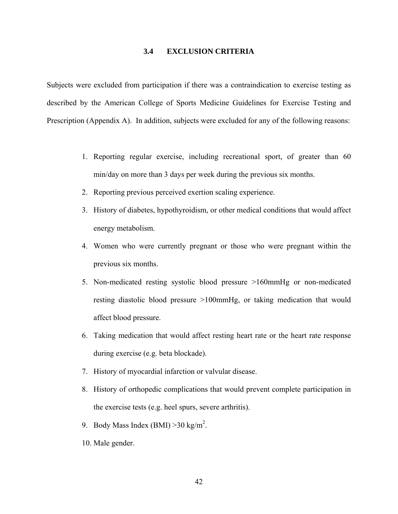# **3.4 EXCLUSION CRITERIA**

Subjects were excluded from participation if there was a contraindication to exercise testing as described by the American College of Sports Medicine Guidelines for Exercise Testing and Prescription (Appendix A). In addition, subjects were excluded for any of the following reasons:

- 1. Reporting regular exercise, including recreational sport, of greater than 60 min/day on more than 3 days per week during the previous six months.
- 2. Reporting previous perceived exertion scaling experience.
- 3. History of diabetes, hypothyroidism, or other medical conditions that would affect energy metabolism.
- 4. Women who were currently pregnant or those who were pregnant within the previous six months.
- 5. Non-medicated resting systolic blood pressure >160mmHg or non-medicated resting diastolic blood pressure >100mmHg, or taking medication that would affect blood pressure.
- 6. Taking medication that would affect resting heart rate or the heart rate response during exercise (e.g. beta blockade).
- 7. History of myocardial infarction or valvular disease.
- 8. History of orthopedic complications that would prevent complete participation in the exercise tests (e.g. heel spurs, severe arthritis).
- 9. Body Mass Index (BMI)  $>30$  kg/m<sup>2</sup>.
- 10. Male gender.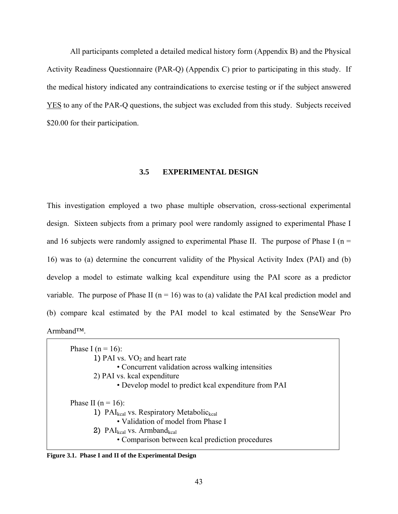All participants completed a detailed medical history form (Appendix B) and the Physical Activity Readiness Questionnaire (PAR-Q) (Appendix C) prior to participating in this study. If the medical history indicated any contraindications to exercise testing or if the subject answered YES to any of the PAR-Q questions, the subject was excluded from this study. Subjects received \$20.00 for their participation.

## **3.5 EXPERIMENTAL DESIGN**

This investigation employed a two phase multiple observation, cross-sectional experimental design. Sixteen subjects from a primary pool were randomly assigned to experimental Phase I and 16 subjects were randomly assigned to experimental Phase II. The purpose of Phase I ( $n =$ 16) was to (a) determine the concurrent validity of the Physical Activity Index (PAI) and (b) develop a model to estimate walking kcal expenditure using the PAI score as a predictor variable. The purpose of Phase II ( $n = 16$ ) was to (a) validate the PAI kcal prediction model and (b) compare kcal estimated by the PAI model to kcal estimated by the SenseWear Pro Armband™.

| Phase I ( $n = 16$ ):                                            |
|------------------------------------------------------------------|
| 1) PAI vs. $VO2$ and heart rate                                  |
| • Concurrent validation across walking intensities               |
| 2) PAI vs. kcal expenditure                                      |
| • Develop model to predict kcal expenditure from PAI             |
| Phase II ( $n = 16$ ):                                           |
| 1) PAI <sub>kcal</sub> vs. Respiratory Metabolic <sub>kcal</sub> |
| • Validation of model from Phase I                               |
| 2) $PAI_{kcal}$ vs. Armband <sub>kcal</sub>                      |
| • Comparison between kcal prediction procedures                  |
|                                                                  |

**Figure 3.1. Phase I and II of the Experimental Design**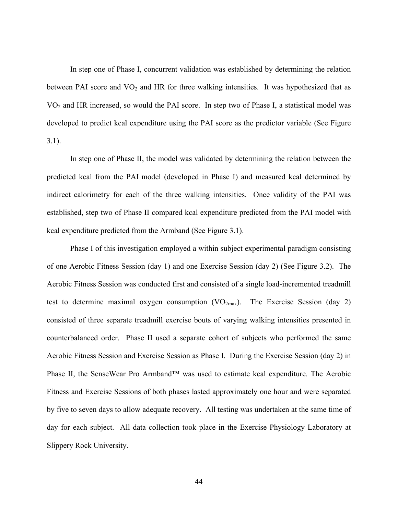In step one of Phase I, concurrent validation was established by determining the relation between PAI score and  $VO<sub>2</sub>$  and HR for three walking intensities. It was hypothesized that as VO2 and HR increased, so would the PAI score. In step two of Phase I, a statistical model was developed to predict kcal expenditure using the PAI score as the predictor variable (See Figure 3.1).

In step one of Phase II, the model was validated by determining the relation between the predicted kcal from the PAI model (developed in Phase I) and measured kcal determined by indirect calorimetry for each of the three walking intensities. Once validity of the PAI was established, step two of Phase II compared kcal expenditure predicted from the PAI model with kcal expenditure predicted from the Armband (See Figure 3.1).

Phase I of this investigation employed a within subject experimental paradigm consisting of one Aerobic Fitness Session (day 1) and one Exercise Session (day 2) (See Figure 3.2). The Aerobic Fitness Session was conducted first and consisted of a single load-incremented treadmill test to determine maximal oxygen consumption  $(VO_{2max})$ . The Exercise Session (day 2) consisted of three separate treadmill exercise bouts of varying walking intensities presented in counterbalanced order. Phase II used a separate cohort of subjects who performed the same Aerobic Fitness Session and Exercise Session as Phase I. During the Exercise Session (day 2) in Phase II, the SenseWear Pro Armband™ was used to estimate kcal expenditure. The Aerobic Fitness and Exercise Sessions of both phases lasted approximately one hour and were separated by five to seven days to allow adequate recovery. All testing was undertaken at the same time of day for each subject. All data collection took place in the Exercise Physiology Laboratory at Slippery Rock University.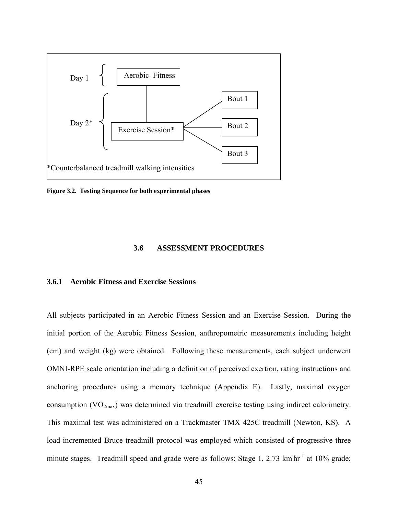

**Figure 3.2. Testing Sequence for both experimental phases** 

#### **3.6 ASSESSMENT PROCEDURES**

## **3.6.1 Aerobic Fitness and Exercise Sessions**

All subjects participated in an Aerobic Fitness Session and an Exercise Session. During the initial portion of the Aerobic Fitness Session, anthropometric measurements including height (cm) and weight (kg) were obtained. Following these measurements, each subject underwent OMNI-RPE scale orientation including a definition of perceived exertion, rating instructions and anchoring procedures using a memory technique (Appendix E). Lastly, maximal oxygen consumption (VO<sub>2max</sub>) was determined via treadmill exercise testing using indirect calorimetry. This maximal test was administered on a Trackmaster TMX 425C treadmill (Newton, KS). A load-incremented Bruce treadmill protocol was employed which consisted of progressive three minute stages. Treadmill speed and grade were as follows: Stage 1, 2.73 km hr<sup>-1</sup> at 10% grade;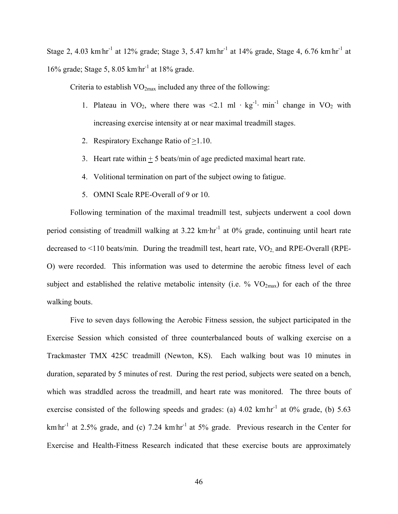Stage 2, 4.03 km hr<sup>-1</sup> at 12% grade; Stage 3, 5.47 km hr<sup>-1</sup> at 14% grade, Stage 4, 6.76 km hr<sup>-1</sup> at 16% grade; Stage 5, 8.05 km. hr-1 at 18% grade.

Criteria to establish  $VO_{2max}$  included any three of the following:

- 1. Plateau in VO<sub>2</sub>, where there was <2.1 ml ·  $kg^{-1}$ · min<sup>-1</sup> change in VO<sub>2</sub> with increasing exercise intensity at or near maximal treadmill stages.
- 2. Respiratory Exchange Ratio of >1.10.
- 3. Heart rate within  $+5$  beats/min of age predicted maximal heart rate.
- 4. Volitional termination on part of the subject owing to fatigue.
- 5. OMNI Scale RPE-Overall of 9 or 10.

Following termination of the maximal treadmill test, subjects underwent a cool down period consisting of treadmill walking at  $3.22 \text{ km}\cdot\text{hr}^{-1}$  at 0% grade, continuing until heart rate decreased to  $\leq$ 110 beats/min. During the treadmill test, heart rate, VO<sub>2</sub>, and RPE-Overall (RPE-O) were recorded. This information was used to determine the aerobic fitness level of each subject and established the relative metabolic intensity (i.e.  $\%$  VO<sub>2max</sub>) for each of the three walking bouts.

Five to seven days following the Aerobic Fitness session, the subject participated in the Exercise Session which consisted of three counterbalanced bouts of walking exercise on a Trackmaster TMX 425C treadmill (Newton, KS). Each walking bout was 10 minutes in duration, separated by 5 minutes of rest. During the rest period, subjects were seated on a bench, which was straddled across the treadmill, and heart rate was monitored. The three bouts of exercise consisted of the following speeds and grades: (a)  $4.02 \text{ km/h}^{-1}$  at  $0\%$  grade, (b)  $5.63$ km hr<sup>-1</sup> at 2.5% grade, and (c) 7.24 km hr<sup>-1</sup> at 5% grade. Previous research in the Center for Exercise and Health-Fitness Research indicated that these exercise bouts are approximately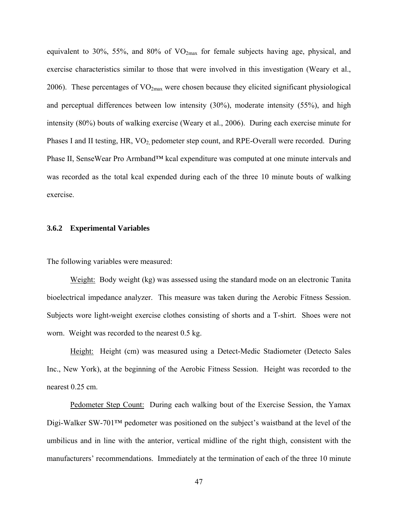equivalent to 30%, 55%, and 80% of  $VO_{2max}$  for female subjects having age, physical, and exercise characteristics similar to those that were involved in this investigation (Weary et al., 2006). These percentages of  $VO_{2max}$  were chosen because they elicited significant physiological and perceptual differences between low intensity (30%), moderate intensity (55%), and high intensity (80%) bouts of walking exercise (Weary et al., 2006). During each exercise minute for Phases I and II testing, HR, VO<sub>2</sub> pedometer step count, and RPE-Overall were recorded. During Phase II, SenseWear Pro Armband™ kcal expenditure was computed at one minute intervals and was recorded as the total kcal expended during each of the three 10 minute bouts of walking exercise.

## **3.6.2 Experimental Variables**

The following variables were measured:

Weight: Body weight (kg) was assessed using the standard mode on an electronic Tanita bioelectrical impedance analyzer. This measure was taken during the Aerobic Fitness Session. Subjects wore light-weight exercise clothes consisting of shorts and a T-shirt. Shoes were not worn. Weight was recorded to the nearest 0.5 kg.

Height: Height (cm) was measured using a Detect-Medic Stadiometer (Detecto Sales Inc., New York), at the beginning of the Aerobic Fitness Session. Height was recorded to the nearest 0.25 cm.

Pedometer Step Count: During each walking bout of the Exercise Session, the Yamax Digi-Walker SW-701™ pedometer was positioned on the subject's waistband at the level of the umbilicus and in line with the anterior, vertical midline of the right thigh, consistent with the manufacturers' recommendations. Immediately at the termination of each of the three 10 minute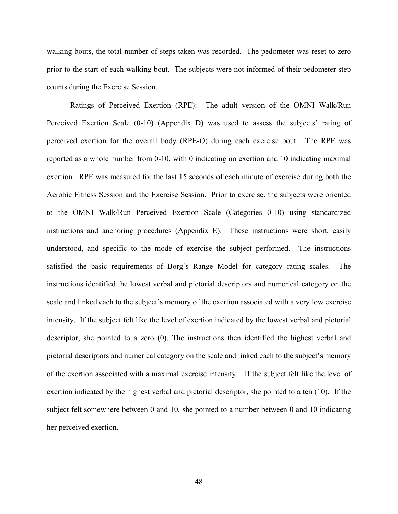walking bouts, the total number of steps taken was recorded. The pedometer was reset to zero prior to the start of each walking bout. The subjects were not informed of their pedometer step counts during the Exercise Session.

Ratings of Perceived Exertion (RPE): The adult version of the OMNI Walk/Run Perceived Exertion Scale (0-10) (Appendix D) was used to assess the subjects' rating of perceived exertion for the overall body (RPE-O) during each exercise bout. The RPE was reported as a whole number from 0-10, with 0 indicating no exertion and 10 indicating maximal exertion. RPE was measured for the last 15 seconds of each minute of exercise during both the Aerobic Fitness Session and the Exercise Session. Prior to exercise, the subjects were oriented to the OMNI Walk/Run Perceived Exertion Scale (Categories 0-10) using standardized instructions and anchoring procedures (Appendix E). These instructions were short, easily understood, and specific to the mode of exercise the subject performed. The instructions satisfied the basic requirements of Borg's Range Model for category rating scales. The instructions identified the lowest verbal and pictorial descriptors and numerical category on the scale and linked each to the subject's memory of the exertion associated with a very low exercise intensity. If the subject felt like the level of exertion indicated by the lowest verbal and pictorial descriptor, she pointed to a zero (0). The instructions then identified the highest verbal and pictorial descriptors and numerical category on the scale and linked each to the subject's memory of the exertion associated with a maximal exercise intensity. If the subject felt like the level of exertion indicated by the highest verbal and pictorial descriptor, she pointed to a ten (10). If the subject felt somewhere between 0 and 10, she pointed to a number between 0 and 10 indicating her perceived exertion.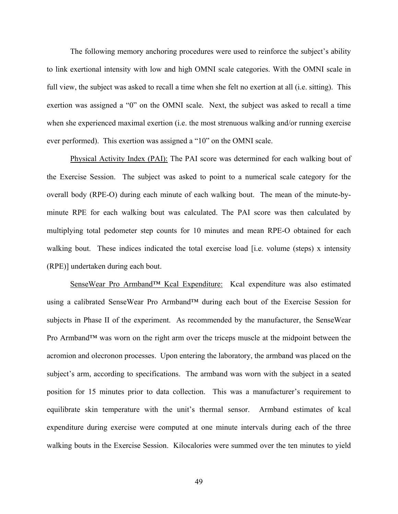The following memory anchoring procedures were used to reinforce the subject's ability to link exertional intensity with low and high OMNI scale categories. With the OMNI scale in full view, the subject was asked to recall a time when she felt no exertion at all (i.e. sitting). This exertion was assigned a "0" on the OMNI scale. Next, the subject was asked to recall a time when she experienced maximal exertion (i.e. the most strenuous walking and/or running exercise ever performed). This exertion was assigned a "10" on the OMNI scale.

Physical Activity Index (PAI): The PAI score was determined for each walking bout of the Exercise Session. The subject was asked to point to a numerical scale category for the overall body (RPE-O) during each minute of each walking bout. The mean of the minute-byminute RPE for each walking bout was calculated. The PAI score was then calculated by multiplying total pedometer step counts for 10 minutes and mean RPE-O obtained for each walking bout. These indices indicated the total exercise load [i.e. volume (steps) x intensity (RPE)] undertaken during each bout.

SenseWear Pro Armband™ Kcal Expenditure: Kcal expenditure was also estimated using a calibrated SenseWear Pro Armband™ during each bout of the Exercise Session for subjects in Phase II of the experiment. As recommended by the manufacturer, the SenseWear Pro Armband<sup>™</sup> was worn on the right arm over the triceps muscle at the midpoint between the acromion and olecronon processes. Upon entering the laboratory, the armband was placed on the subject's arm, according to specifications. The armband was worn with the subject in a seated position for 15 minutes prior to data collection. This was a manufacturer's requirement to equilibrate skin temperature with the unit's thermal sensor. Armband estimates of kcal expenditure during exercise were computed at one minute intervals during each of the three walking bouts in the Exercise Session. Kilocalories were summed over the ten minutes to yield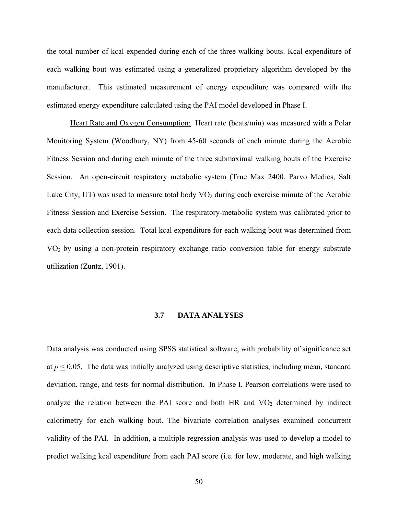the total number of kcal expended during each of the three walking bouts. Kcal expenditure of each walking bout was estimated using a generalized proprietary algorithm developed by the manufacturer. This estimated measurement of energy expenditure was compared with the estimated energy expenditure calculated using the PAI model developed in Phase I.

Heart Rate and Oxygen Consumption: Heart rate (beats/min) was measured with a Polar Monitoring System (Woodbury, NY) from 45-60 seconds of each minute during the Aerobic Fitness Session and during each minute of the three submaximal walking bouts of the Exercise Session. An open-circuit respiratory metabolic system (True Max 2400, Parvo Medics, Salt Lake City, UT) was used to measure total body  $VO<sub>2</sub>$  during each exercise minute of the Aerobic Fitness Session and Exercise Session. The respiratory-metabolic system was calibrated prior to each data collection session. Total kcal expenditure for each walking bout was determined from VO2 by using a non-protein respiratory exchange ratio conversion table for energy substrate utilization (Zuntz, 1901).

## **3.7 DATA ANALYSES**

Data analysis was conducted using SPSS statistical software, with probability of significance set at  $p \leq 0.05$ . The data was initially analyzed using descriptive statistics, including mean, standard deviation, range, and tests for normal distribution. In Phase I, Pearson correlations were used to analyze the relation between the PAI score and both HR and  $VO<sub>2</sub>$  determined by indirect calorimetry for each walking bout. The bivariate correlation analyses examined concurrent validity of the PAI. In addition, a multiple regression analysis was used to develop a model to predict walking kcal expenditure from each PAI score (i.e. for low, moderate, and high walking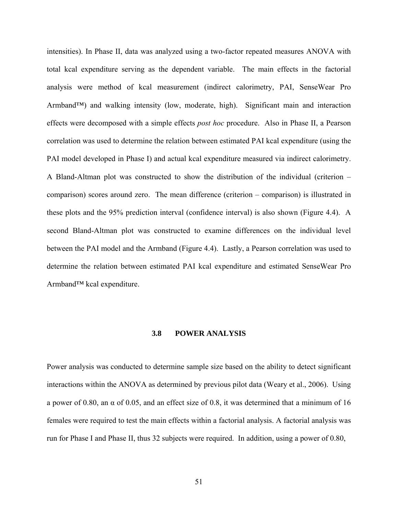intensities). In Phase II, data was analyzed using a two-factor repeated measures ANOVA with total kcal expenditure serving as the dependent variable. The main effects in the factorial analysis were method of kcal measurement (indirect calorimetry, PAI, SenseWear Pro Armband™) and walking intensity (low, moderate, high). Significant main and interaction effects were decomposed with a simple effects *post hoc* procedure. Also in Phase II, a Pearson correlation was used to determine the relation between estimated PAI kcal expenditure (using the PAI model developed in Phase I) and actual kcal expenditure measured via indirect calorimetry. A Bland-Altman plot was constructed to show the distribution of the individual (criterion – comparison) scores around zero. The mean difference (criterion – comparison) is illustrated in these plots and the 95% prediction interval (confidence interval) is also shown (Figure 4.4). A second Bland-Altman plot was constructed to examine differences on the individual level between the PAI model and the Armband (Figure 4.4). Lastly, a Pearson correlation was used to determine the relation between estimated PAI kcal expenditure and estimated SenseWear Pro Armband™ kcal expenditure.

## **3.8 POWER ANALYSIS**

Power analysis was conducted to determine sample size based on the ability to detect significant interactions within the ANOVA as determined by previous pilot data (Weary et al., 2006). Using a power of 0.80, an α of 0.05, and an effect size of 0.8, it was determined that a minimum of 16 females were required to test the main effects within a factorial analysis. A factorial analysis was run for Phase I and Phase II, thus 32 subjects were required. In addition, using a power of 0.80,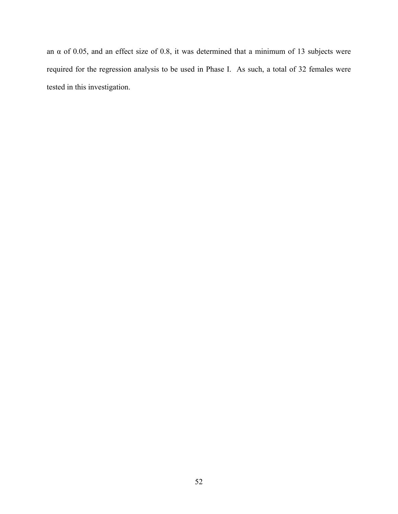an  $\alpha$  of 0.05, and an effect size of 0.8, it was determined that a minimum of 13 subjects were required for the regression analysis to be used in Phase I. As such, a total of 32 females were tested in this investigation.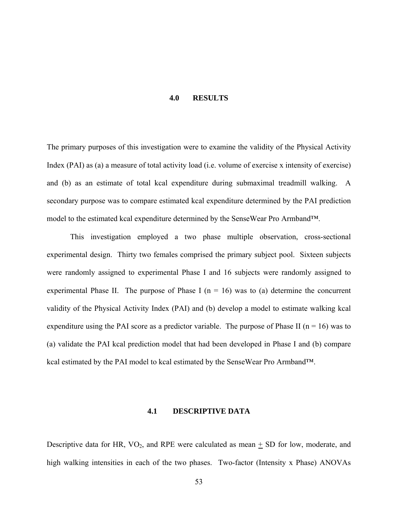#### **4.0 RESULTS**

The primary purposes of this investigation were to examine the validity of the Physical Activity Index (PAI) as (a) a measure of total activity load (i.e. volume of exercise x intensity of exercise) and (b) as an estimate of total kcal expenditure during submaximal treadmill walking. A secondary purpose was to compare estimated kcal expenditure determined by the PAI prediction model to the estimated kcal expenditure determined by the SenseWear Pro Armband™.

This investigation employed a two phase multiple observation, cross-sectional experimental design. Thirty two females comprised the primary subject pool. Sixteen subjects were randomly assigned to experimental Phase I and 16 subjects were randomly assigned to experimental Phase II. The purpose of Phase I ( $n = 16$ ) was to (a) determine the concurrent validity of the Physical Activity Index (PAI) and (b) develop a model to estimate walking kcal expenditure using the PAI score as a predictor variable. The purpose of Phase II ( $n = 16$ ) was to (a) validate the PAI kcal prediction model that had been developed in Phase I and (b) compare kcal estimated by the PAI model to kcal estimated by the SenseWear Pro Armband™.

## **4.1 DESCRIPTIVE DATA**

Descriptive data for HR,  $VO_2$ , and RPE were calculated as mean  $\pm$  SD for low, moderate, and high walking intensities in each of the two phases. Two-factor (Intensity x Phase) ANOVAs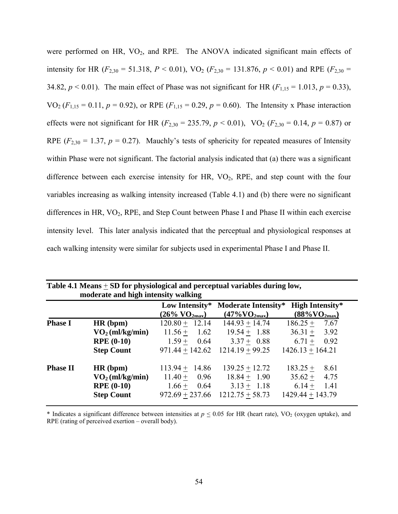were performed on HR,  $VO<sub>2</sub>$ , and RPE. The ANOVA indicated significant main effects of intensity for HR ( $F_{2,30}$  = 51.318,  $P < 0.01$ ), VO<sub>2</sub> ( $F_{2,30}$  = 131.876,  $p < 0.01$ ) and RPE ( $F_{2,30}$  = 34.82,  $p < 0.01$ ). The main effect of Phase was not significant for HR ( $F_{1,15} = 1.013$ ,  $p = 0.33$ ), VO<sub>2</sub> ( $F_{1,15} = 0.11$ ,  $p = 0.92$ ), or RPE ( $F_{1,15} = 0.29$ ,  $p = 0.60$ ). The Intensity x Phase interaction effects were not significant for HR ( $F_{2,30} = 235.79$ ,  $p < 0.01$ ), VO<sub>2</sub> ( $F_{2,30} = 0.14$ ,  $p = 0.87$ ) or RPE ( $F_{2,30}$  = 1.37,  $p = 0.27$ ). Mauchly's tests of sphericity for repeated measures of Intensity within Phase were not significant. The factorial analysis indicated that (a) there was a significant difference between each exercise intensity for HR,  $VO<sub>2</sub>$ , RPE, and step count with the four variables increasing as walking intensity increased (Table 4.1) and (b) there were no significant differences in HR, VO<sub>2</sub>, RPE, and Step Count between Phase I and Phase II within each exercise intensity level. This later analysis indicated that the perceptual and physiological responses at each walking intensity were similar for subjects used in experimental Phase I and Phase II.

| <b>Table 4.1 Means CD Toll physiological and perceptual variables during low,</b><br>moderate and high intensity walking |                         |                                   |                                  |                               |
|--------------------------------------------------------------------------------------------------------------------------|-------------------------|-----------------------------------|----------------------------------|-------------------------------|
|                                                                                                                          |                         | Low Intensity*                    | <b>Moderate Intensity*</b>       | <b>High Intensity*</b>        |
|                                                                                                                          |                         | $(26\% \text{ VO}_{2\text{max}})$ | $(47\% \text{VO}_{2\text{max}})$ | $(88\% \overline{VO_{2max}})$ |
| <b>Phase I</b>                                                                                                           | HR(bpm)                 | $120.80 + 12.14$                  | $144.93 + 14.74$                 | $186.25 + 7.67$               |
|                                                                                                                          | $\rm{VO}_2$ (ml/kg/min) | 1.62<br>$11.56 +$                 | $19.54 + 1.88$                   | $36.31 + 3.92$                |
|                                                                                                                          | <b>RPE</b> (0-10)       | $1.59 +$<br>0.64                  | $3.37 + 0.88$                    | $6.71 + 0.92$                 |
|                                                                                                                          | <b>Step Count</b>       | $971.44 + 142.62$                 | $1214.19 + 99.25$                | $1426.13 + 164.21$            |
| <b>Phase II</b>                                                                                                          | HR(bpm)                 | $113.94 + 14.86$                  | $139.25 + 12.72$                 | $183.25 +$<br>8.61            |
|                                                                                                                          | $\rm VO_2$ (ml/kg/min)  | $11.40 +$<br>0.96                 | $18.84 + 1.90$                   | $35.62 + 4.75$                |
|                                                                                                                          | <b>RPE</b> (0-10)       | $1.66 +$<br>0.64                  | $3.13 + 1.18$                    | $6.14 + 1.41$                 |
|                                                                                                                          | <b>Step Count</b>       | $972.69 + 237.66$                 | $1212.75 + 58.73$                | $1429.44 + 143.79$            |

| Table 4.1 Means $\pm$ SD for physiological and perceptual variables during low, |
|---------------------------------------------------------------------------------|
| moderate and high intensity walking                                             |

\* Indicates a significant difference between intensities at  $p \le 0.05$  for HR (heart rate), VO<sub>2</sub> (oxygen uptake), and RPE (rating of perceived exertion – overall body).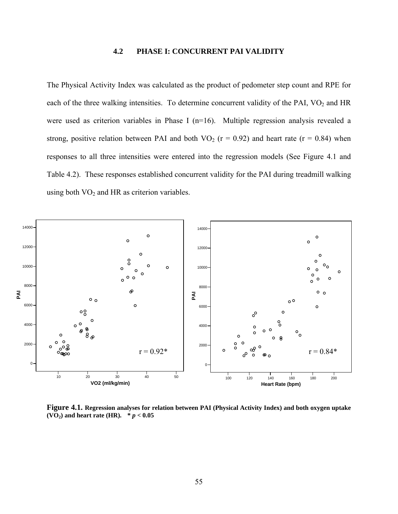## **4.2 PHASE I: CONCURRENT PAI VALIDITY**

The Physical Activity Index was calculated as the product of pedometer step count and RPE for each of the three walking intensities. To determine concurrent validity of the PAI, VO<sub>2</sub> and HR were used as criterion variables in Phase I (n=16). Multiple regression analysis revealed a strong, positive relation between PAI and both  $VO_2$  ( $r = 0.92$ ) and heart rate ( $r = 0.84$ ) when responses to all three intensities were entered into the regression models (See Figure 4.1 and Table 4.2). These responses established concurrent validity for the PAI during treadmill walking using both  $VO<sub>2</sub>$  and HR as criterion variables.



**Figure 4.1. Regression analyses for relation between PAI (Physical Activity Index) and both oxygen uptake (VO<sub>2</sub>) and heart rate (HR).**  $* p < 0.05$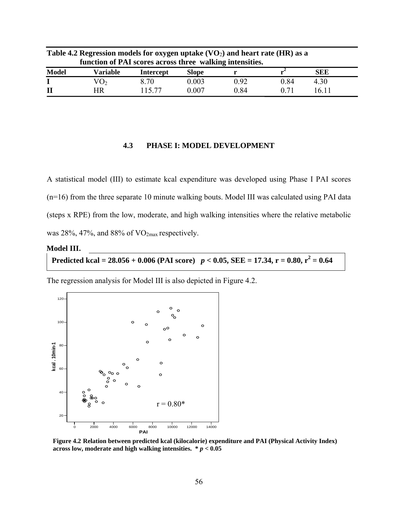| Table 4.2 Regression models for oxygen uptake $(VO2)$ and heart rate (HR) as a<br>function of PAI scores across three walking intensities. |                 |           |              |      |      |            |  |
|--------------------------------------------------------------------------------------------------------------------------------------------|-----------------|-----------|--------------|------|------|------------|--|
| <b>Model</b>                                                                                                                               | Variable        | Intercept | <b>Slope</b> |      |      | <b>SEE</b> |  |
|                                                                                                                                            | VO <sub>2</sub> | 8.70      | 0.003        | 0.92 | 0.84 | 4.30       |  |
| $\mathbf{I}$                                                                                                                               | HR              | 115 77    | 0.007        | 0.84 | 0.71 | 16 11      |  |

#### **4.3 PHASE I: MODEL DEVELOPMENT**

A statistical model (III) to estimate kcal expenditure was developed using Phase I PAI scores (n=16) from the three separate 10 minute walking bouts. Model III was calculated using PAI data (steps x RPE) from the low, moderate, and high walking intensities where the relative metabolic was 28%, 47%, and 88% of  $VO_{2max}$  respectively.

#### **Model III.**

**Predicted kcal = 28.056 + 0.006 (PAI score)**  $p < 0.05$ , SEE = 17.34, r = 0.80, r<sup>2</sup> = 0.64

The regression analysis for Model III is also depicted in Figure 4.2.



**Figure 4.2 Relation between predicted kcal (kilocalorie) expenditure and PAI (Physical Activity Index) across low, moderate and high walking intensities. \*** *p* **< 0.05**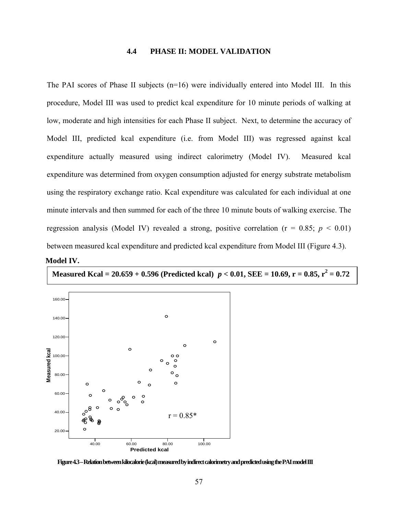## **4.4 PHASE II: MODEL VALIDATION**

The PAI scores of Phase II subjects  $(n=16)$  were individually entered into Model III. In this procedure, Model III was used to predict kcal expenditure for 10 minute periods of walking at low, moderate and high intensities for each Phase II subject. Next, to determine the accuracy of Model III, predicted kcal expenditure (i.e. from Model III) was regressed against kcal expenditure actually measured using indirect calorimetry (Model IV). Measured kcal expenditure was determined from oxygen consumption adjusted for energy substrate metabolism using the respiratory exchange ratio. Kcal expenditure was calculated for each individual at one minute intervals and then summed for each of the three 10 minute bouts of walking exercise. The regression analysis (Model IV) revealed a strong, positive correlation ( $r = 0.85$ ;  $p < 0.01$ ) between measured kcal expenditure and predicted kcal expenditure from Model III (Figure 4.3).

**Model IV.**

**Measured Kcal = 20.659 + 0.596 (Predicted kcal)**  $p < 0.01$ **, SEE = 10.69, r = 0.85, r<sup>2</sup> = 0.72** 



**Figure 4.3 – Relation between kilocalorie (kcal) measured by indirect calorimetry and predicted using the PAI model III**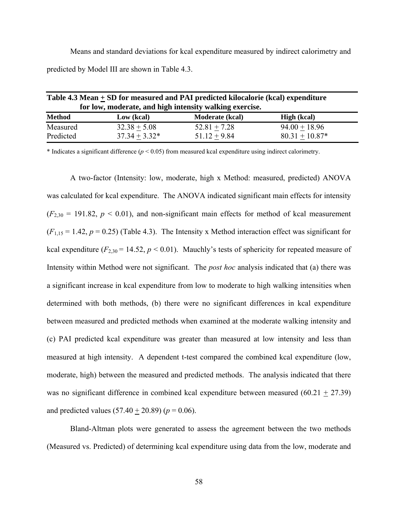Means and standard deviations for kcal expenditure measured by indirect calorimetry and predicted by Model III are shown in Table 4.3.

| Table 4.3 Mean + SD for measured and PAI predicted kilocalorie (kcal) expenditure<br>for low, moderate, and high intensity walking exercise. |                 |                        |                    |  |
|----------------------------------------------------------------------------------------------------------------------------------------------|-----------------|------------------------|--------------------|--|
| <b>Method</b>                                                                                                                                | Low (kcal)      | <b>Moderate (kcal)</b> | <b>High</b> (kcal) |  |
| Measured                                                                                                                                     | $32.38 + 5.08$  | $52.81 + 7.28$         | $94.00 + 18.96$    |  |
| Predicted                                                                                                                                    | $37.34 + 3.32*$ | $51.12 + 9.84$         | $80.31 + 10.87*$   |  |

\* Indicates a significant difference  $(p < 0.05)$  from measured kcal expenditure using indirect calorimetry.

A two-factor (Intensity: low, moderate, high x Method: measured, predicted) ANOVA was calculated for kcal expenditure. The ANOVA indicated significant main effects for intensity  $(F_{2,30} = 191.82, p \le 0.01)$ , and non-significant main effects for method of kcal measurement  $(F_{1.15} = 1.42, p = 0.25)$  (Table 4.3). The Intensity x Method interaction effect was significant for kcal expenditure  $(F_{2,30} = 14.52, p \le 0.01)$ . Mauchly's tests of sphericity for repeated measure of Intensity within Method were not significant. The *post hoc* analysis indicated that (a) there was a significant increase in kcal expenditure from low to moderate to high walking intensities when determined with both methods, (b) there were no significant differences in kcal expenditure between measured and predicted methods when examined at the moderate walking intensity and (c) PAI predicted kcal expenditure was greater than measured at low intensity and less than measured at high intensity. A dependent t-test compared the combined kcal expenditure (low, moderate, high) between the measured and predicted methods. The analysis indicated that there was no significant difference in combined kcal expenditure between measured (60.21 + 27.39) and predicted values  $(57.40 + 20.89)$  ( $p = 0.06$ ).

Bland-Altman plots were generated to assess the agreement between the two methods (Measured vs. Predicted) of determining kcal expenditure using data from the low, moderate and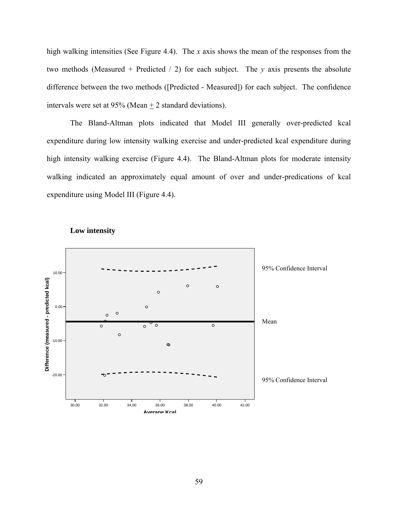high walking intensities (See Figure 4.4). The *x* axis shows the mean of the responses from the two methods (Measured + Predicted / 2) for each subject. The *y* axis presents the absolute difference between the two methods ([Predicted - Measured]) for each subject. The confidence intervals were set at 95% (Mean + 2 standard deviations).

The Bland-Altman plots indicated that Model III generally over-predicted kcal expenditure during low intensity walking exercise and under-predicted kcal expenditure during high intensity walking exercise (Figure 4.4). The Bland-Altman plots for moderate intensity walking indicated an approximately equal amount of over and under-predications of kcal expenditure using Model III (Figure 4.4).



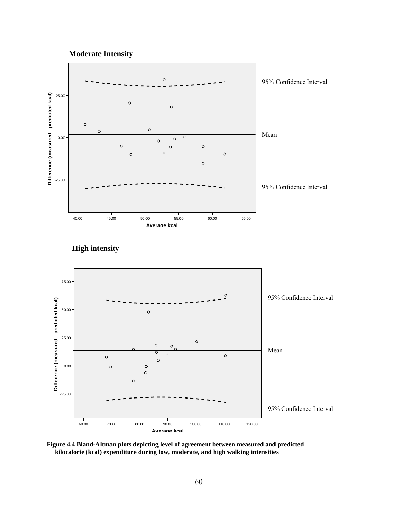





**Figure 4.4 Bland-Altman plots depicting level of agreement between measured and predicted kilocalorie (kcal) expenditure during low, moderate, and high walking intensities**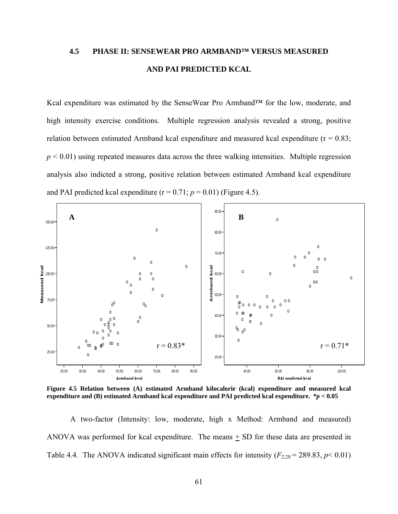# **4.5 PHASE II: SENSEWEAR PRO ARMBAND™ VERSUS MEASURED AND PAI PREDICTED KCAL**

Kcal expenditure was estimated by the SenseWear Pro Armband™ for the low, moderate, and high intensity exercise conditions. Multiple regression analysis revealed a strong, positive relation between estimated Armband kcal expenditure and measured kcal expenditure ( $r = 0.83$ ;  $p < 0.01$ ) using repeated measures data across the three walking intensities. Multiple regression analysis also indicted a strong, positive relation between estimated Armband kcal expenditure and PAI predicted kcal expenditure  $(r = 0.71; p = 0.01)$  (Figure 4.5).



**Figure 4.5 Relation between (A) estimated Armband kilocalorie (kcal) expenditure and measured kcal expenditure and (B) estimated Armband kcal expenditure and PAI predicted kcal expenditure. \****p* **< 0.05** 

A two-factor (Intensity: low, moderate, high x Method: Armband and measured) ANOVA was performed for kcal expenditure. The means + SD for these data are presented in Table 4.4. The ANOVA indicated significant main effects for intensity  $(F_{2,28} = 289.83, p < 0.01)$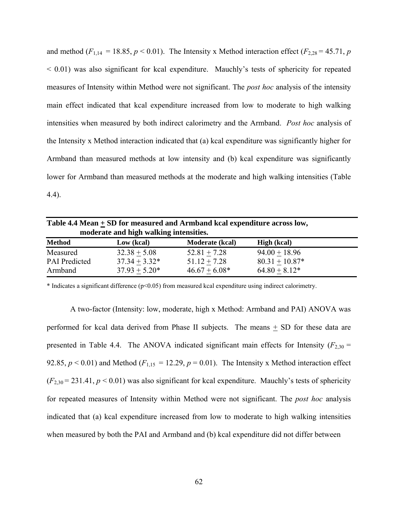and method ( $F_{1,14} = 18.85$ ,  $p < 0.01$ ). The Intensity x Method interaction effect ( $F_{2,28} = 45.71$ ,  $p$  $<$  0.01) was also significant for kcal expenditure. Mauchly's tests of sphericity for repeated measures of Intensity within Method were not significant. The *post hoc* analysis of the intensity main effect indicated that kcal expenditure increased from low to moderate to high walking intensities when measured by both indirect calorimetry and the Armband. *Post hoc* analysis of the Intensity x Method interaction indicated that (a) kcal expenditure was significantly higher for Armband than measured methods at low intensity and (b) kcal expenditure was significantly lower for Armband than measured methods at the moderate and high walking intensities (Table 4.4).

| Table 4.4 Mean $\pm$ SD for measured and Armband kcal expenditure across low,<br>moderate and high walking intensities. |                 |                        |                    |  |
|-------------------------------------------------------------------------------------------------------------------------|-----------------|------------------------|--------------------|--|
| <b>Method</b>                                                                                                           | Low (kcal)      | <b>Moderate (kcal)</b> | <b>High</b> (kcal) |  |
| Measured                                                                                                                | $32.38 + 5.08$  | $52.81 + 7.28$         | $94.00 + 18.96$    |  |
| <b>PAI</b> Predicted                                                                                                    | $37.34 + 3.32*$ | $51.12 + 7.28$         | $80.31 + 10.87*$   |  |
| Armband                                                                                                                 | $37.93 + 5.20*$ | $46.67 + 6.08*$        | $64.80 + 8.12*$    |  |

\* Indicates a significant difference (p<0.05) from measured kcal expenditure using indirect calorimetry.

A two-factor (Intensity: low, moderate, high x Method: Armband and PAI) ANOVA was performed for kcal data derived from Phase II subjects. The means  $\pm$  SD for these data are presented in Table 4.4. The ANOVA indicated significant main effects for Intensity ( $F_{2,30}$  = 92.85,  $p < 0.01$ ) and Method ( $F_{1,15} = 12.29$ ,  $p = 0.01$ ). The Intensity x Method interaction effect  $(F_{2,30} = 231.41, p < 0.01)$  was also significant for kcal expenditure. Mauchly's tests of sphericity for repeated measures of Intensity within Method were not significant. The *post hoc* analysis indicated that (a) kcal expenditure increased from low to moderate to high walking intensities when measured by both the PAI and Armband and (b) kcal expenditure did not differ between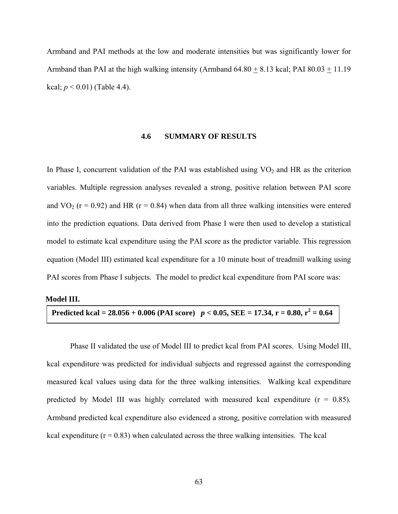Armband and PAI methods at the low and moderate intensities but was significantly lower for Armband than PAI at the high walking intensity (Armband 64.80 + 8.13 kcal; PAI 80.03 + 11.19 kcal;  $p < 0.01$ ) (Table 4.4).

## **4.6 SUMMARY OF RESULTS**

In Phase I, concurrent validation of the PAI was established using  $VO<sub>2</sub>$  and HR as the criterion variables. Multiple regression analyses revealed a strong, positive relation between PAI score and  $VO<sub>2</sub>$  (r = 0.92) and HR (r = 0.84) when data from all three walking intensities were entered into the prediction equations. Data derived from Phase I were then used to develop a statistical model to estimate kcal expenditure using the PAI score as the predictor variable. This regression equation (Model III) estimated kcal expenditure for a 10 minute bout of treadmill walking using PAI scores from Phase I subjects. The model to predict kcal expenditure from PAI score was:

#### **Model III.**

Predicted kcal = 
$$
28.056 + 0.006
$$
 (PAI score)  $p < 0.05$ ,  $SEE = 17.34$ ,  $r = 0.80$ ,  $r^2 = 0.64$ 

Phase II validated the use of Model III to predict kcal from PAI scores. Using Model III, kcal expenditure was predicted for individual subjects and regressed against the corresponding measured kcal values using data for the three walking intensities. Walking kcal expenditure predicted by Model III was highly correlated with measured kcal expenditure  $(r = 0.85)$ . Armband predicted kcal expenditure also evidenced a strong, positive correlation with measured kcal expenditure  $(r = 0.83)$  when calculated across the three walking intensities. The kcal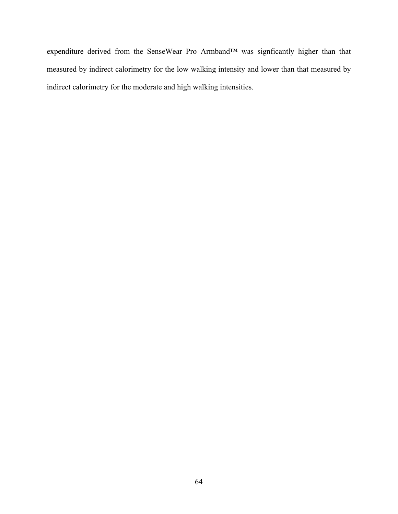expenditure derived from the SenseWear Pro Armband™ was signficantly higher than that measured by indirect calorimetry for the low walking intensity and lower than that measured by indirect calorimetry for the moderate and high walking intensities.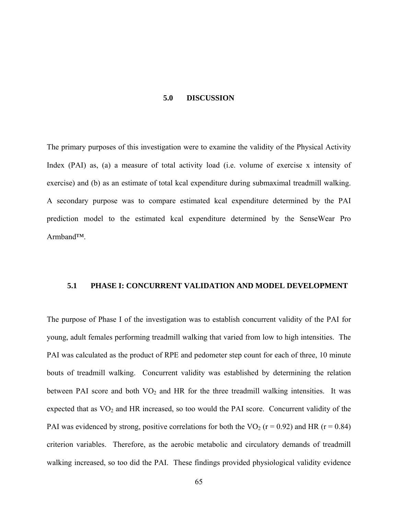#### **5.0 DISCUSSION**

The primary purposes of this investigation were to examine the validity of the Physical Activity Index (PAI) as, (a) a measure of total activity load (i.e. volume of exercise x intensity of exercise) and (b) as an estimate of total kcal expenditure during submaximal treadmill walking. A secondary purpose was to compare estimated kcal expenditure determined by the PAI prediction model to the estimated kcal expenditure determined by the SenseWear Pro Armband™.

# **5.1 PHASE I: CONCURRENT VALIDATION AND MODEL DEVELOPMENT**

The purpose of Phase I of the investigation was to establish concurrent validity of the PAI for young, adult females performing treadmill walking that varied from low to high intensities. The PAI was calculated as the product of RPE and pedometer step count for each of three, 10 minute bouts of treadmill walking. Concurrent validity was established by determining the relation between PAI score and both  $VO<sub>2</sub>$  and HR for the three treadmill walking intensities. It was expected that as  $VO<sub>2</sub>$  and HR increased, so too would the PAI score. Concurrent validity of the PAI was evidenced by strong, positive correlations for both the VO<sub>2</sub> ( $r = 0.92$ ) and HR ( $r = 0.84$ ) criterion variables. Therefore, as the aerobic metabolic and circulatory demands of treadmill walking increased, so too did the PAI. These findings provided physiological validity evidence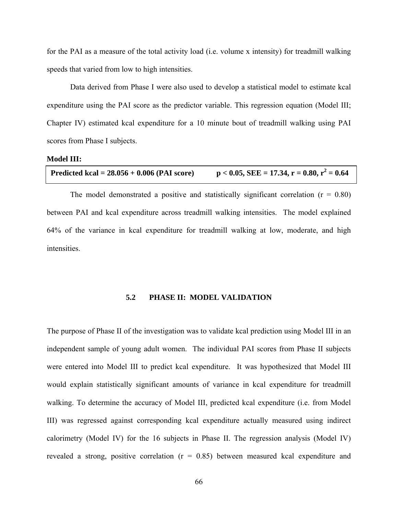for the PAI as a measure of the total activity load (i.e. volume x intensity) for treadmill walking speeds that varied from low to high intensities.

Data derived from Phase I were also used to develop a statistical model to estimate kcal expenditure using the PAI score as the predictor variable. This regression equation (Model III; Chapter IV) estimated kcal expenditure for a 10 minute bout of treadmill walking using PAI scores from Phase I subjects.

### **Model III:**

| Predicted kcal = $28.056 + 0.006$ (PAI score) | $p < 0.05$ , SEE = 17.34, r = 0.80, r <sup>2</sup> = 0.64 |
|-----------------------------------------------|-----------------------------------------------------------|
|-----------------------------------------------|-----------------------------------------------------------|

The model demonstrated a positive and statistically significant correlation  $(r = 0.80)$ between PAI and kcal expenditure across treadmill walking intensities. The model explained 64% of the variance in kcal expenditure for treadmill walking at low, moderate, and high intensities.

# **5.2 PHASE II: MODEL VALIDATION**

The purpose of Phase II of the investigation was to validate kcal prediction using Model III in an independent sample of young adult women. The individual PAI scores from Phase II subjects were entered into Model III to predict kcal expenditure. It was hypothesized that Model III would explain statistically significant amounts of variance in kcal expenditure for treadmill walking. To determine the accuracy of Model III, predicted kcal expenditure (i.e. from Model III) was regressed against corresponding kcal expenditure actually measured using indirect calorimetry (Model IV) for the 16 subjects in Phase II. The regression analysis (Model IV) revealed a strong, positive correlation  $(r = 0.85)$  between measured kcal expenditure and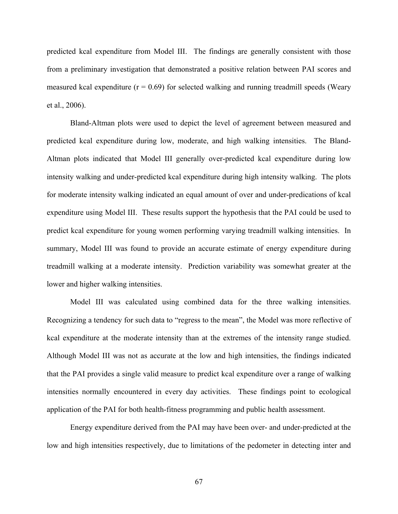predicted kcal expenditure from Model III. The findings are generally consistent with those from a preliminary investigation that demonstrated a positive relation between PAI scores and measured kcal expenditure ( $r = 0.69$ ) for selected walking and running treadmill speeds (Weary et al., 2006).

Bland-Altman plots were used to depict the level of agreement between measured and predicted kcal expenditure during low, moderate, and high walking intensities. The Bland-Altman plots indicated that Model III generally over-predicted kcal expenditure during low intensity walking and under-predicted kcal expenditure during high intensity walking. The plots for moderate intensity walking indicated an equal amount of over and under-predications of kcal expenditure using Model III. These results support the hypothesis that the PAI could be used to predict kcal expenditure for young women performing varying treadmill walking intensities. In summary, Model III was found to provide an accurate estimate of energy expenditure during treadmill walking at a moderate intensity. Prediction variability was somewhat greater at the lower and higher walking intensities.

Model III was calculated using combined data for the three walking intensities. Recognizing a tendency for such data to "regress to the mean", the Model was more reflective of kcal expenditure at the moderate intensity than at the extremes of the intensity range studied. Although Model III was not as accurate at the low and high intensities, the findings indicated that the PAI provides a single valid measure to predict kcal expenditure over a range of walking intensities normally encountered in every day activities. These findings point to ecological application of the PAI for both health-fitness programming and public health assessment.

Energy expenditure derived from the PAI may have been over- and under-predicted at the low and high intensities respectively, due to limitations of the pedometer in detecting inter and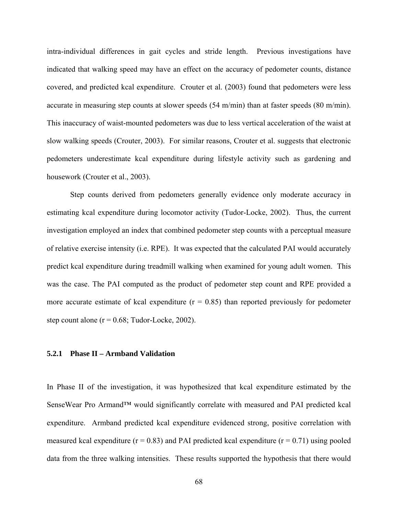intra-individual differences in gait cycles and stride length. Previous investigations have indicated that walking speed may have an effect on the accuracy of pedometer counts, distance covered, and predicted kcal expenditure. Crouter et al. (2003) found that pedometers were less accurate in measuring step counts at slower speeds (54 m/min) than at faster speeds (80 m/min). This inaccuracy of waist-mounted pedometers was due to less vertical acceleration of the waist at slow walking speeds (Crouter, 2003). For similar reasons, Crouter et al. suggests that electronic pedometers underestimate kcal expenditure during lifestyle activity such as gardening and housework (Crouter et al., 2003).

Step counts derived from pedometers generally evidence only moderate accuracy in estimating kcal expenditure during locomotor activity (Tudor-Locke, 2002). Thus, the current investigation employed an index that combined pedometer step counts with a perceptual measure of relative exercise intensity (i.e. RPE). It was expected that the calculated PAI would accurately predict kcal expenditure during treadmill walking when examined for young adult women. This was the case. The PAI computed as the product of pedometer step count and RPE provided a more accurate estimate of kcal expenditure  $(r = 0.85)$  than reported previously for pedometer step count alone  $(r = 0.68; \text{ Tudor-Locke}, 2002)$ .

# **5.2.1 Phase II – Armband Validation**

In Phase II of the investigation, it was hypothesized that kcal expenditure estimated by the SenseWear Pro Armand<sup>™</sup> would significantly correlate with measured and PAI predicted kcal expenditure. Armband predicted kcal expenditure evidenced strong, positive correlation with measured kcal expenditure ( $r = 0.83$ ) and PAI predicted kcal expenditure ( $r = 0.71$ ) using pooled data from the three walking intensities. These results supported the hypothesis that there would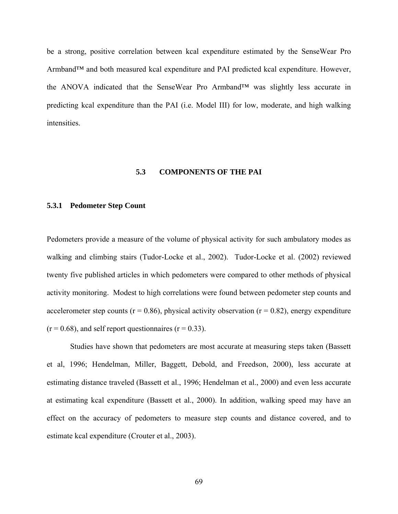be a strong, positive correlation between kcal expenditure estimated by the SenseWear Pro Armband™ and both measured kcal expenditure and PAI predicted kcal expenditure. However, the ANOVA indicated that the SenseWear Pro Armband™ was slightly less accurate in predicting kcal expenditure than the PAI (i.e. Model III) for low, moderate, and high walking intensities.

# **5.3 COMPONENTS OF THE PAI**

## **5.3.1 Pedometer Step Count**

Pedometers provide a measure of the volume of physical activity for such ambulatory modes as walking and climbing stairs (Tudor-Locke et al., 2002). Tudor-Locke et al. (2002) reviewed twenty five published articles in which pedometers were compared to other methods of physical activity monitoring. Modest to high correlations were found between pedometer step counts and accelerometer step counts ( $r = 0.86$ ), physical activity observation ( $r = 0.82$ ), energy expenditure  $(r = 0.68)$ , and self report questionnaires  $(r = 0.33)$ .

Studies have shown that pedometers are most accurate at measuring steps taken (Bassett et al, 1996; Hendelman, Miller, Baggett, Debold, and Freedson, 2000), less accurate at estimating distance traveled (Bassett et al., 1996; Hendelman et al., 2000) and even less accurate at estimating kcal expenditure (Bassett et al., 2000). In addition, walking speed may have an effect on the accuracy of pedometers to measure step counts and distance covered, and to estimate kcal expenditure (Crouter et al., 2003).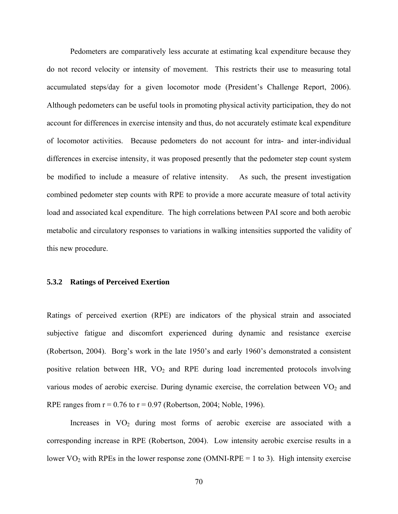Pedometers are comparatively less accurate at estimating kcal expenditure because they do not record velocity or intensity of movement. This restricts their use to measuring total accumulated steps/day for a given locomotor mode (President's Challenge Report, 2006). Although pedometers can be useful tools in promoting physical activity participation, they do not account for differences in exercise intensity and thus, do not accurately estimate kcal expenditure of locomotor activities. Because pedometers do not account for intra- and inter-individual differences in exercise intensity, it was proposed presently that the pedometer step count system be modified to include a measure of relative intensity. As such, the present investigation combined pedometer step counts with RPE to provide a more accurate measure of total activity load and associated kcal expenditure. The high correlations between PAI score and both aerobic metabolic and circulatory responses to variations in walking intensities supported the validity of this new procedure.

# **5.3.2 Ratings of Perceived Exertion**

Ratings of perceived exertion (RPE) are indicators of the physical strain and associated subjective fatigue and discomfort experienced during dynamic and resistance exercise (Robertson, 2004). Borg's work in the late 1950's and early 1960's demonstrated a consistent positive relation between HR,  $VO<sub>2</sub>$  and RPE during load incremented protocols involving various modes of aerobic exercise. During dynamic exercise, the correlation between  $VO<sub>2</sub>$  and RPE ranges from  $r = 0.76$  to  $r = 0.97$  (Robertson, 2004; Noble, 1996).

Increases in  $VO<sub>2</sub>$  during most forms of aerobic exercise are associated with a corresponding increase in RPE (Robertson, 2004). Low intensity aerobic exercise results in a lower  $VO<sub>2</sub>$  with RPEs in the lower response zone (OMNI-RPE = 1 to 3). High intensity exercise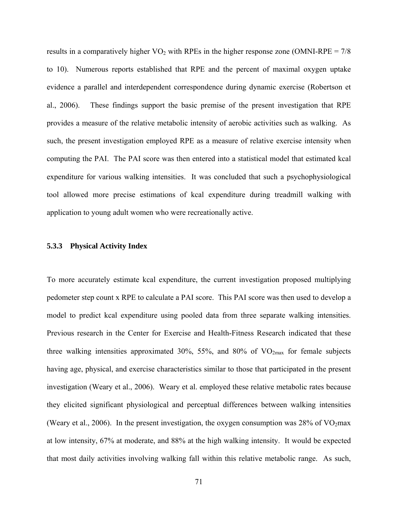results in a comparatively higher  $VO<sub>2</sub>$  with RPEs in the higher response zone (OMNI-RPE = 7/8 to 10). Numerous reports established that RPE and the percent of maximal oxygen uptake evidence a parallel and interdependent correspondence during dynamic exercise (Robertson et al., 2006). These findings support the basic premise of the present investigation that RPE provides a measure of the relative metabolic intensity of aerobic activities such as walking. As such, the present investigation employed RPE as a measure of relative exercise intensity when computing the PAI. The PAI score was then entered into a statistical model that estimated kcal expenditure for various walking intensities. It was concluded that such a psychophysiological tool allowed more precise estimations of kcal expenditure during treadmill walking with application to young adult women who were recreationally active.

# **5.3.3 Physical Activity Index**

To more accurately estimate kcal expenditure, the current investigation proposed multiplying pedometer step count x RPE to calculate a PAI score. This PAI score was then used to develop a model to predict kcal expenditure using pooled data from three separate walking intensities. Previous research in the Center for Exercise and Health-Fitness Research indicated that these three walking intensities approximated 30%, 55%, and 80% of  $VO<sub>2max</sub>$  for female subjects having age, physical, and exercise characteristics similar to those that participated in the present investigation (Weary et al., 2006). Weary et al. employed these relative metabolic rates because they elicited significant physiological and perceptual differences between walking intensities (Weary et al., 2006). In the present investigation, the oxygen consumption was 28% of VO<sub>2</sub>max at low intensity, 67% at moderate, and 88% at the high walking intensity. It would be expected that most daily activities involving walking fall within this relative metabolic range. As such,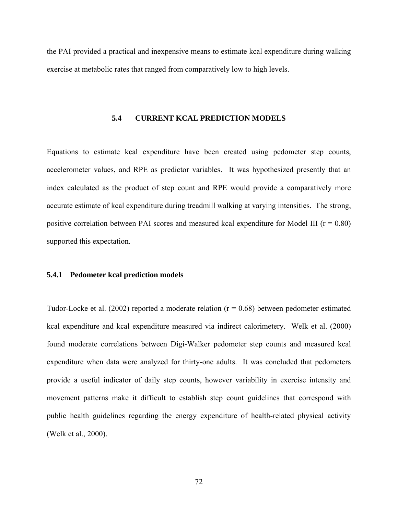the PAI provided a practical and inexpensive means to estimate kcal expenditure during walking exercise at metabolic rates that ranged from comparatively low to high levels.

# **5.4 CURRENT KCAL PREDICTION MODELS**

Equations to estimate kcal expenditure have been created using pedometer step counts, accelerometer values, and RPE as predictor variables. It was hypothesized presently that an index calculated as the product of step count and RPE would provide a comparatively more accurate estimate of kcal expenditure during treadmill walking at varying intensities. The strong, positive correlation between PAI scores and measured kcal expenditure for Model III ( $r = 0.80$ ) supported this expectation.

# **5.4.1 Pedometer kcal prediction models**

Tudor-Locke et al. (2002) reported a moderate relation ( $r = 0.68$ ) between pedometer estimated kcal expenditure and kcal expenditure measured via indirect calorimetery. Welk et al. (2000) found moderate correlations between Digi-Walker pedometer step counts and measured kcal expenditure when data were analyzed for thirty-one adults. It was concluded that pedometers provide a useful indicator of daily step counts, however variability in exercise intensity and movement patterns make it difficult to establish step count guidelines that correspond with public health guidelines regarding the energy expenditure of health-related physical activity (Welk et al., 2000).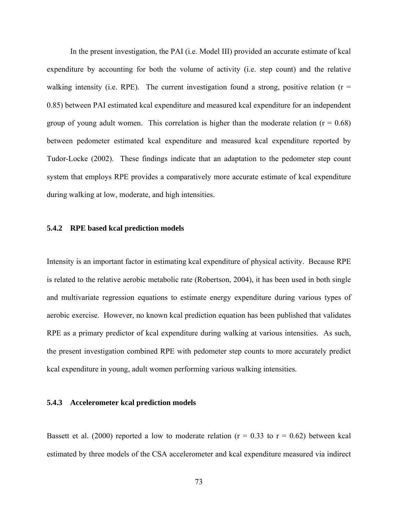In the present investigation, the PAI (i.e. Model III) provided an accurate estimate of kcal expenditure by accounting for both the volume of activity (i.e. step count) and the relative walking intensity (i.e. RPE). The current investigation found a strong, positive relation ( $r =$ 0.85) between PAI estimated kcal expenditure and measured kcal expenditure for an independent group of young adult women. This correlation is higher than the moderate relation ( $r = 0.68$ ) between pedometer estimated kcal expenditure and measured kcal expenditure reported by Tudor-Locke (2002). These findings indicate that an adaptation to the pedometer step count system that employs RPE provides a comparatively more accurate estimate of kcal expenditure during walking at low, moderate, and high intensities.

# **5.4.2 RPE based kcal prediction models**

Intensity is an important factor in estimating kcal expenditure of physical activity. Because RPE is related to the relative aerobic metabolic rate (Robertson, 2004), it has been used in both single and multivariate regression equations to estimate energy expenditure during various types of aerobic exercise. However, no known kcal prediction equation has been published that validates RPE as a primary predictor of kcal expenditure during walking at various intensities. As such, the present investigation combined RPE with pedometer step counts to more accurately predict kcal expenditure in young, adult women performing various walking intensities.

# **5.4.3 Accelerometer kcal prediction models**

Bassett et al. (2000) reported a low to moderate relation ( $r = 0.33$  to  $r = 0.62$ ) between kcal estimated by three models of the CSA accelerometer and kcal expenditure measured via indirect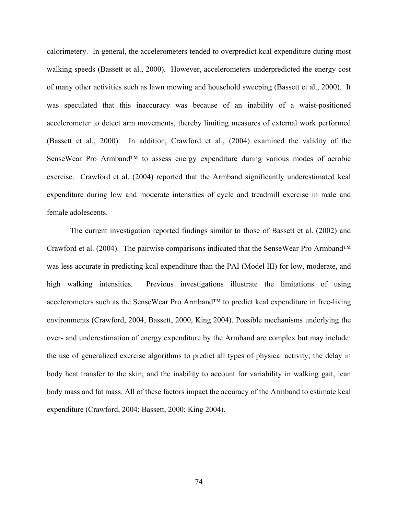calorimetery. In general, the accelerometers tended to overpredict kcal expenditure during most walking speeds (Bassett et al., 2000). However, accelerometers underpredicted the energy cost of many other activities such as lawn mowing and household sweeping (Bassett et al., 2000). It was speculated that this inaccuracy was because of an inability of a waist-positioned accelerometer to detect arm movements, thereby limiting measures of external work performed (Bassett et al., 2000). In addition, Crawford et al., (2004) examined the validity of the SenseWear Pro Armband<sup>™</sup> to assess energy expenditure during various modes of aerobic exercise. Crawford et al. (2004) reported that the Armband significantly underestimated kcal expenditure during low and moderate intensities of cycle and treadmill exercise in male and female adolescents.

The current investigation reported findings similar to those of Bassett et al. (2002) and Crawford et al. (2004). The pairwise comparisons indicated that the SenseWear Pro Armband™ was less accurate in predicting kcal expenditure than the PAI (Model III) for low, moderate, and high walking intensities. Previous investigations illustrate the limitations of using accelerometers such as the SenseWear Pro Armband™ to predict kcal expenditure in free-living environments (Crawford, 2004, Bassett, 2000, King 2004). Possible mechanisms underlying the over- and underestimation of energy expenditure by the Armband are complex but may include: the use of generalized exercise algorithms to predict all types of physical activity; the delay in body heat transfer to the skin; and the inability to account for variability in walking gait, lean body mass and fat mass. All of these factors impact the accuracy of the Armband to estimate kcal expenditure (Crawford, 2004; Bassett, 2000; King 2004).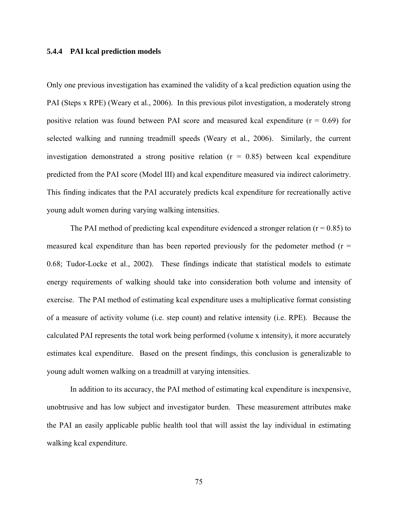# **5.4.4 PAI kcal prediction models**

Only one previous investigation has examined the validity of a kcal prediction equation using the PAI (Steps x RPE) (Weary et al., 2006). In this previous pilot investigation, a moderately strong positive relation was found between PAI score and measured kcal expenditure  $(r = 0.69)$  for selected walking and running treadmill speeds (Weary et al., 2006). Similarly, the current investigation demonstrated a strong positive relation  $(r = 0.85)$  between kcal expenditure predicted from the PAI score (Model III) and kcal expenditure measured via indirect calorimetry. This finding indicates that the PAI accurately predicts kcal expenditure for recreationally active young adult women during varying walking intensities.

The PAI method of predicting kcal expenditure evidenced a stronger relation ( $r = 0.85$ ) to measured kcal expenditure than has been reported previously for the pedometer method  $(r =$ 0.68; Tudor-Locke et al., 2002). These findings indicate that statistical models to estimate energy requirements of walking should take into consideration both volume and intensity of exercise. The PAI method of estimating kcal expenditure uses a multiplicative format consisting of a measure of activity volume (i.e. step count) and relative intensity (i.e. RPE). Because the calculated PAI represents the total work being performed (volume x intensity), it more accurately estimates kcal expenditure. Based on the present findings, this conclusion is generalizable to young adult women walking on a treadmill at varying intensities.

In addition to its accuracy, the PAI method of estimating kcal expenditure is inexpensive, unobtrusive and has low subject and investigator burden. These measurement attributes make the PAI an easily applicable public health tool that will assist the lay individual in estimating walking kcal expenditure.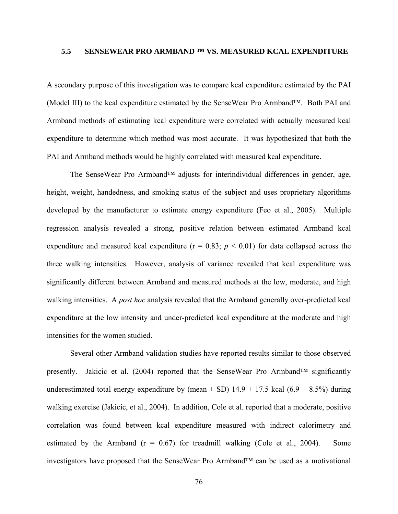# **5.5 SENSEWEAR PRO ARMBAND ™ VS. MEASURED KCAL EXPENDITURE**

A secondary purpose of this investigation was to compare kcal expenditure estimated by the PAI (Model III) to the kcal expenditure estimated by the SenseWear Pro Armband™. Both PAI and Armband methods of estimating kcal expenditure were correlated with actually measured kcal expenditure to determine which method was most accurate. It was hypothesized that both the PAI and Armband methods would be highly correlated with measured kcal expenditure.

The SenseWear Pro Armband<sup>™</sup> adjusts for interindividual differences in gender, age, height, weight, handedness, and smoking status of the subject and uses proprietary algorithms developed by the manufacturer to estimate energy expenditure (Feo et al., 2005). Multiple regression analysis revealed a strong, positive relation between estimated Armband kcal expenditure and measured kcal expenditure ( $r = 0.83$ ;  $p < 0.01$ ) for data collapsed across the three walking intensities. However, analysis of variance revealed that kcal expenditure was significantly different between Armband and measured methods at the low, moderate, and high walking intensities. A *post hoc* analysis revealed that the Armband generally over-predicted kcal expenditure at the low intensity and under-predicted kcal expenditure at the moderate and high intensities for the women studied.

Several other Armband validation studies have reported results similar to those observed presently. Jakicic et al. (2004) reported that the SenseWear Pro Armband™ significantly underestimated total energy expenditure by (mean  $\pm$  SD) 14.9  $\pm$  17.5 kcal (6.9  $\pm$  8.5%) during walking exercise (Jakicic, et al., 2004). In addition, Cole et al. reported that a moderate, positive correlation was found between kcal expenditure measured with indirect calorimetry and estimated by the Armband  $(r = 0.67)$  for treadmill walking (Cole et al., 2004). Some investigators have proposed that the SenseWear Pro Armband™ can be used as a motivational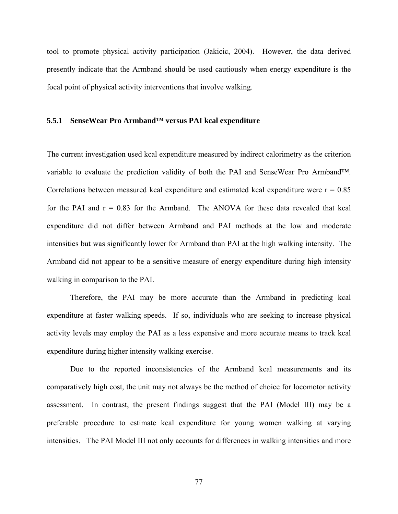tool to promote physical activity participation (Jakicic, 2004). However, the data derived presently indicate that the Armband should be used cautiously when energy expenditure is the focal point of physical activity interventions that involve walking.

# **5.5.1 SenseWear Pro Armband™ versus PAI kcal expenditure**

The current investigation used kcal expenditure measured by indirect calorimetry as the criterion variable to evaluate the prediction validity of both the PAI and SenseWear Pro Armband™. Correlations between measured kcal expenditure and estimated kcal expenditure were  $r = 0.85$ for the PAI and  $r = 0.83$  for the Armband. The ANOVA for these data revealed that kcal expenditure did not differ between Armband and PAI methods at the low and moderate intensities but was significantly lower for Armband than PAI at the high walking intensity. The Armband did not appear to be a sensitive measure of energy expenditure during high intensity walking in comparison to the PAI.

Therefore, the PAI may be more accurate than the Armband in predicting kcal expenditure at faster walking speeds. If so, individuals who are seeking to increase physical activity levels may employ the PAI as a less expensive and more accurate means to track kcal expenditure during higher intensity walking exercise.

Due to the reported inconsistencies of the Armband kcal measurements and its comparatively high cost, the unit may not always be the method of choice for locomotor activity assessment. In contrast, the present findings suggest that the PAI (Model III) may be a preferable procedure to estimate kcal expenditure for young women walking at varying intensities. The PAI Model III not only accounts for differences in walking intensities and more

77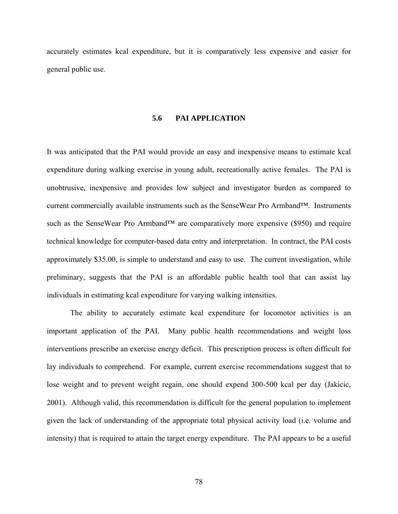accurately estimates kcal expenditure, but it is comparatively less expensive and easier for general public use.

# **5.6 PAI APPLICATION**

It was anticipated that the PAI would provide an easy and inexpensive means to estimate kcal expenditure during walking exercise in young adult, recreationally active females. The PAI is unobtrusive, inexpensive and provides low subject and investigator burden as compared to current commercially available instruments such as the SenseWear Pro Armband™. Instruments such as the SenseWear Pro Armband™ are comparatively more expensive (\$950) and require technical knowledge for computer-based data entry and interpretation. In contract, the PAI costs approximately \$35.00, is simple to understand and easy to use. The current investigation, while preliminary, suggests that the PAI is an affordable public health tool that can assist lay individuals in estimating kcal expenditure for varying walking intensities.

The ability to accurately estimate kcal expenditure for locomotor activities is an important application of the PAI. Many public health recommendations and weight loss interventions prescribe an exercise energy deficit. This prescription process is often difficult for lay individuals to comprehend. For example, current exercise recommendations suggest that to lose weight and to prevent weight regain, one should expend 300-500 kcal per day (Jakicic, 2001). Although valid, this recommendation is difficult for the general population to implement given the lack of understanding of the appropriate total physical activity load (i.e. volume and intensity) that is required to attain the target energy expenditure. The PAI appears to be a useful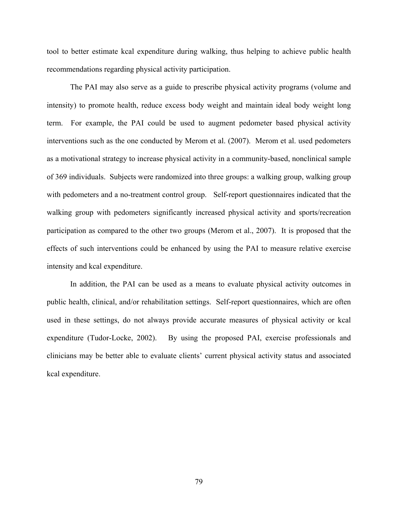tool to better estimate kcal expenditure during walking, thus helping to achieve public health recommendations regarding physical activity participation.

The PAI may also serve as a guide to prescribe physical activity programs (volume and intensity) to promote health, reduce excess body weight and maintain ideal body weight long term. For example, the PAI could be used to augment pedometer based physical activity interventions such as the one conducted by Merom et al. (2007). Merom et al. used pedometers as a motivational strategy to increase physical activity in a community-based, nonclinical sample of 369 individuals. Subjects were randomized into three groups: a walking group, walking group with pedometers and a no-treatment control group. Self-report questionnaires indicated that the walking group with pedometers significantly increased physical activity and sports/recreation participation as compared to the other two groups (Merom et al., 2007). It is proposed that the effects of such interventions could be enhanced by using the PAI to measure relative exercise intensity and kcal expenditure.

In addition, the PAI can be used as a means to evaluate physical activity outcomes in public health, clinical, and/or rehabilitation settings. Self-report questionnaires, which are often used in these settings, do not always provide accurate measures of physical activity or kcal expenditure (Tudor-Locke, 2002). By using the proposed PAI, exercise professionals and clinicians may be better able to evaluate clients' current physical activity status and associated kcal expenditure.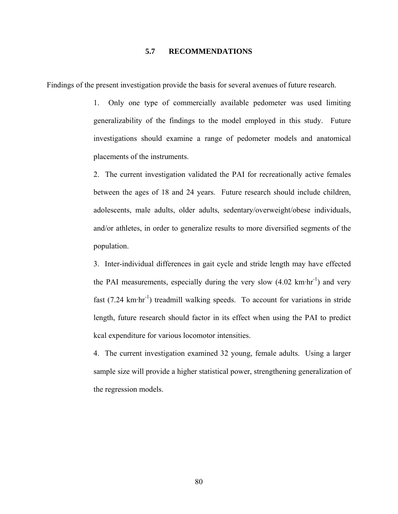# **5.7 RECOMMENDATIONS**

Findings of the present investigation provide the basis for several avenues of future research.

1. Only one type of commercially available pedometer was used limiting generalizability of the findings to the model employed in this study. Future investigations should examine a range of pedometer models and anatomical placements of the instruments.

2. The current investigation validated the PAI for recreationally active females between the ages of 18 and 24 years. Future research should include children, adolescents, male adults, older adults, sedentary/overweight/obese individuals, and/or athletes, in order to generalize results to more diversified segments of the population.

3. Inter-individual differences in gait cycle and stride length may have effected the PAI measurements, especially during the very slow  $(4.02 \text{ km}\cdot\text{hr}^{-1})$  and very fast  $(7.24 \text{ km} \cdot \text{hr}^{-1})$  treadmill walking speeds. To account for variations in stride length, future research should factor in its effect when using the PAI to predict kcal expenditure for various locomotor intensities.

4. The current investigation examined 32 young, female adults. Using a larger sample size will provide a higher statistical power, strengthening generalization of the regression models.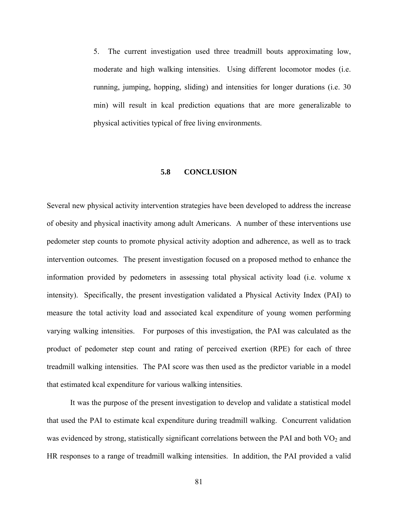5. The current investigation used three treadmill bouts approximating low, moderate and high walking intensities. Using different locomotor modes (i.e. running, jumping, hopping, sliding) and intensities for longer durations (i.e. 30 min) will result in kcal prediction equations that are more generalizable to physical activities typical of free living environments.

# **5.8 CONCLUSION**

Several new physical activity intervention strategies have been developed to address the increase of obesity and physical inactivity among adult Americans. A number of these interventions use pedometer step counts to promote physical activity adoption and adherence, as well as to track intervention outcomes. The present investigation focused on a proposed method to enhance the information provided by pedometers in assessing total physical activity load (i.e. volume x intensity). Specifically, the present investigation validated a Physical Activity Index (PAI) to measure the total activity load and associated kcal expenditure of young women performing varying walking intensities. For purposes of this investigation, the PAI was calculated as the product of pedometer step count and rating of perceived exertion (RPE) for each of three treadmill walking intensities. The PAI score was then used as the predictor variable in a model that estimated kcal expenditure for various walking intensities.

It was the purpose of the present investigation to develop and validate a statistical model that used the PAI to estimate kcal expenditure during treadmill walking. Concurrent validation was evidenced by strong, statistically significant correlations between the PAI and both  $\rm VO_2$  and HR responses to a range of treadmill walking intensities. In addition, the PAI provided a valid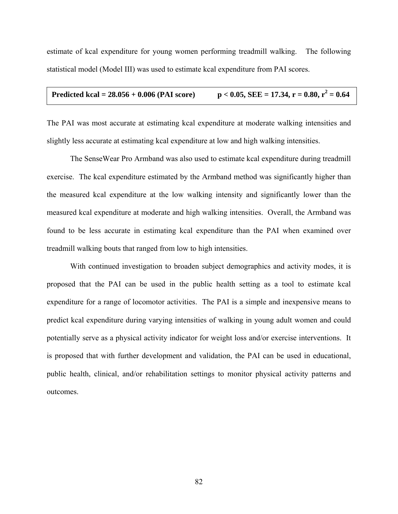estimate of kcal expenditure for young women performing treadmill walking. The following statistical model (Model III) was used to estimate kcal expenditure from PAI scores.

The PAI was most accurate at estimating kcal expenditure at moderate walking intensities and slightly less accurate at estimating kcal expenditure at low and high walking intensities.

The SenseWear Pro Armband was also used to estimate kcal expenditure during treadmill exercise. The kcal expenditure estimated by the Armband method was significantly higher than the measured kcal expenditure at the low walking intensity and significantly lower than the measured kcal expenditure at moderate and high walking intensities. Overall, the Armband was found to be less accurate in estimating kcal expenditure than the PAI when examined over treadmill walking bouts that ranged from low to high intensities.

With continued investigation to broaden subject demographics and activity modes, it is proposed that the PAI can be used in the public health setting as a tool to estimate kcal expenditure for a range of locomotor activities. The PAI is a simple and inexpensive means to predict kcal expenditure during varying intensities of walking in young adult women and could potentially serve as a physical activity indicator for weight loss and/or exercise interventions. It is proposed that with further development and validation, the PAI can be used in educational, public health, clinical, and/or rehabilitation settings to monitor physical activity patterns and outcomes.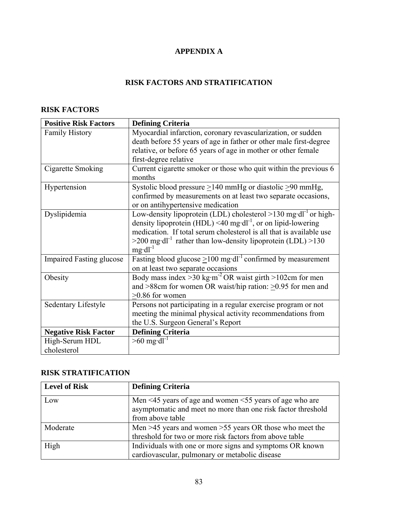# **APPENDIX A**

# **RISK FACTORS AND STRATIFICATION**

# **RISK FACTORS**

| <b>Positive Risk Factors</b>    | <b>Defining Criteria</b>                                                                            |
|---------------------------------|-----------------------------------------------------------------------------------------------------|
| <b>Family History</b>           | Myocardial infarction, coronary revascularization, or sudden                                        |
|                                 | death before 55 years of age in father or other male first-degree                                   |
|                                 | relative, or before 65 years of age in mother or other female                                       |
|                                 | first-degree relative                                                                               |
| Cigarette Smoking               | Current cigarette smoker or those who quit within the previous 6<br>months                          |
| Hypertension                    | Systolic blood pressure $\geq$ 140 mmHg or diastolic $\geq$ 90 mmHg,                                |
|                                 | confirmed by measurements on at least two separate occasions,<br>or on antihypertensive medication  |
| Dyslipidemia                    | Low-density lipoprotein (LDL) cholesterol $>130$ mg·dl <sup>-1</sup> or high-                       |
|                                 | density lipoprotein (HDL) <40 mg·dl <sup>-1</sup> , or on lipid-lowering                            |
|                                 | medication. If total serum cholesterol is all that is available use                                 |
|                                 | $>$ 200 mg·dl <sup>-1</sup> rather than low-density lipoprotein (LDL) $>$ 130<br>$mg \cdot dl^{-1}$ |
| <b>Impaired Fasting glucose</b> | Fasting blood glucose $\geq 100$ mg·dl <sup>-1</sup> confirmed by measurement                       |
|                                 | on at least two separate occasions                                                                  |
| Obesity                         | Body mass index > 30 kg·m <sup>-2</sup> OR waist girth > 102cm for men                              |
|                                 | and $>88$ cm for women OR waist/hip ration: $>0.95$ for men and                                     |
|                                 | $>0.86$ for women                                                                                   |
| Sedentary Lifestyle             | Persons not participating in a regular exercise program or not                                      |
|                                 | meeting the minimal physical activity recommendations from                                          |
|                                 | the U.S. Surgeon General's Report                                                                   |
| <b>Negative Risk Factor</b>     | <b>Defining Criteria</b>                                                                            |
| High-Serum HDL                  | $>60$ mg·dl <sup>-1</sup>                                                                           |
| cholesterol                     |                                                                                                     |

# **RISK STRATIFICATION**

| <b>Level of Risk</b> | <b>Defining Criteria</b>                                                                                                                                |
|----------------------|---------------------------------------------------------------------------------------------------------------------------------------------------------|
| Low                  | Men $\leq$ 45 years of age and women $\leq$ 55 years of age who are<br>asymptomatic and meet no more than one risk factor threshold<br>from above table |
| Moderate             | Men $>45$ years and women $>55$ years OR those who meet the<br>threshold for two or more risk factors from above table                                  |
| High                 | Individuals with one or more signs and symptoms OR known<br>cardiovascular, pulmonary or metabolic disease                                              |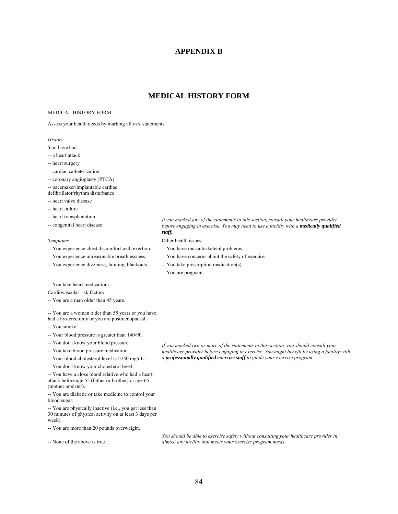# **APPENDIX B**

# **MEDICAL HISTORY FORM**

#### MEDICAL HISTORY FORM

Assess your health needs by marking all *true* statements.

#### *History*

You have had:

- -- a heart attack
- -- heart surgery
- -- cardiac catheterization
- -- coronary angioplasty (PTCA)
- -- pacemaker/implantable cardiac
- defibrillator/rhythm disturbance
- -- heart valve disease
- -- heart failure
- -- heart transplantation
- -- congenital heart disease

- -- You experience chest discomfort with exertion. -- You have musculoskeletal problems.
- -- You experience unreasonable breathlessness. -- You have concerns about the safety of exercise.
- -- You experience dizziness, fainting, blackouts. -- You take prescription medication(s).
- -- You take heart medications.

Cardiovascular risk factors

-- You are a man older than 45 years.

-- You are a woman older than 55 years or you have

- had a hysterectomy or you are postmenopausal.
- -- You smoke.
- -- Your blood pressure is greater than 140/90.
- -- You don't know your blood pressure.
- -- You take blood pressure medication.
- -- Your blood cholesterol level is >240 mg/dL.
- -- You don't know your cholesterol level.

-- You have a close blood relative who had a heart attack before age 55 (father or brother) or age 65 (mother or sister).

-- You are diabetic or take medicine to control your blood sugar.

-- You are physically inactive (i.e., you get less than 30 minutes of physical activity on at least 3 days per week).

-- You are more than 20 pounds overweight.

-- None of the above is true.

*If you marked any of the statements in this section, consult your healthcare provider before engaging in exercise. You may need to use a facility with a medically qualified staff.*

*Symptoms* Other health issues:

- 
- 
- 
- -- You are pregnant.

*If you marked two or more of the statements in this section, you should consult your healthcare provider before engaging in exercise. You might benefit by using a facility with a professionally qualified exercise staff to guide your exercise program.*

*You should be able to exercise safely without consulting your healthcare provider in almost any facility that meets your exercise program needs.*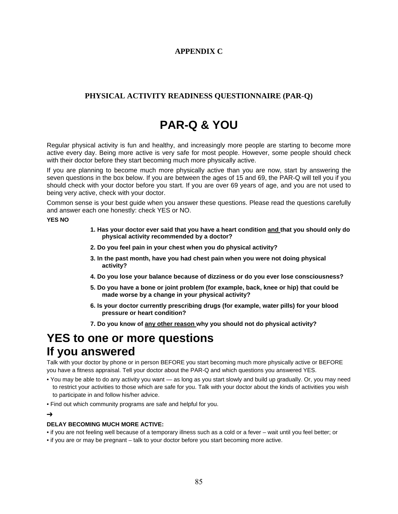# **APPENDIX C**

# **PHYSICAL ACTIVITY READINESS QUESTIONNAIRE (PAR-Q)**

# **PAR-Q & YOU**

Regular physical activity is fun and healthy, and increasingly more people are starting to become more active every day. Being more active is very safe for most people. However, some people should check with their doctor before they start becoming much more physically active.

If you are planning to become much more physically active than you are now, start by answering the seven questions in the box below. If you are between the ages of 15 and 69, the PAR-Q will tell you if you should check with your doctor before you start. If you are over 69 years of age, and you are not used to being very active, check with your doctor.

Common sense is your best guide when you answer these questions. Please read the questions carefully and answer each one honestly: check YES or NO.

#### **YES NO**

- **1. Has your doctor ever said that you have a heart condition and that you should only do physical activity recommended by a doctor?**
- **2. Do you feel pain in your chest when you do physical activity?**
- **3. In the past month, have you had chest pain when you were not doing physical activity?**
- **4. Do you lose your balance because of dizziness or do you ever lose consciousness?**
- **5. Do you have a bone or joint problem (for example, back, knee or hip) that could be made worse by a change in your physical activity?**
- **6. Is your doctor currently prescribing drugs (for example, water pills) for your blood pressure or heart condition?**
- **7. Do you know of any other reason why you should not do physical activity?**

# **YES to one or more questions If you answered**

Talk with your doctor by phone or in person BEFORE you start becoming much more physically active or BEFORE you have a fitness appraisal. Tell your doctor about the PAR-Q and which questions you answered YES.

- You may be able to do any activity you want as long as you start slowly and build up gradually. Or, you may need to restrict your activities to those which are safe for you. Talk with your doctor about the kinds of activities you wish to participate in and follow his/her advice.
- Find out which community programs are safe and helpful for you.

#### ➔

#### **DELAY BECOMING MUCH MORE ACTIVE:**

• if you are not feeling well because of a temporary illness such as a cold or a fever – wait until you feel better; or

• if you are or may be pregnant – talk to your doctor before you start becoming more active.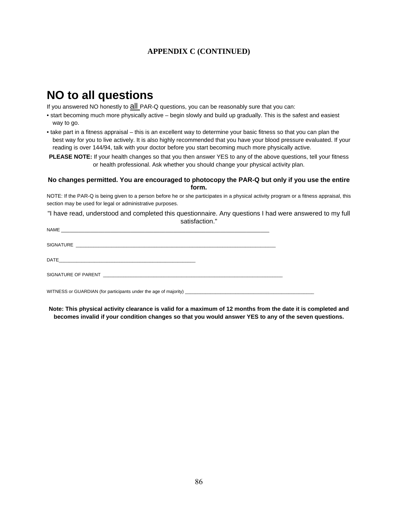# **APPENDIX C (CONTINUED)**

# **NO to all questions**

If you answered NO honestly to  $all$  PAR-Q questions, you can be reasonably sure that you can:

• start becoming much more physically active – begin slowly and build up gradually. This is the safest and easiest way to go.

• take part in a fitness appraisal – this is an excellent way to determine your basic fitness so that you can plan the best way for you to live actively. It is also highly recommended that you have your blood pressure evaluated. If your reading is over 144/94, talk with your doctor before you start becoming much more physically active.

**PLEASE NOTE:** If your health changes so that you then answer YES to any of the above questions, tell your fitness or health professional. Ask whether you should change your physical activity plan.

#### **No changes permitted. You are encouraged to photocopy the PAR-Q but only if you use the entire form.**

NOTE: If the PAR-Q is being given to a person before he or she participates in a physical activity program or a fitness appraisal, this section may be used for legal or administrative purposes.

"I have read, understood and completed this questionnaire. Any questions I had were answered to my full satisfaction."

| WITNESS or GUARDIAN (for participants under the age of majority) ___________________________________ |  |
|------------------------------------------------------------------------------------------------------|--|

**Note: This physical activity clearance is valid for a maximum of 12 months from the date it is completed and becomes invalid if your condition changes so that you would answer YES to any of the seven questions.**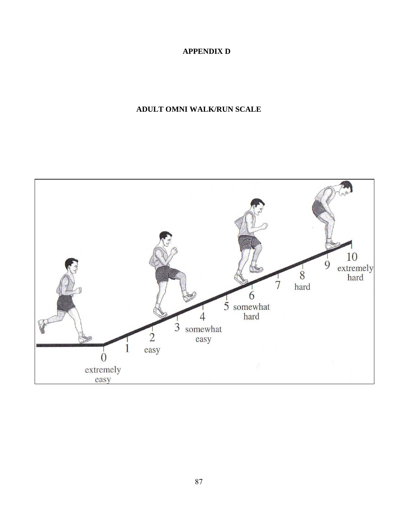# **APPENDIX D**

# **ADULT OMNI WALK/RUN SCALE**

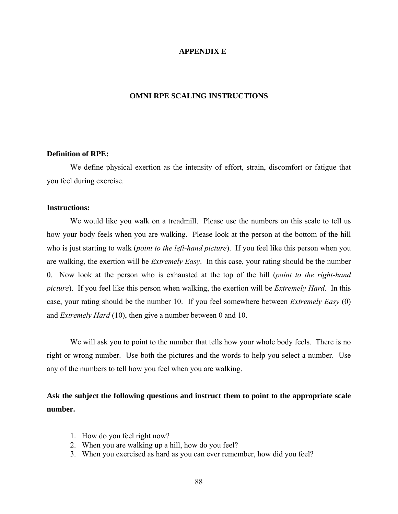## **APPENDIX E**

## **OMNI RPE SCALING INSTRUCTIONS**

# **Definition of RPE:**

We define physical exertion as the intensity of effort, strain, discomfort or fatigue that you feel during exercise.

# **Instructions:**

We would like you walk on a treadmill. Please use the numbers on this scale to tell us how your body feels when you are walking. Please look at the person at the bottom of the hill who is just starting to walk (*point to the left-hand picture*). If you feel like this person when you are walking, the exertion will be *Extremely Easy*. In this case, your rating should be the number 0. Now look at the person who is exhausted at the top of the hill (*point to the right-hand picture*). If you feel like this person when walking, the exertion will be *Extremely Hard*. In this case, your rating should be the number 10. If you feel somewhere between *Extremely Easy* (0) and *Extremely Hard* (10), then give a number between 0 and 10.

We will ask you to point to the number that tells how your whole body feels. There is no right or wrong number. Use both the pictures and the words to help you select a number. Use any of the numbers to tell how you feel when you are walking.

**Ask the subject the following questions and instruct them to point to the appropriate scale number.** 

- 1. How do you feel right now?
- 2. When you are walking up a hill, how do you feel?
- 3. When you exercised as hard as you can ever remember, how did you feel?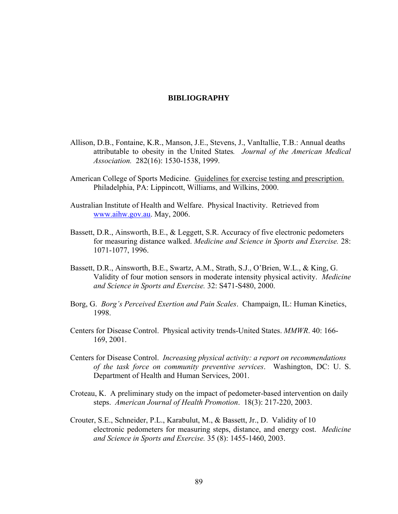# **BIBLIOGRAPHY**

- Allison, D.B., Fontaine, K.R., Manson, J.E., Stevens, J., VanItallie, T.B.: Annual deaths attributable to obesity in the United States*. Journal of the American Medical Association.* 282(16): 1530-1538, 1999.
- American College of Sports Medicine. Guidelines for exercise testing and prescription. Philadelphia, PA: Lippincott, Williams, and Wilkins, 2000.
- Australian Institute of Health and Welfare. Physical Inactivity. Retrieved from [www.aihw.gov.au.](http://www.aihw.gov.au/) May, 2006.
- Bassett, D.R., Ainsworth, B.E., & Leggett, S.R. Accuracy of five electronic pedometers for measuring distance walked. *Medicine and Science in Sports and Exercise.* 28: 1071-1077, 1996.
- Bassett, D.R., Ainsworth, B.E., Swartz, A.M., Strath, S.J., O'Brien, W.L., & King, G. Validity of four motion sensors in moderate intensity physical activity. *Medicine and Science in Sports and Exercise.* 32: S471-S480, 2000.
- Borg, G. *Borg's Perceived Exertion and Pain Scales*. Champaign, IL: Human Kinetics, 1998.
- Centers for Disease Control. Physical activity trends-United States. *MMWR*. 40: 166- 169, 2001.
- Centers for Disease Control. *Increasing physical activity: a report on recommendations of the task force on community preventive services*. Washington, DC: U. S. Department of Health and Human Services, 2001.
- Croteau, K. A preliminary study on the impact of pedometer-based intervention on daily steps. *American Journal of Health Promotion*. 18(3): 217-220, 2003.
- Crouter, S.E., Schneider, P.L., Karabulut, M., & Bassett, Jr., D. Validity of 10 electronic pedometers for measuring steps, distance, and energy cost. *Medicine and Science in Sports and Exercise.* 35 (8): 1455-1460, 2003.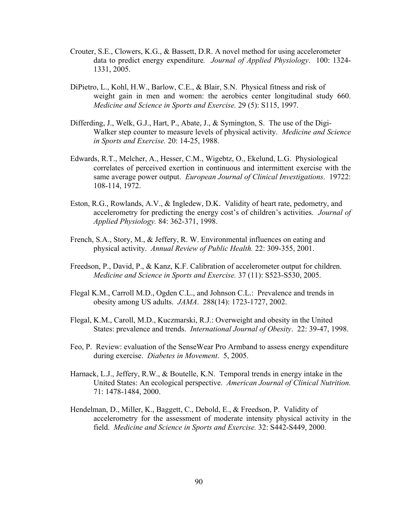- Crouter, S.E., Clowers, K.G., & Bassett, D.R. A novel method for using accelerometer data to predict energy expenditure*. Journal of Applied Physiology*. 100: 1324- 1331, 2005.
- DiPietro, L., Kohl, H.W., Barlow, C.E., & Blair, S.N. Physical fitness and risk of weight gain in men and women: the aerobics center longitudinal study 660. *Medicine and Science in Sports and Exercise.* 29 (5): S115, 1997.
- Differding, J., Welk, G.J., Hart, P., Abate, J., & Symington, S. The use of the Digi-Walker step counter to measure levels of physical activity. *Medicine and Science in Sports and Exercise.* 20: 14-25, 1988.
- Edwards, R.T., Melcher, A., Hesser, C.M., Wigebtz, O., Ekelund, L.G. Physiological correlates of perceived exertion in continuous and intermittent exercise with the same average power output. *European Journal of Clinical Investigations*. 19722: 108-114, 1972.
- Eston, R.G., Rowlands, A.V., & Ingledew, D.K. Validity of heart rate, pedometry, and accelerometry for predicting the energy cost's of children's activities. *Journal of Applied Physiology.* 84: 362-371, 1998.
- French, S.A., Story, M., & Jeffery, R. W. Environmental influences on eating and physical activity. *Annual Review of Public Health.* 22: 309-355, 2001.
- Freedson, P., David, P., & Kanz, K.F. Calibration of accelerometer output for children. *Medicine and Science in Sports and Exercise.* 37 (11): S523-S530, 2005.
- Flegal K.M., Carroll M.D., Ogden C.L., and Johnson C.L.: Prevalence and trends in obesity among US adults. *JAMA*. 288(14): 1723-1727, 2002.
- Flegal, K.M., Caroll, M.D., Kuczmarski, R.J.: Overweight and obesity in the United States: prevalence and trends. *International Journal of Obesity*. 22: 39-47, 1998.
- Feo, P. Review: evaluation of the SenseWear Pro Armband to assess energy expenditure during exercise. *Diabetes in Movement*. 5, 2005.
- Harnack, L.J., Jeffery, R.W., & Boutelle, K.N. Temporal trends in energy intake in the United States: An ecological perspective. *American Journal of Clinical Nutrition.* 71: 1478-1484, 2000.
- Hendelman, D., Miller, K., Baggett, C., Debold, E., & Freedson, P. Validity of accelerometry for the assessment of moderate intensity physical activity in the field. *Medicine and Science in Sports and Exercise.* 32: S442-S449, 2000.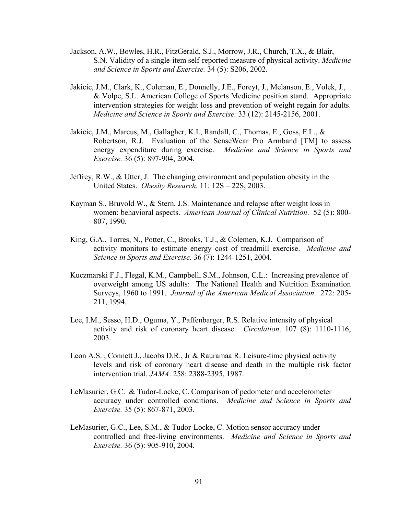- Jackson, A.W., Bowles, H.R., FitzGerald, S.J., Morrow, J.R., Church, T.X., & Blair, S.N. Validity of a single-item self-reported measure of physical activity. *Medicine and Science in Sports and Exercise.* 34 (5): S206, 2002.
- Jakicic, J.M., Clark, K., Coleman, E., Donnelly, J.E., Foreyt, J., Melanson, E., Volek, J., & Volpe, S.L. American College of Sports Medicine position stand. Appropriate intervention strategies for weight loss and prevention of weight regain for adults. *Medicine and Science in Sports and Exercise.* 33 (12): 2145-2156, 2001.
- Jakicic, J.M., Marcus, M., Gallagher, K.I., Randall, C., Thomas, E., Goss, F.L., & Robertson, R.J. Evaluation of the SenseWear Pro Armband [TM] to assess energy expenditure during exercise. *Medicine and Science in Sports and Exercise.* 36 (5): 897-904, 2004.
- Jeffrey, R.W., & Utter, J. The changing environment and population obesity in the United States. *Obesity Research.* 11: 12S – 22S, 2003.
- Kayman S., Bruvold W., & Stern, J.S. Maintenance and relapse after weight loss in women: behavioral aspects. *American Journal of Clinical Nutrition*. 52 (5): 800- 807, 1990.
- King, G.A., Torres, N., Potter, C., Brooks, T.J., & Colemen, K.J. Comparison of activity monitors to estimate energy cost of treadmill exercise. *Medicine and Science in Sports and Exercise.* 36 (7): 1244-1251, 2004.
- Kuczmarski F.J., Flegal, K.M., Campbell, S.M., Johnson, C.L.: Increasing prevalence of overweight among US adults: The National Health and Nutrition Examination Surveys, 1960 to 1991. *Journal of the American Medical Association*. 272: 205- 211, 1994.
- Lee, I.M., Sesso, H.D., Oguma, Y., Paffenbarger, R.S. Relative intensity of physical activity and risk of coronary heart disease. *Circulation*. 107 (8): 1110-1116, 2003.
- Leon A.S. , Connett J., Jacobs D.R., Jr & Rauramaa R. Leisure-time physical activity levels and risk of coronary heart disease and death in the multiple risk factor intervention trial. *JAMA*. 258: 2388-2395, 1987.
- LeMasurier, G.C. & Tudor-Locke, C. Comparison of pedometer and accelerometer accuracy under controlled conditions. *Medicine and Science in Sports and Exercise.* 35 (5): 867-871, 2003.
- LeMasurier, G.C., Lee, S.M., & Tudor-Locke, C. Motion sensor accuracy under controlled and free-living environments. *Medicine and Science in Sports and Exercise.* 36 (5): 905-910, 2004.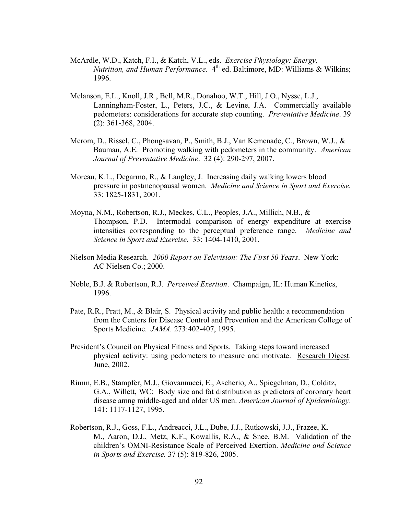- McArdle, W.D., Katch, F.I., & Katch, V.L., eds. *Exercise Physiology: Energy, Nutrition, and Human Performance.* 4<sup>th</sup> ed. Baltimore, MD: Williams & Wilkins; 1996.
- Melanson, E.L., Knoll, J.R., Bell, M.R., Donahoo, W.T., Hill, J.O., Nysse, L.J., Lanningham-Foster, L., Peters, J.C., & Levine, J.A. Commercially available pedometers: considerations for accurate step counting. *Preventative Medicine*. 39 (2): 361-368, 2004.
- Merom, D., Rissel, C., Phongsavan, P., Smith, B.J., Van Kemenade, C., Brown, W.J., & Bauman, A.E. Promoting walking with pedometers in the community. *American Journal of Preventative Medicine*. 32 (4): 290-297, 2007.
- Moreau, K.L., Degarmo, R., & Langley, J. Increasing daily walking lowers blood pressure in postmenopausal women. *Medicine and Science in Sport and Exercise.* 33: 1825-1831, 2001.
- Moyna, N.M., Robertson, R.J., Meckes, C.L., Peoples, J.A., Millich, N.B., & Thompson, P.D. Intermodal comparison of energy expenditure at exercise intensities corresponding to the perceptual preference range. *Medicine and Science in Sport and Exercise.* 33: 1404-1410, 2001.
- Nielson Media Research. *2000 Report on Television: The First 50 Years*. New York: AC Nielsen Co.; 2000.
- Noble, B.J. & Robertson, R.J. *Perceived Exertion*. Champaign, IL: Human Kinetics, 1996.
- Pate, R.R., Pratt, M., & Blair, S. Physical activity and public health: a recommendation from the Centers for Disease Control and Prevention and the American College of Sports Medicine. *JAMA.* 273:402-407, 1995.
- President's Council on Physical Fitness and Sports. Taking steps toward increased physical activity: using pedometers to measure and motivate. Research Digest. June, 2002.
- Rimm, E.B., Stampfer, M.J., Giovannucci, E., Ascherio, A., Spiegelman, D., Colditz, G.A., Willett, WC: Body size and fat distribution as predictors of coronary heart disease amng middle-aged and older US men. *American Journal of Epidemiology*. 141: 1117-1127, 1995.
- Robertson, R.J., Goss, F.L., Andreacci, J.L., Dube, J.J., Rutkowski, J.J., Frazee, K. M., Aaron, D.J., Metz, K.F., Kowallis, R.A., & Snee, B.M. Validation of the children's OMNI-Resistance Scale of Perceived Exertion. *Medicine and Science in Sports and Exercise.* 37 (5): 819-826, 2005.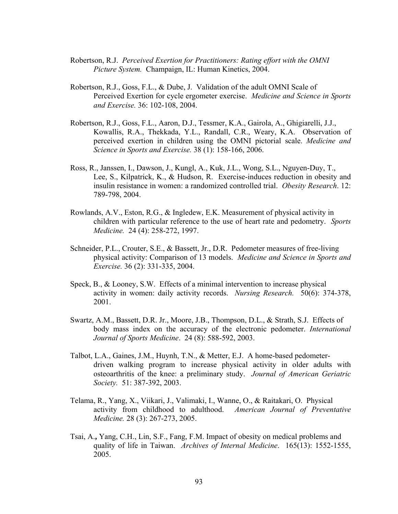- Robertson, R.J. *Perceived Exertion for Practitioners: Rating effort with the OMNI Picture System.* Champaign, IL: Human Kinetics, 2004.
- Robertson, R.J., Goss, F.L., & Dube, J. Validation of the adult OMNI Scale of Perceived Exertion for cycle ergometer exercise. *Medicine and Science in Sports and Exercise.* 36: 102-108, 2004.
- Robertson, R.J., Goss, F.L., Aaron, D.J., Tessmer, K.A., Gairola, A., Ghigiarelli, J.J., Kowallis, R.A., Thekkada, Y.L., Randall, C.R., Weary, K.A. Observation of perceived exertion in children using the OMNI pictorial scale. *Medicine and Science in Sports and Exercise.* 38 (1): 158-166, 2006.
- Ross, R., Janssen, I., Dawson, J., Kungl, A., Kuk, J.L., Wong, S.L., Nguyen-Duy, T., Lee, S., Kilpatrick, K., & Hudson, R. Exercise-induces reduction in obesity and insulin resistance in women: a randomized controlled trial. *Obesity Research*. 12: 789-798, 2004.
- Rowlands, A.V., Eston, R.G., & Ingledew, E.K. Measurement of physical activity in children with particular reference to the use of heart rate and pedometry. *Sports Medicine.* 24 (4): 258-272, 1997.
- Schneider, P.L., Crouter, S.E., & Bassett, Jr., D.R. Pedometer measures of free-living physical activity: Comparison of 13 models. *Medicine and Science in Sports and Exercise.* 36 (2): 331-335, 2004.
- Speck, B., & Looney, S.W. Effects of a minimal intervention to increase physical activity in women: daily activity records. *Nursing Research.* 50(6): 374-378, 2001.
- Swartz, A.M., Bassett, D.R. Jr., Moore, J.B., Thompson, D.L., & Strath, S.J. Effects of body mass index on the accuracy of the electronic pedometer. *International Journal of Sports Medicine*. 24 (8): 588-592, 2003.
- Talbot, L.A., Gaines, J.M., Huynh, T.N., & Metter, E.J. A home-based pedometerdriven walking program to increase physical activity in older adults with osteoarthritis of the knee: a preliminary study. *Journal of American Geriatric Society.* 51: 387-392, 2003.
- Telama, R., Yang, X., Viikari, J., Valimaki, I., Wanne, O., & Raitakari, O. Physical activity from childhood to adulthood. *American Journal of Preventative Medicine.* 28 (3): 267-273, 2005.
- Tsai, A.**,** Yang, C.H., Lin, S.F., Fang, F.M. Impact of obesity on medical problems and quality of life in Taiwan. *Archives of Internal Medicine*. 165(13): 1552-1555, 2005.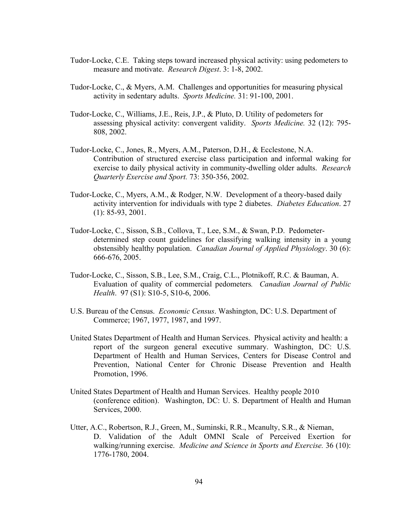- Tudor-Locke, C.E. Taking steps toward increased physical activity: using pedometers to measure and motivate. *Research Digest*. 3: 1-8, 2002.
- Tudor-Locke, C., & Myers, A.M. Challenges and opportunities for measuring physical activity in sedentary adults. *Sports Medicine.* 31: 91-100, 2001.
- Tudor-Locke, C., Williams, J.E., Reis, J.P., & Pluto, D. Utility of pedometers for assessing physical activity: convergent validity. *Sports Medicine.* 32 (12): 795- 808, 2002.
- Tudor-Locke, C., Jones, R., Myers, A.M., Paterson, D.H., & Ecclestone, N.A. Contribution of structured exercise class participation and informal waking for exercise to daily physical activity in community-dwelling older adults. *Research Quarterly Exercise and Sport.* 73: 350-356, 2002.
- Tudor-Locke, C., Myers, A.M., & Rodger, N.W. Development of a theory-based daily activity intervention for individuals with type 2 diabetes. *Diabetes Education*. 27 (1): 85-93, 2001.
- Tudor-Locke, C., Sisson, S.B., Collova, T., Lee, S.M., & Swan, P.D. Pedometerdetermined step count guidelines for classifying walking intensity in a young obstensibly healthy population. *Canadian Journal of Applied Physiology*. 30 (6): 666-676, 2005.
- Tudor-Locke, C., Sisson, S.B., Lee, S.M., Craig, C.L., Plotnikoff, R.C. & Bauman, A. Evaluation of quality of commercial pedometers*. Canadian Journal of Public Health*. 97 (S1): S10-5, S10-6, 2006.
- U.S. Bureau of the Census. *Economic Census*. Washington, DC: U.S. Department of Commerce; 1967, 1977, 1987, and 1997.
- United States Department of Health and Human Services. Physical activity and health: a report of the surgeon general executive summary. Washington, DC: U.S. Department of Health and Human Services, Centers for Disease Control and Prevention, National Center for Chronic Disease Prevention and Health Promotion, 1996.
- United States Department of Health and Human Services. Healthy people 2010 (conference edition). Washington, DC: U. S. Department of Health and Human Services, 2000.
- Utter, A.C., Robertson, R.J., Green, M., Suminski, R.R., Mcanulty, S.R., & Nieman, D. Validation of the Adult OMNI Scale of Perceived Exertion for walking/running exercise. *Medicine and Science in Sports and Exercise.* 36 (10): 1776-1780, 2004.